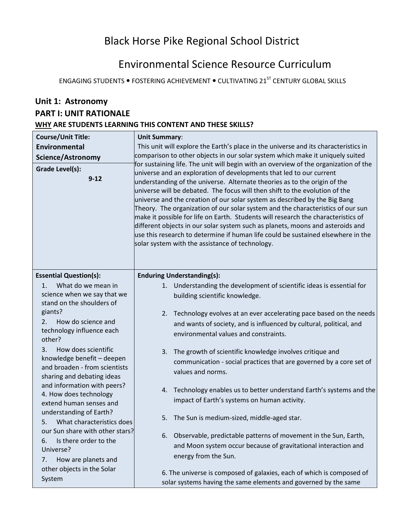# Black Horse Pike Regional School District

# Environmental Science Resource Curriculum

ENGAGING STUDENTS . FOSTERING ACHIEVEMENT . CULTIVATING 21<sup>ST</sup> CENTURY GLOBAL SKILLS

## **Unit 1: Astronomy PART I: UNIT RATIONALE WHY ARE STUDENTS LEARNING THIS CONTENT AND THESE SKILLS?**

| <b>Course/Unit Title:</b><br><b>Environmental</b><br><b>Science/Astronomy</b><br>Grade Level(s):<br>$9 - 12$                                                                                                                          | <b>Unit Summary:</b><br>This unit will explore the Earth's place in the universe and its characteristics in<br>comparison to other objects in our solar system which make it uniquely suited<br>for sustaining life. The unit will begin with an overview of the organization of the<br>universe and an exploration of developments that led to our current<br>understanding of the universe. Alternate theories as to the origin of the<br>universe will be debated. The focus will then shift to the evolution of the<br>universe and the creation of our solar system as described by the Big Bang<br>Theory. The organization of our solar system and the characteristics of our sun<br>make it possible for life on Earth. Students will research the characteristics of<br>different objects in our solar system such as planets, moons and asteroids and<br>use this research to determine if human life could be sustained elsewhere in the<br>solar system with the assistance of technology. |  |
|---------------------------------------------------------------------------------------------------------------------------------------------------------------------------------------------------------------------------------------|--------------------------------------------------------------------------------------------------------------------------------------------------------------------------------------------------------------------------------------------------------------------------------------------------------------------------------------------------------------------------------------------------------------------------------------------------------------------------------------------------------------------------------------------------------------------------------------------------------------------------------------------------------------------------------------------------------------------------------------------------------------------------------------------------------------------------------------------------------------------------------------------------------------------------------------------------------------------------------------------------------|--|
| <b>Essential Question(s):</b><br>What do we mean in<br>$1_{-}$<br>science when we say that we<br>stand on the shoulders of<br>giants?<br>How do science and<br>2.<br>technology influence each<br>other?<br>3.<br>How does scientific | <b>Enduring Understanding(s):</b><br>Understanding the development of scientific ideas is essential for<br>1.<br>building scientific knowledge.<br>Technology evolves at an ever accelerating pace based on the needs<br>2.<br>and wants of society, and is influenced by cultural, political, and<br>environmental values and constraints.                                                                                                                                                                                                                                                                                                                                                                                                                                                                                                                                                                                                                                                            |  |
| knowledge benefit - deepen<br>and broaden - from scientists<br>sharing and debating ideas<br>and information with peers?<br>4. How does technology<br>extend human senses and                                                         | The growth of scientific knowledge involves critique and<br>3.<br>communication - social practices that are governed by a core set of<br>values and norms.<br>4. Technology enables us to better understand Earth's systems and the<br>impact of Earth's systems on human activity.                                                                                                                                                                                                                                                                                                                                                                                                                                                                                                                                                                                                                                                                                                                    |  |
| understanding of Earth?<br>What characteristics does<br>5.<br>our Sun share with other stars?<br>Is there order to the<br>6.<br>Universe?<br>How are planets and<br>7.<br>other objects in the Solar<br>System                        | 5.<br>The Sun is medium-sized, middle-aged star.<br>Observable, predictable patterns of movement in the Sun, Earth,<br>6.<br>and Moon system occur because of gravitational interaction and<br>energy from the Sun.<br>6. The universe is composed of galaxies, each of which is composed of<br>solar systems having the same elements and governed by the same                                                                                                                                                                                                                                                                                                                                                                                                                                                                                                                                                                                                                                        |  |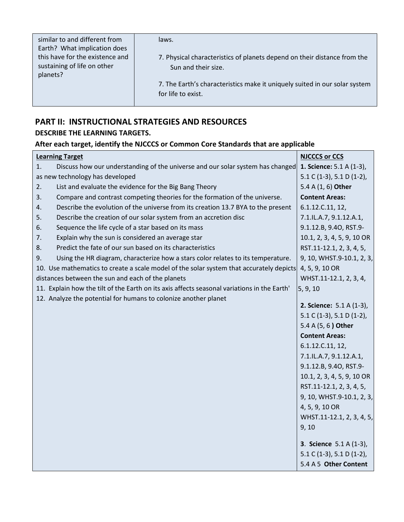| similar to and different from   | laws.                                                                      |
|---------------------------------|----------------------------------------------------------------------------|
| Earth? What implication does    | 7. Physical characteristics of planets depend on their distance from the   |
| this have for the existence and | Sun and their size.                                                        |
| sustaining of life on other     | 7. The Earth's characteristics make it uniquely suited in our solar system |
| planets?                        | for life to exist.                                                         |
|                                 |                                                                            |

### **PART II: INSTRUCTIONAL STRATEGIES AND RESOURCES DESCRIBE THE LEARNING TARGETS.**

### **After each target, identify the NJCCCS or Common Core Standards that are applicable**

| <b>Learning Target</b>                                                                      | <b>NJCCCS or CCS</b>            |
|---------------------------------------------------------------------------------------------|---------------------------------|
| Discuss how our understanding of the universe and our solar system has changed<br>1.        | 1. Science: 5.1 A (1-3),        |
| as new technology has developed                                                             | 5.1 C (1-3), 5.1 D (1-2),       |
| List and evaluate the evidence for the Big Bang Theory<br>2.                                | 5.4 A (1, 6) Other              |
| 3.<br>Compare and contrast competing theories for the formation of the universe.            | <b>Content Areas:</b>           |
| Describe the evolution of the universe from its creation 13.7 BYA to the present<br>4.      | 6.1.12.C.11, 12,                |
| Describe the creation of our solar system from an accretion disc<br>5.                      | 7.1.IL.A.7, 9.1.12.A.1,         |
| Sequence the life cycle of a star based on its mass<br>6.                                   | 9.1.12.B, 9.40, RST.9-          |
| Explain why the sun is considered an average star<br>7.                                     | 10.1, 2, 3, 4, 5, 9, 10 OR      |
| Predict the fate of our sun based on its characteristics<br>8.                              | RST.11-12.1, 2, 3, 4, 5,        |
| Using the HR diagram, characterize how a stars color relates to its temperature.<br>9.      | 9, 10, WHST.9-10.1, 2, 3,       |
| 10. Use mathematics to create a scale model of the solar system that accurately depicts     | 4, 5, 9, 10 OR                  |
| distances between the sun and each of the planets                                           | WHST.11-12.1, 2, 3, 4,          |
| 11. Explain how the tilt of the Earth on its axis affects seasonal variations in the Earth' | 5, 9, 10                        |
| 12. Analyze the potential for humans to colonize another planet                             |                                 |
|                                                                                             | <b>2. Science: 5.1 A (1-3),</b> |
|                                                                                             | $5.1 C (1-3)$ , $5.1 D (1-2)$ , |
|                                                                                             | 5.4 A (5, 6) Other              |
|                                                                                             | <b>Content Areas:</b>           |
|                                                                                             | 6.1.12.C.11, 12,                |
|                                                                                             | 7.1.IL.A.7, 9.1.12.A.1,         |
|                                                                                             | 9.1.12.B, 9.40, RST.9-          |
|                                                                                             | 10.1, 2, 3, 4, 5, 9, 10 OR      |
|                                                                                             | RST.11-12.1, 2, 3, 4, 5,        |
|                                                                                             | 9, 10, WHST.9-10.1, 2, 3,       |
|                                                                                             | 4, 5, 9, 10 OR                  |
|                                                                                             | WHST.11-12.1, 2, 3, 4, 5,       |
|                                                                                             | 9, 10                           |
|                                                                                             | <b>3. Science</b> 5.1 A (1-3),  |
|                                                                                             | $5.1 C (1-3), 5.1 D (1-2),$     |
|                                                                                             | 5.4 A 5 Other Content           |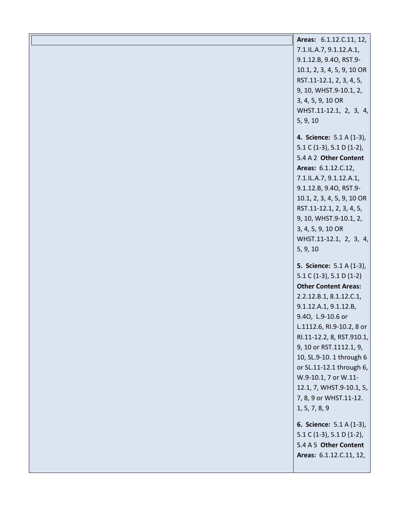| Areas: 6.1.12.C.11, 12,         |
|---------------------------------|
| 7.1.IL.A.7, 9.1.12.A.1,         |
| 9.1.12.B, 9.40, RST.9-          |
| 10.1, 2, 3, 4, 5, 9, 10 OR      |
| RST.11-12.1, 2, 3, 4, 5,        |
| 9, 10, WHST.9-10.1, 2,          |
| 3, 4, 5, 9, 10 OR               |
| WHST.11-12.1, 2, 3, 4,          |
| 5, 9, 10                        |
|                                 |
| 4. Science: 5.1 A (1-3),        |
| 5.1 C (1-3), 5.1 D (1-2),       |
| 5.4 A 2 Other Content           |
| Areas: 6.1.12.C.12,             |
| 7.1.IL.A.7, 9.1.12.A.1,         |
| 9.1.12.B, 9.40, RST.9-          |
| 10.1, 2, 3, 4, 5, 9, 10 OR      |
| RST.11-12.1, 2, 3, 4, 5,        |
| 9, 10, WHST.9-10.1, 2,          |
| 3, 4, 5, 9, 10 OR               |
| WHST.11-12.1, 2, 3, 4,          |
| 5, 9, 10                        |
|                                 |
| <b>5. Science:</b> 5.1 A (1-3), |
| $5.1 C (1-3), 5.1 D (1-2)$      |
| <b>Other Content Areas:</b>     |
| 2.2.12.B.1, 8.1.12.C.1,         |
| 9.1.12.A.1, 9.1.12.B,           |
| 9.40, L.9-10.6 or               |
| L.1112.6, RI.9-10.2, 8 or       |
| RI.11-12.2, 8, RST.910.1,       |
| 9, 10 or RST.1112.1, 9,         |
| 10, SL.9-10. 1 through 6        |
| or SL.11-12.1 through 6,        |
| W.9-10.1, 7 or W.11-            |
| 12.1, 7, WHST.9-10.1, 5,        |
| 7, 8, 9 or WHST.11-12.          |
| 1, 5, 7, 8, 9                   |
| 6. Science: 5.1 A (1-3),        |
| 5.1 C (1-3), 5.1 D (1-2),       |
| 5.4 A 5 Other Content           |
| Areas: 6.1.12.C.11, 12,         |
|                                 |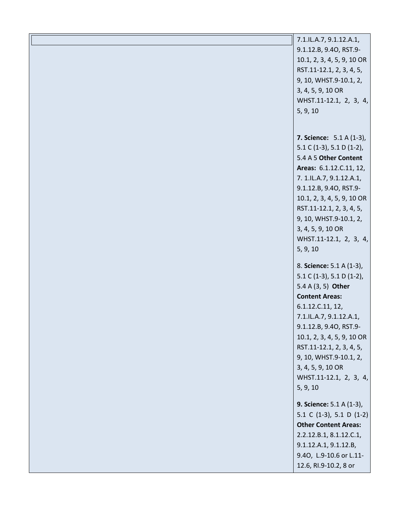| 7.1.IL.A.7, 9.1.12.A.1,         |
|---------------------------------|
| 9.1.12.B, 9.40, RST.9-          |
| 10.1, 2, 3, 4, 5, 9, 10 OR      |
| RST.11-12.1, 2, 3, 4, 5,        |
| 9, 10, WHST.9-10.1, 2,          |
| 3, 4, 5, 9, 10 OR               |
| WHST.11-12.1, 2, 3, 4,          |
| 5, 9, 10                        |
|                                 |
|                                 |
| <b>7. Science:</b> 5.1 A (1-3), |
| 5.1 C (1-3), 5.1 D (1-2),       |
| 5.4 A 5 Other Content           |
| Areas: 6.1.12.C.11, 12,         |
| 7. 1.IL.A.7, 9.1.12.A.1,        |
| 9.1.12.B, 9.40, RST.9-          |
| 10.1, 2, 3, 4, 5, 9, 10 OR      |
| RST.11-12.1, 2, 3, 4, 5,        |
| 9, 10, WHST.9-10.1, 2,          |
| 3, 4, 5, 9, 10 OR               |
| WHST.11-12.1, 2, 3, 4,          |
| 5, 9, 10                        |
|                                 |
| 8. Science: 5.1 A (1-3),        |
| 5.1 C (1-3), 5.1 D (1-2),       |
| 5.4 A (3, 5) Other              |
| <b>Content Areas:</b>           |
| 6.1.12.C.11, 12,                |
| 7.1.IL.A.7, 9.1.12.A.1,         |
| 9.1.12.B, 9.40, RST.9-          |
| 10.1, 2, 3, 4, 5, 9, 10 OR      |
| RST.11-12.1, 2, 3, 4, 5,        |
| 9, 10, WHST.9-10.1, 2,          |
| 3, 4, 5, 9, 10 OR               |
| WHST.11-12.1, 2, 3, 4,          |
| 5, 9, 10                        |
|                                 |
| 9. Science: 5.1 A (1-3),        |
| 5.1 C (1-3), 5.1 D (1-2)        |
| <b>Other Content Areas:</b>     |
| 2.2.12.B.1, 8.1.12.C.1,         |
| 9.1.12.A.1, 9.1.12.B,           |
| 9.40, L.9-10.6 or L.11-         |
| 12.6, RI.9-10.2, 8 or           |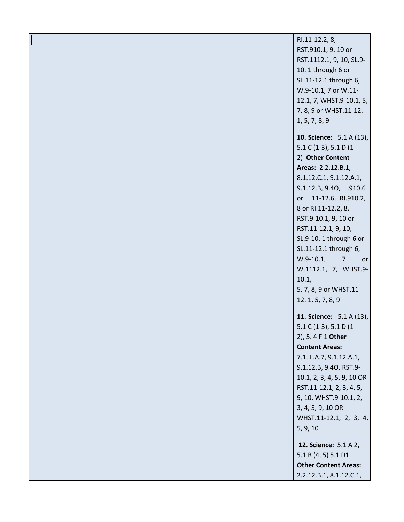| $\parallel$ RI.11-12.2, 8,<br>RST.910.1, 9, 10 or<br>RST.1112.1, 9, 10, SL.9-<br>10. 1 through 6 or<br>SL.11-12.1 through 6,<br>W.9-10.1, 7 or W.11-<br>12.1, 7, WHST.9-10.1, 5,<br>7, 8, 9 or WHST.11-12.<br>1, 5, 7, 8, 9                                                                                                                                                                                      |  |
|------------------------------------------------------------------------------------------------------------------------------------------------------------------------------------------------------------------------------------------------------------------------------------------------------------------------------------------------------------------------------------------------------------------|--|
| <b>10. Science:</b> 5.1 A (13),<br>5.1 C (1-3), 5.1 D (1-<br>2) Other Content<br>Areas: 2.2.12.B.1,<br>8.1.12.C.1, 9.1.12.A.1,<br>9.1.12.B, 9.40, L.910.6<br>or L.11-12.6, RI.910.2,<br>8 or RI.11-12.2, 8,<br>RST.9-10.1, 9, 10 or<br>RST.11-12.1, 9, 10,<br>SL.9-10. 1 through 6 or<br>SL.11-12.1 through 6,<br>$W.9-10.1,$<br>$\overline{7}$<br>or<br>W.1112.1, 7, WHST.9-<br>10.1,<br>5, 7, 8, 9 or WHST.11- |  |
| 12. 1, 5, 7, 8, 9<br>11. Science: 5.1 A (13),<br>$5.1 C (1-3)$ , $5.1 D (1-$<br>2), 5.4 F 1 Other<br><b>Content Areas:</b><br>7.1.IL.A.7, 9.1.12.A.1,<br>9.1.12.B, 9.40, RST.9-<br>10.1, 2, 3, 4, 5, 9, 10 OR<br>RST.11-12.1, 2, 3, 4, 5,<br>9, 10, WHST.9-10.1, 2,<br>3, 4, 5, 9, 10 OR<br>WHST.11-12.1, 2, 3, 4,<br>5, 9, 10                                                                                   |  |
| 12. Science: 5.1 A 2,<br>5.1 B (4, 5) 5.1 D1<br><b>Other Content Areas:</b><br>2.2.12.B.1, 8.1.12.C.1,                                                                                                                                                                                                                                                                                                           |  |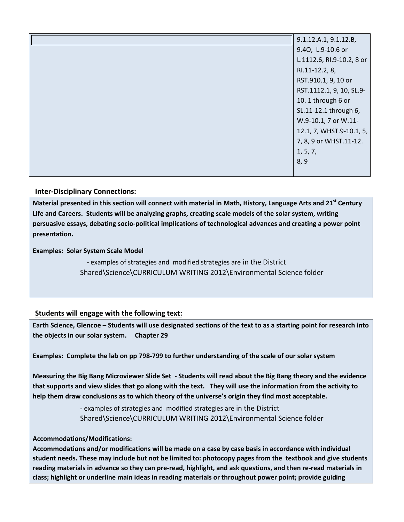| 9.1.12.A.1, 9.1.12.B,     |
|---------------------------|
| 9.40, L.9-10.6 or         |
| L.1112.6, RI.9-10.2, 8 or |
| RI.11-12.2, 8,            |
| RST.910.1, 9, 10 or       |
| RST.1112.1, 9, 10, SL.9-  |
| 10.1 through 6 or         |
| SL.11-12.1 through 6,     |
| W.9-10.1, 7 or W.11-      |
| 12.1, 7, WHST.9-10.1, 5,  |
| 7, 8, 9 or WHST.11-12.    |
| 1, 5, 7,                  |
| 8, 9                      |
|                           |

### **Inter-Disciplinary Connections:**

**Material presented in this section will connect with material in Math, History, Language Arts and 21st Century Life and Careers. Students will be analyzing graphs, creating scale models of the solar system, writing persuasive essays, debating socio-political implications of technological advances and creating a power point presentation.** 

**Examples: Solar System Scale Model** 

- examples of strategies and modified strategies are in the District Shared\Science\CURRICULUM WRITING 2012\Environmental Science folder

### **Students will engage with the following text:**

**Earth Science, Glencoe – Students will use designated sections of the text to as a starting point for research into the objects in our solar system. Chapter 29** 

**Examples: Complete the lab on pp 798-799 to further understanding of the scale of our solar system** 

**Measuring the Big Bang Microviewer Slide Set - Students will read about the Big Bang theory and the evidence that supports and view slides that go along with the text. They will use the information from the activity to help them draw conclusions as to which theory of the universe's origin they find most acceptable.** 

> - examples of strategies and modified strategies are in the District Shared\Science\CURRICULUM WRITING 2012\Environmental Science folder

### **Accommodations/Modifications:**

**Accommodations and/or modifications will be made on a case by case basis in accordance with individual student needs. These may include but not be limited to: photocopy pages from the textbook and give students reading materials in advance so they can pre-read, highlight, and ask questions, and then re-read materials in class; highlight or underline main ideas in reading materials or throughout power point; provide guiding**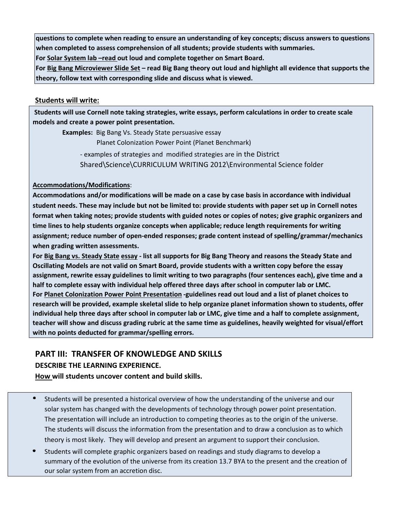**questions to complete when reading to ensure an understanding of key concepts; discuss answers to questions when completed to assess comprehension of all students; provide students with summaries.** 

**For Solar System lab –read out loud and complete together on Smart Board.** 

**For Big Bang Microviewer Slide Set – read Big Bang theory out loud and highlight all evidence that supports the theory, follow text with corresponding slide and discuss what is viewed.** 

### **Students will write:**

**Students will use Cornell note taking strategies, write essays, perform calculations in order to create scale models and create a power point presentation.** 

 **Examples:** Big Bang Vs. Steady State persuasive essay Planet Colonization Power Point (Planet Benchmark) - examples of strategies and modified strategies are in the District

Shared\Science\CURRICULUM WRITING 2012\Environmental Science folder

### **Accommodations/Modifications**:

**Accommodations and/or modifications will be made on a case by case basis in accordance with individual student needs. These may include but not be limited to: provide students with paper set up in Cornell notes format when taking notes; provide students with guided notes or copies of notes; give graphic organizers and time lines to help students organize concepts when applicable; reduce length requirements for writing assignment; reduce number of open-ended responses; grade content instead of spelling/grammar/mechanics when grading written assessments.** 

**For Big Bang vs. Steady State essay - list all supports for Big Bang Theory and reasons the Steady State and Oscillating Models are not valid on Smart Board, provide students with a written copy before the essay assignment, rewrite essay guidelines to limit writing to two paragraphs (four sentences each), give time and a half to complete essay with individual help offered three days after school in computer lab or LMC. For Planet Colonization Power Point Presentation -guidelines read out loud and a list of planet choices to research will be provided, example skeletal slide to help organize planet information shown to students, offer individual help three days after school in computer lab or LMC, give time and a half to complete assignment, teacher will show and discuss grading rubric at the same time as guidelines, heavily weighted for visual/effort with no points deducted for grammar/spelling errors.** 

### **PART III: TRANSFER OF KNOWLEDGE AND SKILLS**

### **DESCRIBE THE LEARNING EXPERIENCE.**

**How will students uncover content and build skills.** 

- Students will be presented a historical overview of how the understanding of the universe and our solar system has changed with the developments of technology through power point presentation. The presentation will include an introduction to competing theories as to the origin of the universe. The students will discuss the information from the presentation and to draw a conclusion as to which theory is most likely. They will develop and present an argument to support their conclusion.
- Students will complete graphic organizers based on readings and study diagrams to develop a summary of the evolution of the universe from its creation 13.7 BYA to the present and the creation of our solar system from an accretion disc.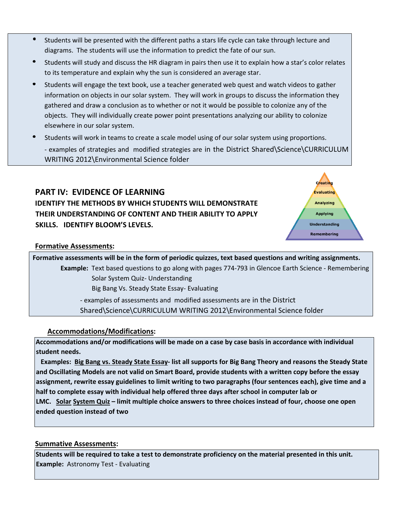- Students will be presented with the different paths a stars life cycle can take through lecture and diagrams. The students will use the information to predict the fate of our sun.
- Students will study and discuss the HR diagram in pairs then use it to explain how a star's color relates to its temperature and explain why the sun is considered an average star.
- Students will engage the text book, use a teacher generated web quest and watch videos to gather information on objects in our solar system. They will work in groups to discuss the information they gathered and draw a conclusion as to whether or not it would be possible to colonize any of the objects. They will individually create power point presentations analyzing our ability to colonize elsewhere in our solar system.
- Students will work in teams to create a scale model using of our solar system using proportions. - examples of strategies and modified strategies are in the District Shared\Science\CURRICULUM WRITING 2012\Environmental Science folder

## **PART IV: EVIDENCE OF LEARNING IDENTIFY THE METHODS BY WHICH STUDENTS WILL DEMONSTRATE THEIR UNDERSTANDING OF CONTENT AND THEIR ABILITY TO APPLY SKILLS. IDENTIFY BLOOM'S LEVELS.**



### **Formative Assessments:**

**Formative assessments will be in the form of periodic quizzes, text based questions and writing assignments. Example:** Text based questions to go along with pages 774-793 in Glencoe Earth Science - Remembering Solar System Quiz- Understanding Big Bang Vs. Steady State Essay- Evaluating - examples of assessments and modified assessments are in the District Shared\Science\CURRICULUM WRITING 2012\Environmental Science folder

### **Accommodations/Modifications:**

**Accommodations and/or modifications will be made on a case by case basis in accordance with individual student needs.** 

 **Examples: Big Bang vs. Steady State Essay- list all supports for Big Bang Theory and reasons the Steady State and Oscillating Models are not valid on Smart Board, provide students with a written copy before the essay assignment, rewrite essay guidelines to limit writing to two paragraphs (four sentences each), give time and a half to complete essay with individual help offered three days after school in computer lab or LMC. Solar System Quiz – limit multiple choice answers to three choices instead of four, choose one open ended question instead of two** 

### **Summative Assessments:**

**Students will be required to take a test to demonstrate proficiency on the material presented in this unit. Example:** Astronomy Test - Evaluating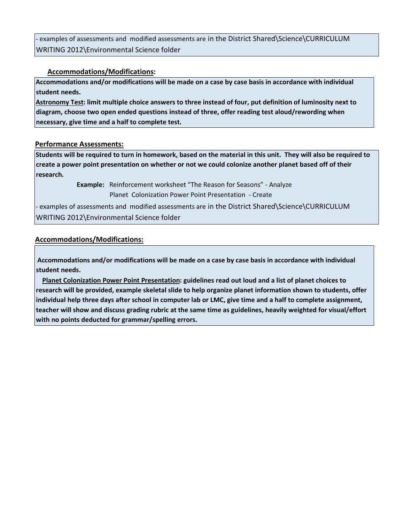examples of assessments and modified assessments are in the District Shared\Science\CURRICULUM WRITING 2012\Environmental Science folder

### **Accommodations/Modifications:**

**Accommodations and/or modifications will be made on a case by case basis in accordance with individual student needs.** 

**Astronomy Test: limit multiple choice answers to three instead of four, put definition of luminosity next to diagram, choose two open ended questions instead of three, offer reading test aloud/rewording when necessary, give time and a half to complete test.**

### **Performance Assessments:**

**Students will be required to turn in homework, based on the material in this unit. They will also be required to create a power point presentation on whether or not we could colonize another planet based off of their research.** 

> **Example:** Reinforcement worksheet "The Reason for Seasons" - Analyze Planet Colonization Power Point Presentation - Create

- examples of assessments and modified assessments are in the District Shared\Science\CURRICULUM WRITING 2012\Environmental Science folder

### **Accommodations/Modifications:**

**Accommodations and/or modifications will be made on a case by case basis in accordance with individual student needs.** 

 **Planet Colonization Power Point Presentation: guidelines read out loud and a list of planet choices to research will be provided, example skeletal slide to help organize planet information shown to students, offer individual help three days after school in computer lab or LMC, give time and a half to complete assignment, teacher will show and discuss grading rubric at the same time as guidelines, heavily weighted for visual/effort with no points deducted for grammar/spelling errors.**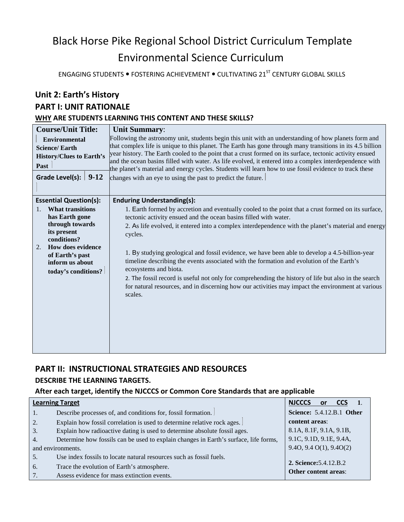# Black Horse Pike Regional School District Curriculum Template Environmental Science Curriculum

ENGAGING STUDENTS  $\bullet$  FOSTERING ACHIEVEMENT  $\bullet$  CULTIVATING 21<sup>ST</sup> CENTURY GLOBAL SKILLS

### **Unit 2: Earth's History**

### **PART I: UNIT RATIONALE**

### **WHY ARE STUDENTS LEARNING THIS CONTENT AND THESE SKILLS?**

| <b>Course/Unit Title:</b><br><b>Environmental</b><br><b>Science/Earth</b><br><b>History/Clues to Earth's</b><br>Past<br>Grade Level(s): $\vert 9-12 \rangle$                                                                          | <b>Unit Summary:</b><br>Following the astronomy unit, students begin this unit with an understanding of how planets form and<br>that complex life is unique to this planet. The Earth has gone through many transitions in its 4.5 billion<br>year history. The Earth cooled to the point that a crust formed on its surface, tectonic activity ensued<br>and the ocean basins filled with water. As life evolved, it entered into a complex interdependence with<br>the planet's material and energy cycles. Students will learn how to use fossil evidence to track these<br>changes with an eye to using the past to predict the future.                                                                                                                                    |
|---------------------------------------------------------------------------------------------------------------------------------------------------------------------------------------------------------------------------------------|--------------------------------------------------------------------------------------------------------------------------------------------------------------------------------------------------------------------------------------------------------------------------------------------------------------------------------------------------------------------------------------------------------------------------------------------------------------------------------------------------------------------------------------------------------------------------------------------------------------------------------------------------------------------------------------------------------------------------------------------------------------------------------|
| <b>Essential Question(s):</b><br><b>What transitions</b><br>$\mathbf{1}$ .<br>has Earth gone<br>through towards<br>its present<br>conditions?<br>How does evidence<br>2.<br>of Earth's past<br>inform us about<br>today's conditions? | <b>Enduring Understanding(s):</b><br>1. Earth formed by accretion and eventually cooled to the point that a crust formed on its surface,<br>tectonic activity ensued and the ocean basins filled with water.<br>2. As life evolved, it entered into a complex interdependence with the planet's material and energy<br>cycles.<br>1. By studying geological and fossil evidence, we have been able to develop a 4.5-billion-year<br>timeline describing the events associated with the formation and evolution of the Earth's<br>ecosystems and biota.<br>2. The fossil record is useful not only for comprehending the history of life but also in the search<br>for natural resources, and in discerning how our activities may impact the environment at various<br>scales. |

## **PART II: INSTRUCTIONAL STRATEGIES AND RESOURCES**

### **DESCRIBE THE LEARNING TARGETS.**

### **After each target, identify the NJCCCS or Common Core Standards that are applicable**

| <b>Learning Target</b> |                                                                                      | <b>NJCCCS</b><br><b>or</b><br><b>CCS</b> |
|------------------------|--------------------------------------------------------------------------------------|------------------------------------------|
| 1.                     | Describe processes of, and conditions for, fossil formation.                         | Science: 5.4.12.B.1 Other                |
| 2.                     | Explain how fossil correlation is used to determine relative rock ages.              | content areas:                           |
| 3.                     | Explain how radioactive dating is used to determine absolute fossil ages.            | 8.1A, 8.1F, 9.1A, 9.1B,                  |
| $\overline{4}$ .       | Determine how fossils can be used to explain changes in Earth's surface, life forms, | 9.1C, 9.1D, 9.1E, 9.4A,                  |
| and environments.      |                                                                                      | 9.40, 9.40(1), 9.40(2)                   |
| 5.                     | Use index fossils to locate natural resources such as fossil fuels.                  |                                          |
| 6.                     | Trace the evolution of Earth's atmosphere.                                           | <b>2. Science:</b> 5.4.12. B.2           |
| 7.                     | Assess evidence for mass extinction events.                                          | Other content areas:                     |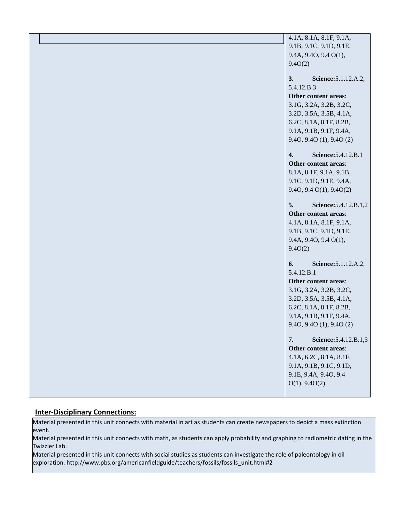| 4.1A, 8.1A, 8.1F, 9.1A,     |
|-----------------------------|
| 9.1B, 9.1C, 9.1D, 9.1E,     |
| 9.4A, 9.4O, 9.4 O(1),       |
| 9.4O(2)                     |
|                             |
| 3.<br>Science: 5.1.12.A.2,  |
| 5.4.12.B.3                  |
| Other content areas:        |
| 3.1G, 3.2A, 3.2B, 3.2C,     |
| 3.2D, 3.5A, 3.5B, 4.1A,     |
| 6.2C, 8.1A, 8.1F, 8.2B,     |
| 9.1A, 9.1B, 9.1F, 9.4A,     |
| 9.40, 9.40 (1), 9.40 (2)    |
| 4.<br>Science: 5.4.12.B.1   |
| Other content areas:        |
| 8.1A, 8.1F, 9.1A, 9.1B,     |
| 9.1C, 9.1D, 9.1E, 9.4A,     |
| 9.4O, 9.4 O(1), 9.4O(2)     |
|                             |
| 5.<br>Science: 5.4.12.B.1,2 |
| Other content areas:        |
| 4.1A, 8.1A, 8.1F, 9.1A,     |
| 9.1B, 9.1C, 9.1D, 9.1E,     |
| 9.4A, 9.4O, 9.4 O(1),       |
| 9.4O(2)                     |
|                             |
| Science: 5.1.12.A.2,<br>6.  |
| 5.4.12.B.1                  |
| Other content areas:        |
| 3.1G, 3.2A, 3.2B, 3.2C,     |
| 3.2D, 3.5A, 3.5B, 4.1A,     |
| 6.2C, 8.1A, 8.1F, 8.2B,     |
| 9.1A, 9.1B, 9.1F, 9.4A,     |
| 9.40, 9.40 (1), 9.40 (2)    |
| 7.<br>Science: 5.4.12.B.1,3 |
| Other content areas:        |
| 4.1A, 6.2C, 8.1A, 8.1F,     |
| 9.1A, 9.1B, 9.1C, 9.1D,     |
| 9.1E, 9.4A, 9.4O, 9.4       |
| O(1), 9.4O(2)               |
|                             |
|                             |

#### **Inter-Disciplinary Connections:**

Material presented in this unit connects with material in art as students can create newspapers to depict a mass extinction event.

Material presented in this unit connects with math, as students can apply probability and graphing to radiometric dating in the Twizzler Lab.

Material presented in this unit connects with social studies as students can investigate the role of paleontology in oil exploration. http://www.pbs.org/americanfieldguide/teachers/fossils/fossils\_unit.html#2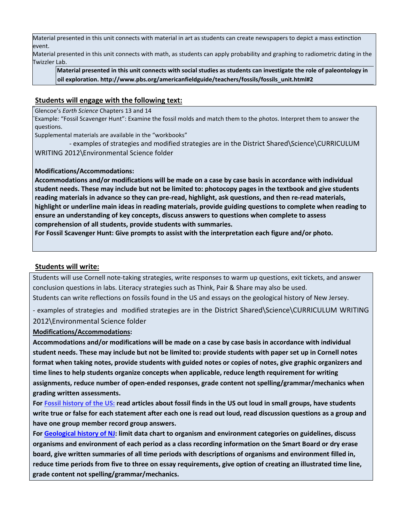Material presented in this unit connects with material in art as students can create newspapers to depict a mass extinction event.

Material presented in this unit connects with math, as students can apply probability and graphing to radiometric dating in the Twizzler Lab.

**Material presented in this unit connects with social studies as students can investigate the role of paleontology in oil exploration. http://www.pbs.org/americanfieldguide/teachers/fossils/fossils\_unit.html#2** 

### **Students will engage with the following text:**

Glencoe's *Earth Science* Chapters 13 and 14

Example: "Fossil Scavenger Hunt": Examine the fossil molds and match them to the photos. Interpret them to answer the questions.

Supplemental materials are available in the "workbooks"

 - examples of strategies and modified strategies are in the District Shared\Science\CURRICULUM WRITING 2012\Environmental Science folder

### **Modifications/Accommodations:**

**Accommodations and/or modifications will be made on a case by case basis in accordance with individual student needs. These may include but not be limited to: photocopy pages in the textbook and give students reading materials in advance so they can pre-read, highlight, ask questions, and then re-read materials, highlight or underline main ideas in reading materials, provide guiding questions to complete when reading to ensure an understanding of key concepts, discuss answers to questions when complete to assess comprehension of all students, provide students with summaries.** 

**For Fossil Scavenger Hunt: Give prompts to assist with the interpretation each figure and/or photo.** 

### **Students will write:**

Students will use Cornell note-taking strategies, write responses to warm up questions, exit tickets, and answer conclusion questions in labs. Literacy strategies such as Think, Pair & Share may also be used. Students can write reflections on fossils found in the US and essays on the geological history of New Jersey.

- examples of strategies and modified strategies are in the District Shared\Science\CURRICULUM WRITING 2012\Environmental Science folder

#### **Modifications/Accommodations:**

**Accommodations and/or modifications will be made on a case by case basis in accordance with individual student needs. These may include but not be limited to: provide students with paper set up in Cornell notes format when taking notes, provide students with guided notes or copies of notes, give graphic organizers and time lines to help students organize concepts when applicable, reduce length requirement for writing assignments, reduce number of open-ended responses, grade content not spelling/grammar/mechanics when grading written assessments.** 

**For Fossil history of the US: read articles about fossil finds in the US out loud in small groups, have students write true or false for each statement after each one is read out loud, read discussion questions as a group and have one group member record group answers.** 

**For Geological history of NJ: limit data chart to organism and environment categories on guidelines, discuss organisms and environment of each period as a class recording information on the Smart Board or dry erase board, give written summaries of all time periods with descriptions of organisms and environment filled in, reduce time periods from five to three on essay requirements, give option of creating an illustrated time line, grade content not spelling/grammar/mechanics.**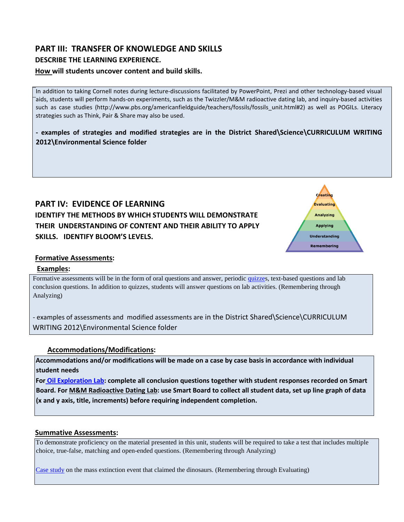# **PART III: TRANSFER OF KNOWLEDGE AND SKILLS**

### **DESCRIBE THE LEARNING EXPERIENCE.**

### **How will students uncover content and build skills.**

In addition to taking Cornell notes during lecture-discussions facilitated by PowerPoint, Prezi and other technology-based visual aids, students will perform hands-on experiments, such as the Twizzler/M&M radioactive dating lab, and inquiry-based activities such as case studies (http://www.pbs.org/americanfieldguide/teachers/fossils/fossils\_unit.html#2) as well as POGILs. Literacy strategies such as Think, Pair & Share may also be used.

**- examples of strategies and modified strategies are in the District Shared\Science\CURRICULUM WRITING 2012\Environmental Science folder** 

## **PART IV: EVIDENCE OF LEARNING IDENTIFY THE METHODS BY WHICH STUDENTS WILL DEMONSTRATE THEIR UNDERSTANDING OF CONTENT AND THEIR ABILITY TO APPLY SKILLS. IDENTIFY BLOOM'S LEVELS.**



### **Formative Assessments:**

#### **Examples:**

Formative assessments will be in the form of oral questions and answer, periodic quizzes, text-based questions and lab conclusion questions. In addition to quizzes, students will answer questions on lab activities. (Remembering through Analyzing)

- examples of assessments and modified assessments are in the District Shared\Science\CURRICULUM WRITING 2012\Environmental Science folder

### **Accommodations/Modifications:**

**Accommodations and/or modifications will be made on a case by case basis in accordance with individual student needs** 

**For Oil Exploration Lab: complete all conclusion questions together with student responses recorded on Smart Board. For M&M Radioactive Dating Lab: use Smart Board to collect all student data, set up line graph of data (x and y axis, title, increments) before requiring independent completion.** 

#### **Summative Assessments:**

To demonstrate proficiency on the material presented in this unit, students will be required to take a test that includes multiple choice, true-false, matching and open-ended questions. (Remembering through Analyzing)

Case study on the mass extinction event that claimed the dinosaurs. (Remembering through Evaluating)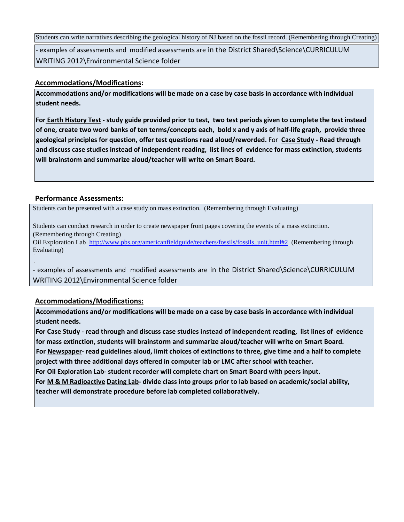Students can write narratives describing the geological history of NJ based on the fossil record. (Remembering through Creating)

- examples of assessments and modified assessments are in the District Shared\Science\CURRICULUM WRITING 2012\Environmental Science folder

### **Accommodations/Modifications:**

**Accommodations and/or modifications will be made on a case by case basis in accordance with individual student needs.** 

**For Earth History Test - study guide provided prior to test, two test periods given to complete the test instead of one, create two word banks of ten terms/concepts each, bold x and y axis of half-life graph, provide three geological principles for question, offer test questions read aloud/reworded.** For **Case Study - Read through and discuss case studies instead of independent reading, list lines of evidence for mass extinction, students will brainstorm and summarize aloud/teacher will write on Smart Board.** 

### **Performance Assessments:**

Students can be presented with a case study on mass extinction. (Remembering through Evaluating)

Students can conduct research in order to create newspaper front pages covering the events of a mass extinction. (Remembering through Creating)

Oil Exploration Lab [http://www.pbs.org/americanfieldguide/teachers/fossils/fossils\\_unit.html#2](http://www.pbs.org/americanfieldguide/teachers/fossils/fossils_unit.html#2) (Remembering through Evaluating)

- examples of assessments and modified assessments are in the District Shared\Science\CURRICULUM WRITING 2012\Environmental Science folder

### **Accommodations/Modifications:**

**Accommodations and/or modifications will be made on a case by case basis in accordance with individual student needs.** 

**For Case Study - read through and discuss case studies instead of independent reading, list lines of evidence for mass extinction, students will brainstorm and summarize aloud/teacher will write on Smart Board. For Newspaper- read guidelines aloud, limit choices of extinctions to three, give time and a half to complete project with three additional days offered in computer lab or LMC after school with teacher. For Oil Exploration Lab- student recorder will complete chart on Smart Board with peers input.** 

**For M & M Radioactive Dating Lab- divide class into groups prior to lab based on academic/social ability, teacher will demonstrate procedure before lab completed collaboratively.**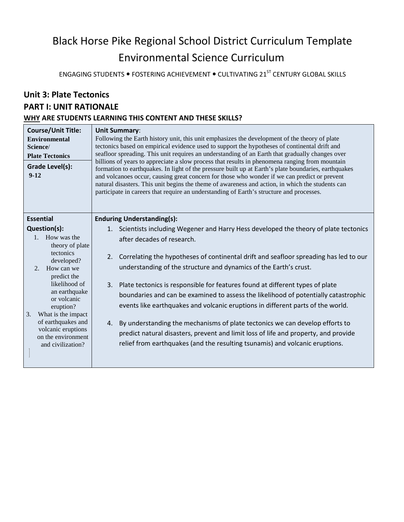# Black Horse Pike Regional School District Curriculum Template Environmental Science Curriculum

ENGAGING STUDENTS • FOSTERING ACHIEVEMENT • CULTIVATING 21<sup>ST</sup> CENTURY GLOBAL SKILLS

# **Unit 3: Plate Tectonics PART I: UNIT RATIONALE WHY ARE STUDENTS LEARNING THIS CONTENT AND THESE SKILLS?**

| <b>Course/Unit Title:</b><br><b>Environmental</b><br>Science/<br><b>Plate Tectonics</b><br>Grade Level(s):<br>$9-12$ | <b>Unit Summary:</b><br>Following the Earth history unit, this unit emphasizes the development of the theory of plate<br>tectonics based on empirical evidence used to support the hypotheses of continental drift and<br>seafloor spreading. This unit requires an understanding of an Earth that gradually changes over<br>billions of years to appreciate a slow process that results in phenomena ranging from mountain<br>formation to earthquakes. In light of the pressure built up at Earth's plate boundaries, earthquakes<br>and volcanoes occur, causing great concern for those who wonder if we can predict or prevent<br>natural disasters. This unit begins the theme of awareness and action, in which the students can<br>participate in careers that require an understanding of Earth's structure and processes. |  |
|----------------------------------------------------------------------------------------------------------------------|-------------------------------------------------------------------------------------------------------------------------------------------------------------------------------------------------------------------------------------------------------------------------------------------------------------------------------------------------------------------------------------------------------------------------------------------------------------------------------------------------------------------------------------------------------------------------------------------------------------------------------------------------------------------------------------------------------------------------------------------------------------------------------------------------------------------------------------|--|
| <b>Essential</b><br><b>Enduring Understanding(s):</b>                                                                |                                                                                                                                                                                                                                                                                                                                                                                                                                                                                                                                                                                                                                                                                                                                                                                                                                     |  |
| Question(s):                                                                                                         | 1. Scientists including Wegener and Harry Hess developed the theory of plate tectonics                                                                                                                                                                                                                                                                                                                                                                                                                                                                                                                                                                                                                                                                                                                                              |  |
| 1. How was the<br>theory of plate                                                                                    | after decades of research.                                                                                                                                                                                                                                                                                                                                                                                                                                                                                                                                                                                                                                                                                                                                                                                                          |  |
| tectonics<br>developed?                                                                                              | 2.<br>Correlating the hypotheses of continental drift and seafloor spreading has led to our                                                                                                                                                                                                                                                                                                                                                                                                                                                                                                                                                                                                                                                                                                                                         |  |
| 2. How can we<br>predict the                                                                                         | understanding of the structure and dynamics of the Earth's crust.                                                                                                                                                                                                                                                                                                                                                                                                                                                                                                                                                                                                                                                                                                                                                                   |  |
| likelihood of                                                                                                        | Plate tectonics is responsible for features found at different types of plate<br>3.                                                                                                                                                                                                                                                                                                                                                                                                                                                                                                                                                                                                                                                                                                                                                 |  |
| an earthquake<br>or volcanic                                                                                         | boundaries and can be examined to assess the likelihood of potentially catastrophic                                                                                                                                                                                                                                                                                                                                                                                                                                                                                                                                                                                                                                                                                                                                                 |  |
| eruption?                                                                                                            | events like earthquakes and volcanic eruptions in different parts of the world.                                                                                                                                                                                                                                                                                                                                                                                                                                                                                                                                                                                                                                                                                                                                                     |  |
| What is the impact<br>3.<br>of earthquakes and                                                                       | By understanding the mechanisms of plate tectonics we can develop efforts to<br>4.                                                                                                                                                                                                                                                                                                                                                                                                                                                                                                                                                                                                                                                                                                                                                  |  |
| volcanic eruptions<br>on the environment                                                                             | predict natural disasters, prevent and limit loss of life and property, and provide                                                                                                                                                                                                                                                                                                                                                                                                                                                                                                                                                                                                                                                                                                                                                 |  |
| and civilization?                                                                                                    | relief from earthquakes (and the resulting tsunamis) and volcanic eruptions.                                                                                                                                                                                                                                                                                                                                                                                                                                                                                                                                                                                                                                                                                                                                                        |  |
|                                                                                                                      |                                                                                                                                                                                                                                                                                                                                                                                                                                                                                                                                                                                                                                                                                                                                                                                                                                     |  |

I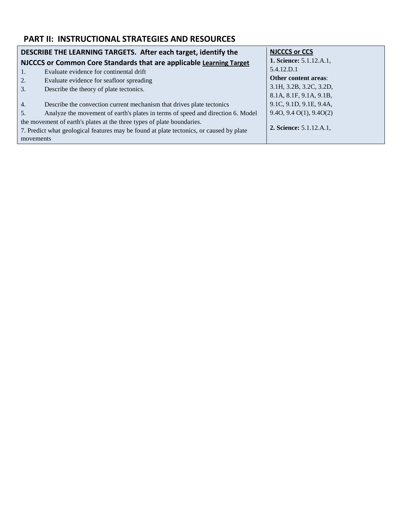# **PART II: INSTRUCTIONAL STRATEGIES AND RESOURCES**

| DESCRIBE THE LEARNING TARGETS. After each target, identify the                          |                                                                                 | <b>NJCCCS or CCS</b>           |
|-----------------------------------------------------------------------------------------|---------------------------------------------------------------------------------|--------------------------------|
| NJCCCS or Common Core Standards that are applicable Learning Target                     |                                                                                 | <b>1. Science:</b> 5.1.12.A.1, |
| $\mathbf{1}$ .                                                                          | Evaluate evidence for continental drift                                         | 5.4.12.D.1                     |
| 2.                                                                                      | Evaluate evidence for seafloor spreading                                        | <b>Other content areas:</b>    |
| 3.                                                                                      | Describe the theory of plate tectonics.                                         | 3.1H, 3.2B, 3.2C, 3.2D,        |
|                                                                                         |                                                                                 | 8.1A, 8.1F, 9.1A, 9.1B,        |
| 4.                                                                                      | Describe the convection current mechanism that drives plate tectonics           | 9.1C, 9.1D, 9.1E, 9.4A,        |
| .5.                                                                                     | Analyze the movement of earth's plates in terms of speed and direction 6. Model | 9.40, 9.40(1), 9.40(2)         |
| the movement of earth's plates at the three types of plate boundaries.                  |                                                                                 |                                |
| 7. Predict what geological features may be found at plate tectonics, or caused by plate |                                                                                 | <b>2. Science:</b> 5.1.12.A.1, |
| movements                                                                               |                                                                                 |                                |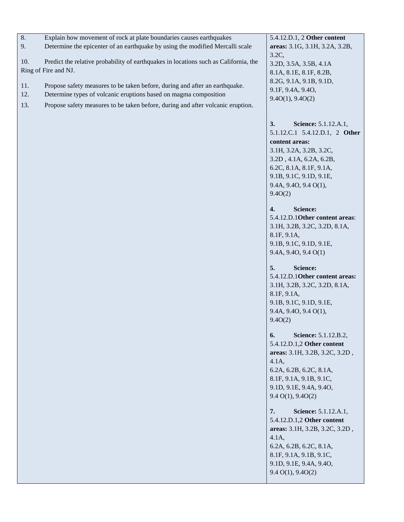| Determine the epicenter of an earthquake by using the modified Mercalli scale<br>9.<br>areas: 3.1G, 3.1H, 3.2A, 3.2B,<br>$3.2C$ ,<br>Predict the relative probability of earthquakes in locations such as California, the<br>10.<br>3.2D, 3.5A, 3.5B, 4.1A<br>Ring of Fire and NJ.<br>8.1A, 8.1E, 8.1F, 8.2B,<br>8.2G, 9.1A, 9.1B, 9.1D,<br>Propose safety measures to be taken before, during and after an earthquake.<br>11.<br>9.1F, 9.4A, 9.4O,<br>12.<br>Determine types of volcanic eruptions based on magma composition<br>9.40(1), 9.40(2)<br>13.<br>Propose safety measures to be taken before, during and after volcanic eruption.<br>3.<br>Science: 5.1.12.A.1,<br>5.1.12.C.1 5.4.12.D.1, 2 Other<br>content areas:<br>3.1H, 3.2A, 3.2B, 3.2C,<br>3.2D, 4.1A, 6.2A, 6.2B,<br>6.2C, 8.1A, 8.1F, 9.1A,<br>9.1B, 9.1C, 9.1D, 9.1E,<br>9.4A, 9.4O, 9.4 O(1),<br>9.4O(2)<br>4.<br><b>Science:</b><br>5.4.12.D.10ther content areas:<br>3.1H, 3.2B, 3.2C, 3.2D, 8.1A,<br>8.1F, 9.1A,<br>9.1B, 9.1C, 9.1D, 9.1E,<br>9.4A, 9.4O, 9.4 O(1)<br>5.<br>Science:<br>5.4.12.D.1Other content areas:<br>3.1H, 3.2B, 3.2C, 3.2D, 8.1A,<br>8.1F, 9.1A,<br>9.1B, 9.1C, 9.1D, 9.1E,<br>9.4A, 9.4O, 9.4 O(1),<br>9.4O(2)<br>Science: 5.1.12.B.2,<br>6. |
|-----------------------------------------------------------------------------------------------------------------------------------------------------------------------------------------------------------------------------------------------------------------------------------------------------------------------------------------------------------------------------------------------------------------------------------------------------------------------------------------------------------------------------------------------------------------------------------------------------------------------------------------------------------------------------------------------------------------------------------------------------------------------------------------------------------------------------------------------------------------------------------------------------------------------------------------------------------------------------------------------------------------------------------------------------------------------------------------------------------------------------------------------------------------------------------------------------------------------------------------------|
|                                                                                                                                                                                                                                                                                                                                                                                                                                                                                                                                                                                                                                                                                                                                                                                                                                                                                                                                                                                                                                                                                                                                                                                                                                               |
|                                                                                                                                                                                                                                                                                                                                                                                                                                                                                                                                                                                                                                                                                                                                                                                                                                                                                                                                                                                                                                                                                                                                                                                                                                               |
|                                                                                                                                                                                                                                                                                                                                                                                                                                                                                                                                                                                                                                                                                                                                                                                                                                                                                                                                                                                                                                                                                                                                                                                                                                               |
|                                                                                                                                                                                                                                                                                                                                                                                                                                                                                                                                                                                                                                                                                                                                                                                                                                                                                                                                                                                                                                                                                                                                                                                                                                               |
|                                                                                                                                                                                                                                                                                                                                                                                                                                                                                                                                                                                                                                                                                                                                                                                                                                                                                                                                                                                                                                                                                                                                                                                                                                               |
|                                                                                                                                                                                                                                                                                                                                                                                                                                                                                                                                                                                                                                                                                                                                                                                                                                                                                                                                                                                                                                                                                                                                                                                                                                               |
|                                                                                                                                                                                                                                                                                                                                                                                                                                                                                                                                                                                                                                                                                                                                                                                                                                                                                                                                                                                                                                                                                                                                                                                                                                               |
|                                                                                                                                                                                                                                                                                                                                                                                                                                                                                                                                                                                                                                                                                                                                                                                                                                                                                                                                                                                                                                                                                                                                                                                                                                               |
|                                                                                                                                                                                                                                                                                                                                                                                                                                                                                                                                                                                                                                                                                                                                                                                                                                                                                                                                                                                                                                                                                                                                                                                                                                               |
|                                                                                                                                                                                                                                                                                                                                                                                                                                                                                                                                                                                                                                                                                                                                                                                                                                                                                                                                                                                                                                                                                                                                                                                                                                               |
|                                                                                                                                                                                                                                                                                                                                                                                                                                                                                                                                                                                                                                                                                                                                                                                                                                                                                                                                                                                                                                                                                                                                                                                                                                               |
|                                                                                                                                                                                                                                                                                                                                                                                                                                                                                                                                                                                                                                                                                                                                                                                                                                                                                                                                                                                                                                                                                                                                                                                                                                               |
|                                                                                                                                                                                                                                                                                                                                                                                                                                                                                                                                                                                                                                                                                                                                                                                                                                                                                                                                                                                                                                                                                                                                                                                                                                               |
|                                                                                                                                                                                                                                                                                                                                                                                                                                                                                                                                                                                                                                                                                                                                                                                                                                                                                                                                                                                                                                                                                                                                                                                                                                               |
|                                                                                                                                                                                                                                                                                                                                                                                                                                                                                                                                                                                                                                                                                                                                                                                                                                                                                                                                                                                                                                                                                                                                                                                                                                               |
|                                                                                                                                                                                                                                                                                                                                                                                                                                                                                                                                                                                                                                                                                                                                                                                                                                                                                                                                                                                                                                                                                                                                                                                                                                               |
|                                                                                                                                                                                                                                                                                                                                                                                                                                                                                                                                                                                                                                                                                                                                                                                                                                                                                                                                                                                                                                                                                                                                                                                                                                               |
|                                                                                                                                                                                                                                                                                                                                                                                                                                                                                                                                                                                                                                                                                                                                                                                                                                                                                                                                                                                                                                                                                                                                                                                                                                               |
|                                                                                                                                                                                                                                                                                                                                                                                                                                                                                                                                                                                                                                                                                                                                                                                                                                                                                                                                                                                                                                                                                                                                                                                                                                               |
|                                                                                                                                                                                                                                                                                                                                                                                                                                                                                                                                                                                                                                                                                                                                                                                                                                                                                                                                                                                                                                                                                                                                                                                                                                               |
|                                                                                                                                                                                                                                                                                                                                                                                                                                                                                                                                                                                                                                                                                                                                                                                                                                                                                                                                                                                                                                                                                                                                                                                                                                               |
|                                                                                                                                                                                                                                                                                                                                                                                                                                                                                                                                                                                                                                                                                                                                                                                                                                                                                                                                                                                                                                                                                                                                                                                                                                               |
|                                                                                                                                                                                                                                                                                                                                                                                                                                                                                                                                                                                                                                                                                                                                                                                                                                                                                                                                                                                                                                                                                                                                                                                                                                               |
|                                                                                                                                                                                                                                                                                                                                                                                                                                                                                                                                                                                                                                                                                                                                                                                                                                                                                                                                                                                                                                                                                                                                                                                                                                               |
|                                                                                                                                                                                                                                                                                                                                                                                                                                                                                                                                                                                                                                                                                                                                                                                                                                                                                                                                                                                                                                                                                                                                                                                                                                               |
|                                                                                                                                                                                                                                                                                                                                                                                                                                                                                                                                                                                                                                                                                                                                                                                                                                                                                                                                                                                                                                                                                                                                                                                                                                               |
|                                                                                                                                                                                                                                                                                                                                                                                                                                                                                                                                                                                                                                                                                                                                                                                                                                                                                                                                                                                                                                                                                                                                                                                                                                               |
|                                                                                                                                                                                                                                                                                                                                                                                                                                                                                                                                                                                                                                                                                                                                                                                                                                                                                                                                                                                                                                                                                                                                                                                                                                               |
|                                                                                                                                                                                                                                                                                                                                                                                                                                                                                                                                                                                                                                                                                                                                                                                                                                                                                                                                                                                                                                                                                                                                                                                                                                               |
|                                                                                                                                                                                                                                                                                                                                                                                                                                                                                                                                                                                                                                                                                                                                                                                                                                                                                                                                                                                                                                                                                                                                                                                                                                               |
|                                                                                                                                                                                                                                                                                                                                                                                                                                                                                                                                                                                                                                                                                                                                                                                                                                                                                                                                                                                                                                                                                                                                                                                                                                               |
|                                                                                                                                                                                                                                                                                                                                                                                                                                                                                                                                                                                                                                                                                                                                                                                                                                                                                                                                                                                                                                                                                                                                                                                                                                               |
|                                                                                                                                                                                                                                                                                                                                                                                                                                                                                                                                                                                                                                                                                                                                                                                                                                                                                                                                                                                                                                                                                                                                                                                                                                               |
| 5.4.12.D.1,2 Other content                                                                                                                                                                                                                                                                                                                                                                                                                                                                                                                                                                                                                                                                                                                                                                                                                                                                                                                                                                                                                                                                                                                                                                                                                    |
| areas: 3.1H, 3.2B, 3.2C, 3.2D,                                                                                                                                                                                                                                                                                                                                                                                                                                                                                                                                                                                                                                                                                                                                                                                                                                                                                                                                                                                                                                                                                                                                                                                                                |
| $4.1A$ ,                                                                                                                                                                                                                                                                                                                                                                                                                                                                                                                                                                                                                                                                                                                                                                                                                                                                                                                                                                                                                                                                                                                                                                                                                                      |
| 6.2A, 6.2B, 6.2C, 8.1A,                                                                                                                                                                                                                                                                                                                                                                                                                                                                                                                                                                                                                                                                                                                                                                                                                                                                                                                                                                                                                                                                                                                                                                                                                       |
| 8.1F, 9.1A, 9.1B, 9.1C,                                                                                                                                                                                                                                                                                                                                                                                                                                                                                                                                                                                                                                                                                                                                                                                                                                                                                                                                                                                                                                                                                                                                                                                                                       |
| 9.1D, 9.1E, 9.4A, 9.4O,                                                                                                                                                                                                                                                                                                                                                                                                                                                                                                                                                                                                                                                                                                                                                                                                                                                                                                                                                                                                                                                                                                                                                                                                                       |
| $9.4 \text{ O}(1), 9.4 \text{ O}(2)$                                                                                                                                                                                                                                                                                                                                                                                                                                                                                                                                                                                                                                                                                                                                                                                                                                                                                                                                                                                                                                                                                                                                                                                                          |
|                                                                                                                                                                                                                                                                                                                                                                                                                                                                                                                                                                                                                                                                                                                                                                                                                                                                                                                                                                                                                                                                                                                                                                                                                                               |
| 7.<br>Science: 5.1.12.A.1,                                                                                                                                                                                                                                                                                                                                                                                                                                                                                                                                                                                                                                                                                                                                                                                                                                                                                                                                                                                                                                                                                                                                                                                                                    |
| 5.4.12.D.1,2 Other content                                                                                                                                                                                                                                                                                                                                                                                                                                                                                                                                                                                                                                                                                                                                                                                                                                                                                                                                                                                                                                                                                                                                                                                                                    |
| areas: 3.1H, 3.2B, 3.2C, 3.2D,                                                                                                                                                                                                                                                                                                                                                                                                                                                                                                                                                                                                                                                                                                                                                                                                                                                                                                                                                                                                                                                                                                                                                                                                                |
| $4.1A$ ,                                                                                                                                                                                                                                                                                                                                                                                                                                                                                                                                                                                                                                                                                                                                                                                                                                                                                                                                                                                                                                                                                                                                                                                                                                      |
|                                                                                                                                                                                                                                                                                                                                                                                                                                                                                                                                                                                                                                                                                                                                                                                                                                                                                                                                                                                                                                                                                                                                                                                                                                               |
| 6.2A, 6.2B, 6.2C, 8.1A,                                                                                                                                                                                                                                                                                                                                                                                                                                                                                                                                                                                                                                                                                                                                                                                                                                                                                                                                                                                                                                                                                                                                                                                                                       |
| 8.1F, 9.1A, 9.1B, 9.1C,                                                                                                                                                                                                                                                                                                                                                                                                                                                                                                                                                                                                                                                                                                                                                                                                                                                                                                                                                                                                                                                                                                                                                                                                                       |
| 9.1D, 9.1E, 9.4A, 9.4O,<br>$9.4 \text{ O}(1), 9.4 \text{ O}(2)$                                                                                                                                                                                                                                                                                                                                                                                                                                                                                                                                                                                                                                                                                                                                                                                                                                                                                                                                                                                                                                                                                                                                                                               |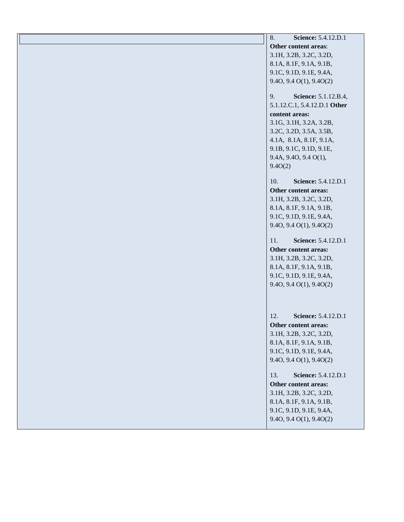| 8.<br><b>Science:</b> 5.4.12.D.1 |
|----------------------------------|
| Other content areas:             |
| 3.1H, 3.2B, 3.2C, 3.2D,          |
| 8.1A, 8.1F, 9.1A, 9.1B,          |
| 9.1C, 9.1D, 9.1E, 9.4A,          |
| $9.4O$ , $9.4O(1)$ , $9.4O(2)$   |
|                                  |
| Science: 5.1.12.B.4,<br>9.       |
| 5.1.12.C.1, 5.4.12.D.1 Other     |
| content areas:                   |
| 3.1G, 3.1H, 3.2A, 3.2B,          |
| 3.2C, 3.2D, 3.5A, 3.5B,          |
| 4.1A, 8.1A, 8.1F, 9.1A,          |
| 9.1B, 9.1C, 9.1D, 9.1E,          |
| 9.4A, 9.4O, 9.4 O(1),            |
| 9.40(2)                          |
| Science: 5.4.12.D.1<br>10.       |
| Other content areas:             |
| 3.1H, 3.2B, 3.2C, 3.2D,          |
| 8.1A, 8.1F, 9.1A, 9.1B,          |
| 9.1C, 9.1D, 9.1E, 9.4A,          |
| 9.40, 9.40(1), 9.40(2)           |
|                                  |
| Science: 5.4.12.D.1<br>11.       |
| Other content areas:             |
| 3.1H, 3.2B, 3.2C, 3.2D,          |
| 8.1A, 8.1F, 9.1A, 9.1B,          |
| 9.1C, 9.1D, 9.1E, 9.4A,          |
| 9.40, 9.40(1), 9.40(2)           |
|                                  |
|                                  |
| Science: 5.4.12.D.1<br>12.       |
| Other content areas:             |
| 3.1H, 3.2B, 3.2C, 3.2D,          |
| 8.1A, 8.1F, 9.1A, 9.1B,          |
| 9.1C, 9.1D, 9.1E, 9.4A,          |
| 9.40, 9.40(1), 9.40(2)           |
|                                  |
| Science: 5.4.12.D.1<br>13.       |
| Other content areas:             |
| 3.1H, 3.2B, 3.2C, 3.2D,          |
| 8.1A, 8.1F, 9.1A, 9.1B,          |
| 9.1C, 9.1D, 9.1E, 9.4A,          |
| 9.40, 9.40(1), 9.40(2)           |
|                                  |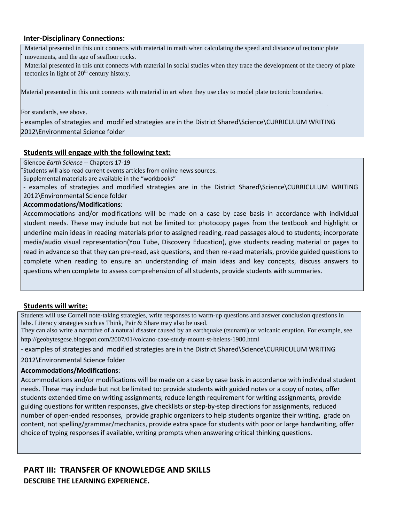### **Inter-Disciplinary Connections:**

Material presented in this unit connects with material in math when calculating the speed and distance of tectonic plate movements, and the age of seafloor rocks.

Material presented in this unit connects with material in social studies when they trace the development of the theory of plate tectonics in light of  $20<sup>th</sup>$  century history.

Material presented in this unit connects with material in art when they use clay to model plate tectonic boundaries.

For standards, see above.

examples of strategies and modified strategies are in the District Shared\Science\CURRICULUM WRITING 2012\Environmental Science folder

### **Students will engage with the following text:**

Glencoe *Earth Science --* Chapters 17-19

Students will also read current events articles from online news sources.

Supplemental materials are available in the "workbooks"

- examples of strategies and modified strategies are in the District Shared\Science\CURRICULUM WRITING 2012\Environmental Science folder

#### **Accommodations/Modifications**:

Accommodations and/or modifications will be made on a case by case basis in accordance with individual student needs. These may include but not be limited to: photocopy pages from the textbook and highlight or underline main ideas in reading materials prior to assigned reading, read passages aloud to students; incorporate media/audio visual representation(You Tube, Discovery Education), give students reading material or pages to read in advance so that they can pre-read, ask questions, and then re-read materials, provide guided questions to complete when reading to ensure an understanding of main ideas and key concepts, discuss answers to questions when complete to assess comprehension of all students, provide students with summaries.

#### **Students will write:**

Students will use Cornell note-taking strategies, write responses to warm-up questions and answer conclusion questions in labs. Literacy strategies such as Think, Pair & Share may also be used.

They can also write a narrative of a natural disaster caused by an earthquake (tsunami) or volcanic eruption. For example, see http://geobytesgcse.blogspot.com/2007/01/volcano-case-study-mount-st-helens-1980.html

- examples of strategies and modified strategies are in the District Shared\Science\CURRICULUM WRITING

2012\Environmental Science folder

#### **Accommodations/Modifications**:

Accommodations and/or modifications will be made on a case by case basis in accordance with individual student needs. These may include but not be limited to: provide students with guided notes or a copy of notes, offer students extended time on writing assignments; reduce length requirement for writing assignments, provide guiding questions for written responses, give checklists or step-by-step directions for assignments, reduced number of open-ended responses, provide graphic organizers to help students organize their writing, grade on content, not spelling/grammar/mechanics, provide extra space for students with poor or large handwriting, offer choice of typing responses if available, writing prompts when answering critical thinking questions.

### **PART III: TRANSFER OF KNOWLEDGE AND SKILLS DESCRIBE THE LEARNING EXPERIENCE.**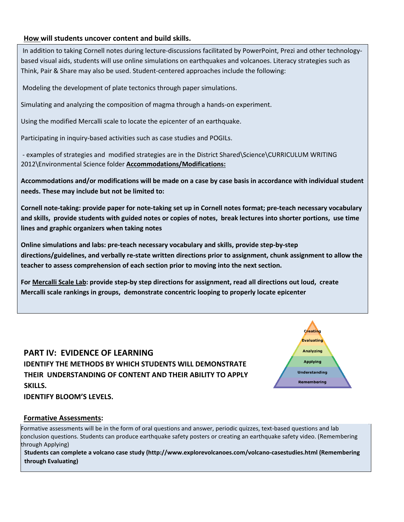### **How will students uncover content and build skills.**

In addition to taking Cornell notes during lecture-discussions facilitated by PowerPoint, Prezi and other technologybased visual aids, students will use online simulations on earthquakes and volcanoes. Literacy strategies such as Think, Pair & Share may also be used. Student-centered approaches include the following:

Modeling the development of plate tectonics through paper simulations.

Simulating and analyzing the composition of magma through a hands-on experiment.

Using the modified Mercalli scale to locate the epicenter of an earthquake.

Participating in inquiry-based activities such as case studies and POGILs.

- examples of strategies and modified strategies are in the District Shared\Science\CURRICULUM WRITING 2012\Environmental Science folder **Accommodations/Modifications:** 

**Accommodations and/or modifications will be made on a case by case basis in accordance with individual student needs. These may include but not be limited to:** 

**Cornell note-taking: provide paper for note-taking set up in Cornell notes format; pre-teach necessary vocabulary and skills, provide students with guided notes or copies of notes, break lectures into shorter portions, use time lines and graphic organizers when taking notes** 

**Online simulations and labs: pre-teach necessary vocabulary and skills, provide step-by-step directions/guidelines, and verbally re-state written directions prior to assignment, chunk assignment to allow the teacher to assess comprehension of each section prior to moving into the next section.** 

**For Mercalli Scale Lab: provide step-by step directions for assignment, read all directions out loud, create Mercalli scale rankings in groups, demonstrate concentric looping to properly locate epicenter** 

# **PART IV: EVIDENCE OF LEARNING IDENTIFY THE METHODS BY WHICH STUDENTS WILL DEMONSTRATE THEIR UNDERSTANDING OF CONTENT AND THEIR ABILITY TO APPLY SKILLS.**



**IDENTIFY BLOOM'S LEVELS.** 

### **Formative Assessments:**

Formative assessments will be in the form of oral questions and answer, periodic quizzes, text-based questions and lab conclusion questions. Students can produce earthquake safety posters or creating an earthquake safety video. (Remembering through Applying)

**Students can complete a volcano case study (http://www.explorevolcanoes.com/volcano-casestudies.html (Remembering through Evaluating)**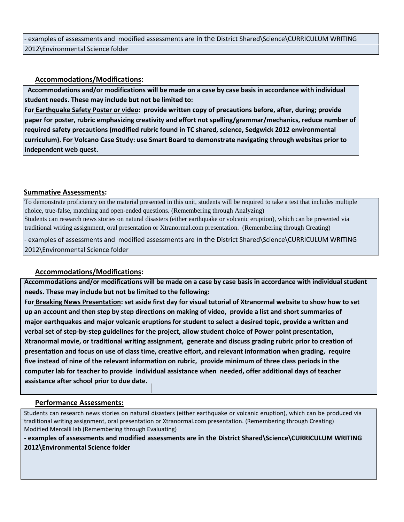- examples of assessments and modified assessments are in the District Shared\Science\CURRICULUM WRITING 2012\Environmental Science folder

### **Accommodations/Modifications:**

 **Accommodations and/or modifications will be made on a case by case basis in accordance with individual student needs. These may include but not be limited to:** 

**For Earthquake Safety Poster or video: provide written copy of precautions before, after, during; provide paper for poster, rubric emphasizing creativity and effort not spelling/grammar/mechanics, reduce number of required safety precautions (modified rubric found in TC shared, science, Sedgwick 2012 environmental curriculum). For Volcano Case Study: use Smart Board to demonstrate navigating through websites prior to independent web quest.** 

### **Summative Assessments:**

To demonstrate proficiency on the material presented in this unit, students will be required to take a test that includes multiple choice, true-false, matching and open-ended questions. (Remembering through Analyzing) Students can research news stories on natural disasters (either earthquake or volcanic eruption), which can be presented via traditional writing assignment, oral presentation or Xtranormal.com presentation. (Remembering through Creating)

- examples of assessments and modified assessments are in the District Shared\Science\CURRICULUM WRITING 2012\Environmental Science folder

### **Accommodations/Modifications:**

**Accommodations and/or modifications will be made on a case by case basis in accordance with individual student needs. These may include but not be limited to the following:** 

**For Breaking News Presentation: set aside first day for visual tutorial of Xtranormal website to show how to set up an account and then step by step directions on making of video, provide a list and short summaries of major earthquakes and major volcanic eruptions for student to select a desired topic, provide a written and verbal set of step-by-step guidelines for the project, allow student choice of Power point presentation, Xtranormal movie, or traditional writing assignment, generate and discuss grading rubric prior to creation of presentation and focus on use of class time, creative effort, and relevant information when grading, require five instead of nine of the relevant information on rubric, provide minimum of three class periods in the computer lab for teacher to provide individual assistance when needed, offer additional days of teacher assistance after school prior to due date.** 

#### **Performance Assessments:**

Students can research news stories on natural disasters (either earthquake or volcanic eruption), which can be produced via traditional writing assignment, oral presentation or Xtranormal.com presentation. (Remembering through Creating) Modified Mercalli lab (Remembering through Evaluating)

**- examples of assessments and modified assessments are in the District Shared\Science\CURRICULUM WRITING 2012\Environmental Science folder**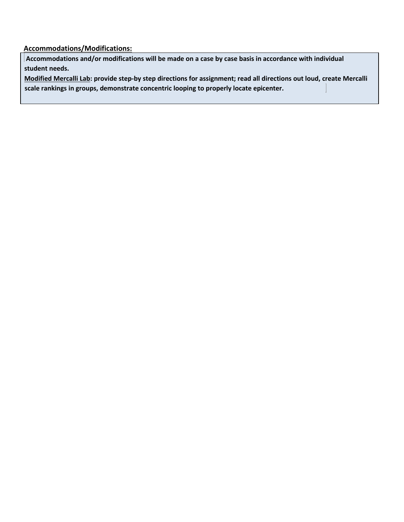**Accommodations/Modifications:**

**Accommodations and/or modifications will be made on a case by case basis in accordance with individual student needs.** 

**Modified Mercalli Lab: provide step-by step directions for assignment; read all directions out loud, create Mercalli scale rankings in groups, demonstrate concentric looping to properly locate epicenter.**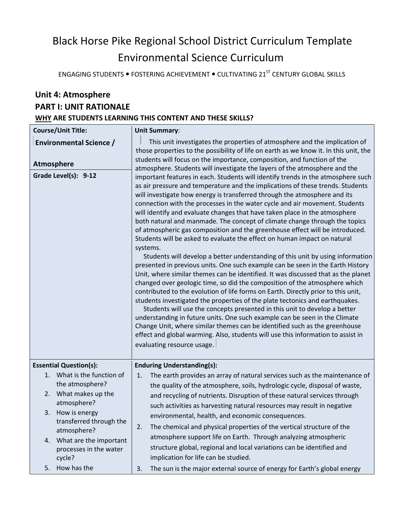# Black Horse Pike Regional School District Curriculum Template Environmental Science Curriculum

ENGAGING STUDENTS  $\bullet$  FOSTERING ACHIEVEMENT  $\bullet$  CULTIVATING 21<sup>ST</sup> CENTURY GLOBAL SKILLS

## **Unit 4: Atmosphere PART I: UNIT RATIONALE WHY ARE STUDENTS LEARNING THIS CONTENT AND THESE SKILLS?**

|                   | <b>Course/Unit Title:</b>                | <b>Unit Summary:</b>                                                                                                                                                                                                                                                                                                                                                                                                                                                                                                                                                                                                                                                                                                                                                                                                                                                                                                                                                                                                                                                                                                                                                                                                                                                                                                                                                                                                                                  |
|-------------------|------------------------------------------|-------------------------------------------------------------------------------------------------------------------------------------------------------------------------------------------------------------------------------------------------------------------------------------------------------------------------------------------------------------------------------------------------------------------------------------------------------------------------------------------------------------------------------------------------------------------------------------------------------------------------------------------------------------------------------------------------------------------------------------------------------------------------------------------------------------------------------------------------------------------------------------------------------------------------------------------------------------------------------------------------------------------------------------------------------------------------------------------------------------------------------------------------------------------------------------------------------------------------------------------------------------------------------------------------------------------------------------------------------------------------------------------------------------------------------------------------------|
|                   | <b>Environmental Science /</b>           | This unit investigates the properties of atmosphere and the implication of                                                                                                                                                                                                                                                                                                                                                                                                                                                                                                                                                                                                                                                                                                                                                                                                                                                                                                                                                                                                                                                                                                                                                                                                                                                                                                                                                                            |
|                   |                                          | those properties to the possibility of life on earth as we know it. In this unit, the<br>students will focus on the importance, composition, and function of the                                                                                                                                                                                                                                                                                                                                                                                                                                                                                                                                                                                                                                                                                                                                                                                                                                                                                                                                                                                                                                                                                                                                                                                                                                                                                      |
| <b>Atmosphere</b> |                                          | atmosphere. Students will investigate the layers of the atmosphere and the                                                                                                                                                                                                                                                                                                                                                                                                                                                                                                                                                                                                                                                                                                                                                                                                                                                                                                                                                                                                                                                                                                                                                                                                                                                                                                                                                                            |
|                   | Grade Level(s): 9-12                     | important features in each. Students will identify trends in the atmosphere such                                                                                                                                                                                                                                                                                                                                                                                                                                                                                                                                                                                                                                                                                                                                                                                                                                                                                                                                                                                                                                                                                                                                                                                                                                                                                                                                                                      |
|                   |                                          | as air pressure and temperature and the implications of these trends. Students<br>will investigate how energy is transferred through the atmosphere and its<br>connection with the processes in the water cycle and air movement. Students<br>will identify and evaluate changes that have taken place in the atmosphere<br>both natural and manmade. The concept of climate change through the topics<br>of atmospheric gas composition and the greenhouse effect will be introduced.<br>Students will be asked to evaluate the effect on human impact on natural<br>systems.<br>Students will develop a better understanding of this unit by using information<br>presented in previous units. One such example can be seen in the Earth History<br>Unit, where similar themes can be identified. It was discussed that as the planet<br>changed over geologic time, so did the composition of the atmosphere which<br>contributed to the evolution of life forms on Earth. Directly prior to this unit,<br>students investigated the properties of the plate tectonics and earthquakes.<br>Students will use the concepts presented in this unit to develop a better<br>understanding in future units. One such example can be seen in the Climate<br>Change Unit, where similar themes can be identified such as the greenhouse<br>effect and global warming. Also, students will use this information to assist in<br>evaluating resource usage. |
|                   | <b>Essential Question(s):</b>            | <b>Enduring Understanding(s):</b>                                                                                                                                                                                                                                                                                                                                                                                                                                                                                                                                                                                                                                                                                                                                                                                                                                                                                                                                                                                                                                                                                                                                                                                                                                                                                                                                                                                                                     |
|                   | 1. What is the function of               | The earth provides an array of natural services such as the maintenance of<br>1.                                                                                                                                                                                                                                                                                                                                                                                                                                                                                                                                                                                                                                                                                                                                                                                                                                                                                                                                                                                                                                                                                                                                                                                                                                                                                                                                                                      |
|                   | the atmosphere?                          | the quality of the atmosphere, soils, hydrologic cycle, disposal of waste,                                                                                                                                                                                                                                                                                                                                                                                                                                                                                                                                                                                                                                                                                                                                                                                                                                                                                                                                                                                                                                                                                                                                                                                                                                                                                                                                                                            |
|                   | 2. What makes up the                     | and recycling of nutrients. Disruption of these natural services through                                                                                                                                                                                                                                                                                                                                                                                                                                                                                                                                                                                                                                                                                                                                                                                                                                                                                                                                                                                                                                                                                                                                                                                                                                                                                                                                                                              |
| 3.                | atmosphere?                              | such activities as harvesting natural resources may result in negative                                                                                                                                                                                                                                                                                                                                                                                                                                                                                                                                                                                                                                                                                                                                                                                                                                                                                                                                                                                                                                                                                                                                                                                                                                                                                                                                                                                |
|                   | How is energy<br>transferred through the | environmental, health, and economic consequences.                                                                                                                                                                                                                                                                                                                                                                                                                                                                                                                                                                                                                                                                                                                                                                                                                                                                                                                                                                                                                                                                                                                                                                                                                                                                                                                                                                                                     |
|                   | atmosphere?                              | The chemical and physical properties of the vertical structure of the<br>2.                                                                                                                                                                                                                                                                                                                                                                                                                                                                                                                                                                                                                                                                                                                                                                                                                                                                                                                                                                                                                                                                                                                                                                                                                                                                                                                                                                           |
| 4.                | What are the important                   | atmosphere support life on Earth. Through analyzing atmospheric                                                                                                                                                                                                                                                                                                                                                                                                                                                                                                                                                                                                                                                                                                                                                                                                                                                                                                                                                                                                                                                                                                                                                                                                                                                                                                                                                                                       |
|                   | processes in the water<br>cycle?         | structure global, regional and local variations can be identified and<br>implication for life can be studied.                                                                                                                                                                                                                                                                                                                                                                                                                                                                                                                                                                                                                                                                                                                                                                                                                                                                                                                                                                                                                                                                                                                                                                                                                                                                                                                                         |
| 5.                | How has the                              | The sun is the major external source of energy for Earth's global energy<br>3.                                                                                                                                                                                                                                                                                                                                                                                                                                                                                                                                                                                                                                                                                                                                                                                                                                                                                                                                                                                                                                                                                                                                                                                                                                                                                                                                                                        |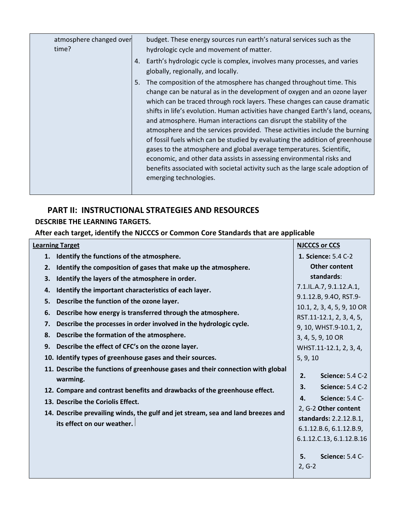| atmosphere changed over<br>time? | 5. | budget. These energy sources run earth's natural services such as the<br>hydrologic cycle and movement of matter.<br>4. Earth's hydrologic cycle is complex, involves many processes, and varies<br>globally, regionally, and locally.<br>The composition of the atmosphere has changed throughout time. This<br>change can be natural as in the development of oxygen and an ozone layer<br>which can be traced through rock layers. These changes can cause dramatic<br>shifts in life's evolution. Human activities have changed Earth's land, oceans,<br>and atmosphere. Human interactions can disrupt the stability of the<br>atmosphere and the services provided. These activities include the burning<br>of fossil fuels which can be studied by evaluating the addition of greenhouse<br>gases to the atmosphere and global average temperatures. Scientific,<br>economic, and other data assists in assessing environmental risks and<br>benefits associated with societal activity such as the large scale adoption of<br>emerging technologies. |
|----------------------------------|----|--------------------------------------------------------------------------------------------------------------------------------------------------------------------------------------------------------------------------------------------------------------------------------------------------------------------------------------------------------------------------------------------------------------------------------------------------------------------------------------------------------------------------------------------------------------------------------------------------------------------------------------------------------------------------------------------------------------------------------------------------------------------------------------------------------------------------------------------------------------------------------------------------------------------------------------------------------------------------------------------------------------------------------------------------------------|
|                                  |    |                                                                                                                                                                                                                                                                                                                                                                                                                                                                                                                                                                                                                                                                                                                                                                                                                                                                                                                                                                                                                                                              |
|                                  |    |                                                                                                                                                                                                                                                                                                                                                                                                                                                                                                                                                                                                                                                                                                                                                                                                                                                                                                                                                                                                                                                              |

### **PART II: INSTRUCTIONAL STRATEGIES AND RESOURCES DESCRIBE THE LEARNING TARGETS.**

**After each target, identify the NJCCCS or Common Core Standards that are applicable** 

|    | <b>Learning Target</b>                                                           |                | <b>NJCCCS or CCS</b>       |
|----|----------------------------------------------------------------------------------|----------------|----------------------------|
| 1. | Identify the functions of the atmosphere.                                        |                | 1. Science: 5.4 C-2        |
| 2. | Identify the composition of gases that make up the atmosphere.                   |                | <b>Other content</b>       |
| З. | Identify the layers of the atmosphere in order.                                  |                | standards:                 |
| 4. | Identify the important characteristics of each layer.                            |                | 7.1.IL.A.7, 9.1.12.A.1,    |
| 5. | Describe the function of the ozone layer.                                        |                | 9.1.12.B, 9.40, RST.9-     |
| 6. | Describe how energy is transferred through the atmosphere.                       |                | 10.1, 2, 3, 4, 5, 9, 10 OR |
| 7. | Describe the processes in order involved in the hydrologic cycle.                |                | RST.11-12.1, 2, 3, 4, 5,   |
| 8. | Describe the formation of the atmosphere.                                        |                | 9, 10, WHST.9-10.1, 2,     |
|    |                                                                                  |                | 3, 4, 5, 9, 10 OR          |
| 9. | Describe the effect of CFC's on the ozone layer.                                 |                | WHST.11-12.1, 2, 3, 4,     |
|    | 10. Identify types of greenhouse gases and their sources.                        | 5, 9, 10       |                            |
|    | 11. Describe the functions of greenhouse gases and their connection with global  |                |                            |
|    | warming.                                                                         | 2.             | <b>Science: 5.4 C-2</b>    |
|    | 12. Compare and contrast benefits and drawbacks of the greenhouse effect.        | 3.             | <b>Science: 5.4 C-2</b>    |
|    | 13. Describe the Coriolis Effect.                                                | 4.             | <b>Science: 5.4 C-</b>     |
|    | 14. Describe prevailing winds, the gulf and jet stream, sea and land breezes and |                | 2, G-2 Other content       |
|    | its effect on our weather.                                                       |                | standards: 2.2.12.B.1,     |
|    |                                                                                  |                | 6.1.12.B.6, 6.1.12.B.9,    |
|    |                                                                                  |                | 6.1.12.C.13, 6.1.12.B.16   |
|    |                                                                                  | 5.<br>$2, G-2$ | Science: 5.4 C-            |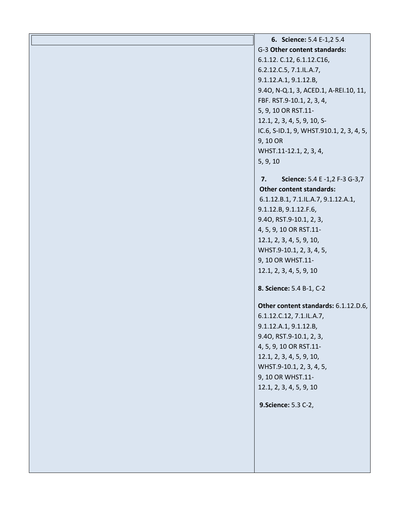**6. Science:** 5.4 E-1,2 5.4 G-3 **Other content standards:** 6.1.12. C.12, 6.1.12.C16, 6.2.12.C.5, 7.1.IL.A.7, 9.1.12.A.1, 9.1.12.B, 9.4O, N-Q.1, 3, ACED.1, A-REI.10, 11, FBF. RST.9-10.1, 2, 3, 4, 5, 9, 10 OR RST.11- 12.1, 2, 3, 4, 5, 9, 10, S-IC.6, S-ID.1, 9, WHST.910.1, 2, 3, 4, 5, 9, 10 OR WHST.11-12.1, 2, 3, 4, 5, 9, 10 **7. Science:** 5.4 E -1,2 F-3 G-3,7 **Other content standards:** 6.1.12.B.1, 7.1.IL.A.7, 9.1.12.A.1, 9.1.12.B, 9.1.12.F.6, 9.4O, RST.9-10.1, 2, 3, 4, 5, 9, 10 OR RST.11- 12.1, 2, 3, 4, 5, 9, 10, WHST.9-10.1, 2, 3, 4, 5, 9, 10 OR WHST.11- 12.1, 2, 3, 4, 5, 9, 10 **8. Science:** 5.4 B-1, C-2 **Other content standards:** 6.1.12.D.6, 6.1.12.C.12, 7.1.IL.A.7, 9.1.12.A.1, 9.1.12.B, 9.4O, RST.9-10.1, 2, 3, 4, 5, 9, 10 OR RST.11- 12.1, 2, 3, 4, 5, 9, 10, WHST.9-10.1, 2, 3, 4, 5, 9, 10 OR WHST.11- 12.1, 2, 3, 4, 5, 9, 10 **9.Science:** 5.3 C-2,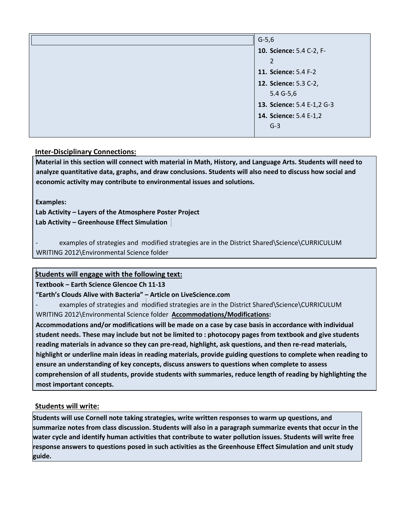| $G-5,6$                    |  |
|----------------------------|--|
| 10. Science: 5.4 C-2, F-   |  |
| 2                          |  |
| 11. Science: 5.4 F-2       |  |
| 12. Science: 5.3 C-2,      |  |
| $5.4 G-5.6$                |  |
| 13. Science: 5.4 E-1,2 G-3 |  |
| 14. Science: 5.4 E-1,2     |  |
| $G-3$                      |  |

### **Inter-Disciplinary Connections:**

**Material in this section will connect with material in Math, History, and Language Arts. Students will need to analyze quantitative data, graphs, and draw conclusions. Students will also need to discuss how social and economic activity may contribute to environmental issues and solutions.** 

**Examples:** 

**Lab Activity – Layers of the Atmosphere Poster Project Lab Activity – Greenhouse Effect Simulation** 

examples of strategies and modified strategies are in the District Shared\Science\CURRICULUM WRITING 2012\Environmental Science folder

### **Students will engage with the following text:**

**Textbook – Earth Science Glencoe Ch 11-13**

### **"Earth's Clouds Alive with Bacteria" – Article on LiveScience.com**

examples of strategies and modified strategies are in the District Shared\Science\CURRICULUM WRITING 2012\Environmental Science folder **Accommodations/Modifications:** 

**Accommodations and/or modifications will be made on a case by case basis in accordance with individual student needs. These may include but not be limited to : photocopy pages from textbook and give students reading materials in advance so they can pre-read, highlight, ask questions, and then re-read materials, highlight or underline main ideas in reading materials, provide guiding questions to complete when reading to ensure an understanding of key concepts, discuss answers to questions when complete to assess comprehension of all students, provide students with summaries, reduce length of reading by highlighting the most important concepts.** 

### **Students will write:**

**Students will use Cornell note taking strategies, write written responses to warm up questions, and summarize notes from class discussion. Students will also in a paragraph summarize events that occur in the water cycle and identify human activities that contribute to water pollution issues. Students will write free response answers to questions posed in such activities as the Greenhouse Effect Simulation and unit study guide.**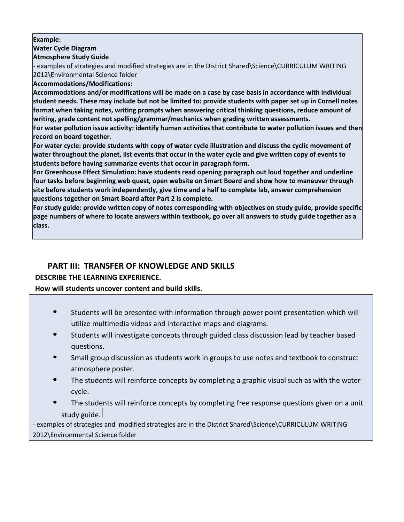### **Example:**

### **Water Cycle Diagram**

### **Atmosphere Study Guide**

- examples of strategies and modified strategies are in the District Shared\Science\CURRICULUM WRITING 2012\Environmental Science folder

### **Accommodations/Modifications:**

**Accommodations and/or modifications will be made on a case by case basis in accordance with individual student needs. These may include but not be limited to: provide students with paper set up in Cornell notes format when taking notes, writing prompts when answering critical thinking questions, reduce amount of writing, grade content not spelling/grammar/mechanics when grading written assessments.** 

**For water pollution issue activity: identify human activities that contribute to water pollution issues and then record on board together.** 

**For water cycle: provide students with copy of water cycle illustration and discuss the cyclic movement of water throughout the planet, list events that occur in the water cycle and give written copy of events to students before having summarize events that occur in paragraph form.** 

**For Greenhouse Effect Simulation: have students read opening paragraph out loud together and underline four tasks before beginning web quest, open website on Smart Board and show how to maneuver through site before students work independently, give time and a half to complete lab, answer comprehension questions together on Smart Board after Part 2 is complete.** 

**For study guide: provide written copy of notes corresponding with objectives on study guide, provide specific page numbers of where to locate answers within textbook, go over all answers to study guide together as a class.**

### **PART III: TRANSFER OF KNOWLEDGE AND SKILLS**

### **DESCRIBE THE LEARNING EXPERIENCE.**

### **How will students uncover content and build skills.**

- $\bullet$ Students will be presented with information through power point presentation which will utilize multimedia videos and interactive maps and diagrams.
- Students will investigate concepts through guided class discussion lead by teacher based questions.
- Small group discussion as students work in groups to use notes and textbook to construct atmosphere poster.
- The students will reinforce concepts by completing a graphic visual such as with the water cycle.
- The students will reinforce concepts by completing free response questions given on a unit study guide.

- examples of strategies and modified strategies are in the District Shared\Science\CURRICULUM WRITING 2012\Environmental Science folder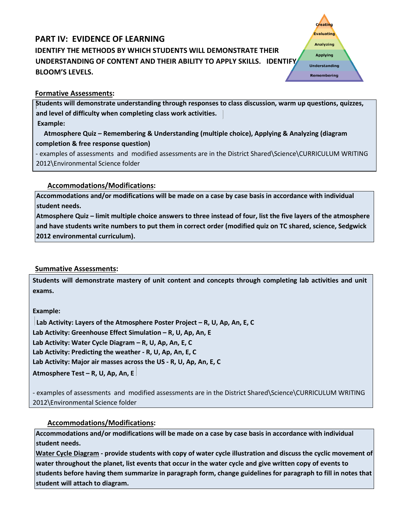# **PART IV: EVIDENCE OF LEARNING IDENTIFY THE METHODS BY WHICH STUDENTS WILL DEMONSTRATE THEIR UNDERSTANDING OF CONTENT AND THEIR ABILITY TO APPLY SKILLS. IDENTIFY BLOOM'S LEVELS.**

### **Formative Assessments:**

**Students will demonstrate understanding through responses to class discussion, warm up questions, quizzes, and level of difficulty when completing class work activities. Example:** 

**Creating Evaluating Analyzing Applying Understanding** Remembering

 **Atmosphere Quiz – Remembering & Understanding (multiple choice), Applying & Analyzing (diagram completion & free response question)** 

- examples of assessments and modified assessments are in the District Shared\Science\CURRICULUM WRITING 2012\Environmental Science folder

### **Accommodations/Modifications:**

**Accommodations and/or modifications will be made on a case by case basis in accordance with individual student needs.** 

**Atmosphere Quiz – limit multiple choice answers to three instead of four, list the five layers of the atmosphere and have students write numbers to put them in correct order (modified quiz on TC shared, science, Sedgwick 2012 environmental curriculum).** 

### **Summative Assessments:**

**Students will demonstrate mastery of unit content and concepts through completing lab activities and unit exams.** 

**Example:** 

**Lab Activity: Layers of the Atmosphere Poster Project – R, U, Ap, An, E, C Lab Activity: Greenhouse Effect Simulation – R, U, Ap, An, E Lab Activity: Water Cycle Diagram – R, U, Ap, An, E, C Lab Activity: Predicting the weather - R, U, Ap, An, E, C Lab Activity: Major air masses across the US - R, U, Ap, An, E, C Atmosphere Test – R, U, Ap, An, E**

- examples of assessments and modified assessments are in the District Shared\Science\CURRICULUM WRITING 2012\Environmental Science folder

**Accommodations/Modifications:** 

**Accommodations and/or modifications will be made on a case by case basis in accordance with individual student needs.** 

**Water Cycle Diagram - provide students with copy of water cycle illustration and discuss the cyclic movement of water throughout the planet, list events that occur in the water cycle and give written copy of events to students before having them summarize in paragraph form, change guidelines for paragraph to fill in notes that student will attach to diagram.**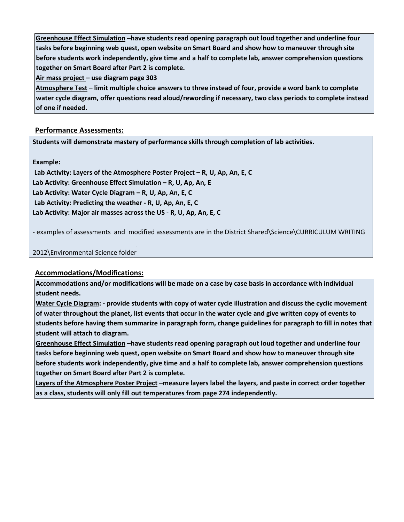**Greenhouse Effect Simulation –have students read opening paragraph out loud together and underline four tasks before beginning web quest, open website on Smart Board and show how to maneuver through site before students work independently, give time and a half to complete lab, answer comprehension questions together on Smart Board after Part 2 is complete.**

**Air mass project – use diagram page 303** 

**Atmosphere Test – limit multiple choice answers to three instead of four, provide a word bank to complete water cycle diagram, offer questions read aloud/rewording if necessary, two class periods to complete instead of one if needed.** 

### **Performance Assessments:**

**Students will demonstrate mastery of performance skills through completion of lab activities.** 

**Example:** 

**Lab Activity: Layers of the Atmosphere Poster Project – R, U, Ap, An, E, C Lab Activity: Greenhouse Effect Simulation – R, U, Ap, An, E Lab Activity: Water Cycle Diagram – R, U, Ap, An, E, C Lab Activity: Predicting the weather - R, U, Ap, An, E, C Lab Activity: Major air masses across the US - R, U, Ap, An, E, C**

- examples of assessments and modified assessments are in the District Shared\Science\CURRICULUM WRITING

### 2012\Environmental Science folder

### **Accommodations/Modifications:**

**Accommodations and/or modifications will be made on a case by case basis in accordance with individual student needs.** 

**Water Cycle Diagram: - provide students with copy of water cycle illustration and discuss the cyclic movement of water throughout the planet, list events that occur in the water cycle and give written copy of events to students before having them summarize in paragraph form, change guidelines for paragraph to fill in notes that student will attach to diagram.** 

**Greenhouse Effect Simulation –have students read opening paragraph out loud together and underline four tasks before beginning web quest, open website on Smart Board and show how to maneuver through site before students work independently, give time and a half to complete lab, answer comprehension questions together on Smart Board after Part 2 is complete.** 

**Layers of the Atmosphere Poster Project –measure layers label the layers, and paste in correct order together as a class, students will only fill out temperatures from page 274 independently.**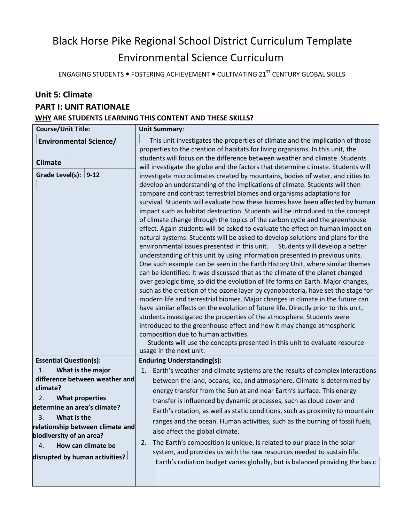# Black Horse Pike Regional School District Curriculum Template Environmental Science Curriculum

ENGAGING STUDENTS  $\bullet$  FOSTERING ACHIEVEMENT  $\bullet$  CULTIVATING 21<sup>ST</sup> CENTURY GLOBAL SKILLS

# **Unit 5: Climate PART I: UNIT RATIONALE WHY ARE STUDENTS LEARNING THIS CONTENT AND THESE SKILLS?**

| <b>Course/Unit Title:</b>                                                                                                                                                                                                                                                                                                | <b>Unit Summary:</b>                                                                                                                                                                                                                                                                                                                                                                                                                                                                                                                                                                                                                                                                                                                                                                                                                                                                                                                                                                                                                                                                                                                                                                                                                                                                                                                                                                                                                                                                                                                                                                                                                                                                                                                                                                                                                                                                                                                                                                    |
|--------------------------------------------------------------------------------------------------------------------------------------------------------------------------------------------------------------------------------------------------------------------------------------------------------------------------|-----------------------------------------------------------------------------------------------------------------------------------------------------------------------------------------------------------------------------------------------------------------------------------------------------------------------------------------------------------------------------------------------------------------------------------------------------------------------------------------------------------------------------------------------------------------------------------------------------------------------------------------------------------------------------------------------------------------------------------------------------------------------------------------------------------------------------------------------------------------------------------------------------------------------------------------------------------------------------------------------------------------------------------------------------------------------------------------------------------------------------------------------------------------------------------------------------------------------------------------------------------------------------------------------------------------------------------------------------------------------------------------------------------------------------------------------------------------------------------------------------------------------------------------------------------------------------------------------------------------------------------------------------------------------------------------------------------------------------------------------------------------------------------------------------------------------------------------------------------------------------------------------------------------------------------------------------------------------------------------|
| <b>Environmental Science/</b><br><b>Climate</b><br>Grade Level(s): $ 9-12 $                                                                                                                                                                                                                                              | This unit investigates the properties of climate and the implication of those<br>properties to the creation of habitats for living organisms. In this unit, the<br>students will focus on the difference between weather and climate. Students<br>will investigate the globe and the factors that determine climate. Students will<br>investigate microclimates created by mountains, bodies of water, and cities to<br>develop an understanding of the implications of climate. Students will then<br>compare and contrast terrestrial biomes and organisms adaptations for<br>survival. Students will evaluate how these biomes have been affected by human<br>impact such as habitat destruction. Students will be introduced to the concept<br>of climate change through the topics of the carbon cycle and the greenhouse<br>effect. Again students will be asked to evaluate the effect on human impact on<br>natural systems. Students will be asked to develop solutions and plans for the<br>environmental issues presented in this unit.<br>Students will develop a better<br>understanding of this unit by using information presented in previous units.<br>One such example can be seen in the Earth History Unit, where similar themes<br>can be identified. It was discussed that as the climate of the planet changed<br>over geologic time, so did the evolution of life forms on Earth. Major changes,<br>such as the creation of the ozone layer by cyanobacteria, have set the stage for<br>modern life and terrestrial biomes. Major changes in climate in the future can<br>have similar effects on the evolution of future life. Directly prior to this unit,<br>students investigated the properties of the atmosphere. Students were<br>introduced to the greenhouse effect and how it may change atmospheric<br>composition due to human activities.<br>Students will use the concepts presented in this unit to evaluate resource<br>usage in the next unit. |
| <b>Essential Question(s):</b><br>What is the major<br>1.<br>difference between weather and<br>climate?<br>2.<br><b>What properties</b><br>determine an area's climate?<br>3<br>What is the<br>relationship between climate and<br>biodiversity of an area?<br>How can climate be<br>4.<br>disrupted by human activities? | <b>Enduring Understanding(s):</b><br>Earth's weather and climate systems are the results of complex interactions<br>1.<br>between the land, oceans, ice, and atmosphere. Climate is determined by<br>energy transfer from the Sun at and near Earth's surface. This energy<br>transfer is influenced by dynamic processes, such as cloud cover and<br>Earth's rotation, as well as static conditions, such as proximity to mountain<br>ranges and the ocean. Human activities, such as the burning of fossil fuels,<br>also affect the global climate.<br>The Earth's composition is unique, is related to our place in the solar<br>2.<br>system, and provides us with the raw resources needed to sustain life.<br>Earth's radiation budget varies globally, but is balanced providing the basic                                                                                                                                                                                                                                                                                                                                                                                                                                                                                                                                                                                                                                                                                                                                                                                                                                                                                                                                                                                                                                                                                                                                                                                      |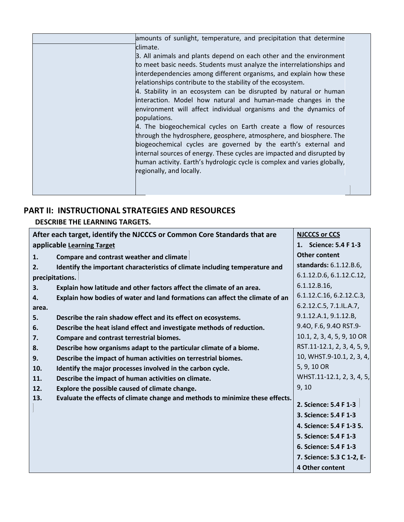| amounts of sunlight, temperature, and precipitation that determine                                                                                                                                                                                                                                                                                                                         |  |
|--------------------------------------------------------------------------------------------------------------------------------------------------------------------------------------------------------------------------------------------------------------------------------------------------------------------------------------------------------------------------------------------|--|
| climate.<br>3. All animals and plants depend on each other and the environment<br>to meet basic needs. Students must analyze the interrelationships and<br>interdependencies among different organisms, and explain how these                                                                                                                                                              |  |
| relationships contribute to the stability of the ecosystem.<br>4. Stability in an ecosystem can be disrupted by natural or human<br>interaction. Model how natural and human-made changes in the<br>environment will affect individual organisms and the dynamics of<br>populations.                                                                                                       |  |
| 4. The biogeochemical cycles on Earth create a flow of resources<br>through the hydrosphere, geosphere, atmosphere, and biosphere. The<br>biogeochemical cycles are governed by the earth's external and<br>internal sources of energy. These cycles are impacted and disrupted by<br>human activity. Earth's hydrologic cycle is complex and varies globally,<br>regionally, and locally. |  |
|                                                                                                                                                                                                                                                                                                                                                                                            |  |

### **PART II: INSTRUCTIONAL STRATEGIES AND RESOURCES**

**DESCRIBE THE LEARNING TARGETS.** 

| After each target, identify the NJCCCS or Common Core Standards that are             | <b>NJCCCS or CCS</b>        |
|--------------------------------------------------------------------------------------|-----------------------------|
| applicable Learning Target                                                           | 1. Science: 5.4 F 1-3       |
| Compare and contrast weather and climate<br>1.                                       | <b>Other content</b>        |
| Identify the important characteristics of climate including temperature and<br>2.    | standards: 6.1.12.B.6,      |
| precipitations.                                                                      | 6.1.12.D.6, 6.1.12.C.12,    |
| Explain how latitude and other factors affect the climate of an area.<br>3.          | 6.1.12.B.16,                |
| Explain how bodies of water and land formations can affect the climate of an<br>4.   | 6.1.12.C.16, 6.2.12.C.3,    |
| area.                                                                                | 6.2.12.C.5, 7.1.IL.A.7,     |
| 5.<br>Describe the rain shadow effect and its effect on ecosystems.                  | 9.1.12.A.1, 9.1.12.B,       |
| Describe the heat island effect and investigate methods of reduction.<br>6.          | 9.40, F.6, 9.40 RST.9-      |
| <b>Compare and contrast terrestrial biomes.</b><br>7.                                | 10.1, 2, 3, 4, 5, 9, 10 OR  |
| Describe how organisms adapt to the particular climate of a biome.<br>8.             | RST.11-12.1, 2, 3, 4, 5, 9, |
| Describe the impact of human activities on terrestrial biomes.<br>9.                 | 10, WHST.9-10.1, 2, 3, 4,   |
| Identify the major processes involved in the carbon cycle.<br>10.                    | 5, 9, 10 OR                 |
| Describe the impact of human activities on climate.<br>11.                           | WHST.11-12.1, 2, 3, 4, 5,   |
| 12.<br>Explore the possible caused of climate change.                                | 9, 10                       |
| 13.<br>Evaluate the effects of climate change and methods to minimize these effects. |                             |
|                                                                                      | 2. Science: 5.4 F 1-3       |
|                                                                                      | 3. Science: 5.4 F 1-3       |
|                                                                                      | 4. Science: 5.4 F 1-3 5.    |
|                                                                                      | 5. Science: 5.4 F 1-3       |
|                                                                                      | 6. Science: 5.4 F 1-3       |
|                                                                                      | 7. Science: 5.3 C 1-2, E-   |
|                                                                                      | 4 Other content             |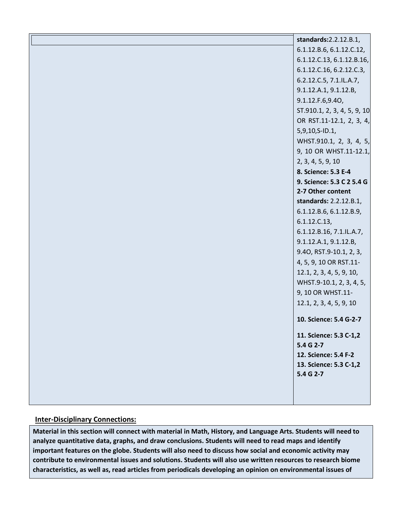| standards: 2.2.12.B.1,              |
|-------------------------------------|
| 6.1.12.B.6, 6.1.12.C.12,            |
| 6.1.12.C.13, 6.1.12.B.16,           |
| 6.1.12.C.16, 6.2.12.C.3,            |
| 6.2.12.C.5, 7.1.IL.A.7,             |
| 9.1.12.A.1, 9.1.12.B,               |
| 9.1.12.F.6,9.40,                    |
| ST.910.1, 2, 3, 4, 5, 9, 10         |
| OR RST.11-12.1, 2, 3, 4,            |
| 5,9,10,S-ID.1,                      |
| WHST.910.1, 2, 3, 4, 5,             |
| 9, 10 OR WHST.11-12.1,              |
| 2, 3, 4, 5, 9, 10                   |
| 8. Science: 5.3 E-4                 |
| 9. Science: 5.3 C 2 5.4 G           |
| 2-7 Other content                   |
| standards: 2.2.12.B.1,              |
| 6.1.12.B.6, 6.1.12.B.9,             |
| 6.1.12.C.13,                        |
| 6.1.12.B.16, 7.1.IL.A.7,            |
| 9.1.12.A.1, 9.1.12.B,               |
| 9.40, RST.9-10.1, 2, 3,             |
| 4, 5, 9, 10 OR RST.11-              |
| 12.1, 2, 3, 4, 5, 9, 10,            |
| WHST.9-10.1, 2, 3, 4, 5,            |
| 9, 10 OR WHST.11-                   |
| 12.1, 2, 3, 4, 5, 9, 10             |
| 10. Science: 5.4 G-2-7              |
| 11. Science: 5.3 C-1,2<br>5.4 G 2-7 |
| 12. Science: 5.4 F-2                |
| 13. Science: 5.3 C-1,2              |
| 5.4 G 2-7                           |
|                                     |
|                                     |
|                                     |

#### **Inter-Disciplinary Connections:**

**Material in this section will connect with material in Math, History, and Language Arts. Students will need to analyze quantitative data, graphs, and draw conclusions. Students will need to read maps and identify important features on the globe. Students will also need to discuss how social and economic activity may contribute to environmental issues and solutions. Students will also use written resources to research biome characteristics, as well as, read articles from periodicals developing an opinion on environmental issues of**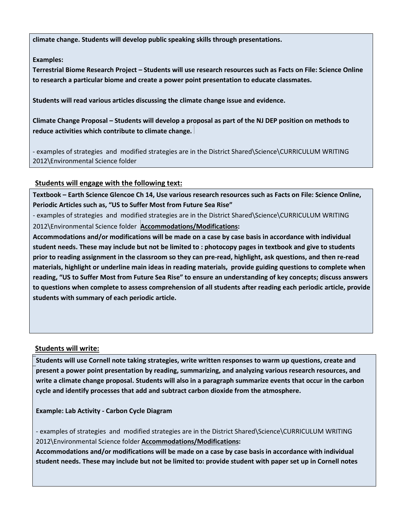**climate change. Students will develop public speaking skills through presentations.** 

### **Examples:**

**Terrestrial Biome Research Project – Students will use research resources such as Facts on File: Science Online to research a particular biome and create a power point presentation to educate classmates.** 

**Students will read various articles discussing the climate change issue and evidence.** 

**Climate Change Proposal – Students will develop a proposal as part of the NJ DEP position on methods to reduce activities which contribute to climate change.** 

- examples of strategies and modified strategies are in the District Shared\Science\CURRICULUM WRITING 2012\Environmental Science folder

### **Students will engage with the following text:**

**Textbook – Earth Science Glencoe Ch 14, Use various research resources such as Facts on File: Science Online, Periodic Articles such as, "US to Suffer Most from Future Sea Rise"** 

- examples of strategies and modified strategies are in the District Shared\Science\CURRICULUM WRITING 2012\Environmental Science folder **Accommodations/Modifications:** 

**Accommodations and/or modifications will be made on a case by case basis in accordance with individual student needs. These may include but not be limited to : photocopy pages in textbook and give to students prior to reading assignment in the classroom so they can pre-read, highlight, ask questions, and then re-read materials, highlight or underline main ideas in reading materials, provide guiding questions to complete when reading, "US to Suffer Most from Future Sea Rise" to ensure an understanding of key concepts; discuss answers to questions when complete to assess comprehension of all students after reading each periodic article, provide students with summary of each periodic article.** 

### **Students will write:**

**Students will use Cornell note taking strategies, write written responses to warm up questions, create and present a power point presentation by reading, summarizing, and analyzing various research resources, and write a climate change proposal. Students will also in a paragraph summarize events that occur in the carbon cycle and identify processes that add and subtract carbon dioxide from the atmosphere.** 

**Example: Lab Activity - Carbon Cycle Diagram** 

- examples of strategies and modified strategies are in the District Shared\Science\CURRICULUM WRITING 2012\Environmental Science folder **Accommodations/Modifications:** 

**Accommodations and/or modifications will be made on a case by case basis in accordance with individual student needs. These may include but not be limited to: provide student with paper set up in Cornell notes**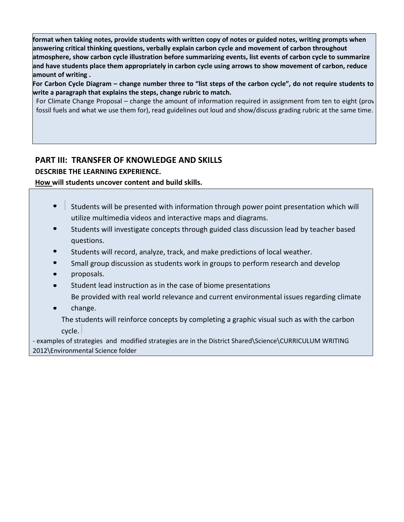**format when taking notes, provide students with written copy of notes or guided notes, writing prompts when answering critical thinking questions, verbally explain carbon cycle and movement of carbon throughout atmosphere, show carbon cycle illustration before summarizing events, list events of carbon cycle to summarize and have students place them appropriately in carbon cycle using arrows to show movement of carbon, reduce amount of writing .** 

**For Carbon Cycle Diagram – change number three to "list steps of the carbon cycle", do not require students to write a paragraph that explains the steps, change rubric to match.** 

For Climate Change Proposal – change the amount of information required in assignment from ten to eight (prov fossil fuels and what we use them for), read guidelines out loud and show/discuss grading rubric at the same time.

### **PART III: TRANSFER OF KNOWLEDGE AND SKILLS**

**DESCRIBE THE LEARNING EXPERIENCE.** 

### **How will students uncover content and build skills.**

- $\bullet$ Students will be presented with information through power point presentation which will utilize multimedia videos and interactive maps and diagrams.
- Students will investigate concepts through guided class discussion lead by teacher based questions.
- Students will record, analyze, track, and make predictions of local weather.
- Small group discussion as students work in groups to perform research and develop
- proposals.
- Student lead instruction as in the case of biome presentations

Be provided with real world relevance and current environmental issues regarding climate

change.

The students will reinforce concepts by completing a graphic visual such as with the carbon cycle.

- examples of strategies and modified strategies are in the District Shared\Science\CURRICULUM WRITING 2012\Environmental Science folder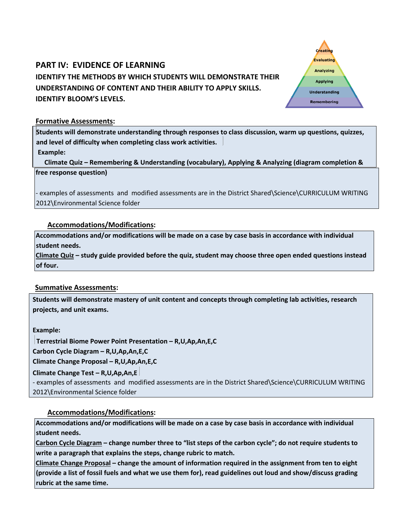# **PART IV: EVIDENCE OF LEARNING IDENTIFY THE METHODS BY WHICH STUDENTS WILL DEMONSTRATE THEIR UNDERSTANDING OF CONTENT AND THEIR ABILITY TO APPLY SKILLS. IDENTIFY BLOOM'S LEVELS.**

Creating **Evaluating Analyzing Applying Understanding** Remembering

### **Formative Assessments:**

**Students will demonstrate understanding through responses to class discussion, warm up questions, quizzes, and level of difficulty when completing class work activities.** 

**Example:**

**free response question) Climate Quiz – Remembering & Understanding (vocabulary), Applying & Analyzing (diagram completion &** 

- examples of assessments and modified assessments are in the District Shared\Science\CURRICULUM WRITING 2012\Environmental Science folder

### **Accommodations/Modifications:**

**Accommodations and/or modifications will be made on a case by case basis in accordance with individual student needs.** 

**Climate Quiz – study guide provided before the quiz, student may choose three open ended questions instead of four.** 

### **Summative Assessments:**

**Students will demonstrate mastery of unit content and concepts through completing lab activities, research projects, and unit exams.** 

**Example:** 

**Terrestrial Biome Power Point Presentation – R,U,Ap,An,E,C** 

**Carbon Cycle Diagram – R,U,Ap,An,E,C** 

**Climate Change Proposal – R,U,Ap,An,E,C** 

**Climate Change Test – R,U,Ap,An,E**

- examples of assessments and modified assessments are in the District Shared\Science\CURRICULUM WRITING 2012\Environmental Science folder

### **Accommodations/Modifications:**

**Accommodations and/or modifications will be made on a case by case basis in accordance with individual student needs.** 

**Carbon Cycle Diagram – change number three to "list steps of the carbon cycle"; do not require students to write a paragraph that explains the steps, change rubric to match.** 

**Climate Change Proposal – change the amount of information required in the assignment from ten to eight (provide a list of fossil fuels and what we use them for), read guidelines out loud and show/discuss grading rubric at the same time.**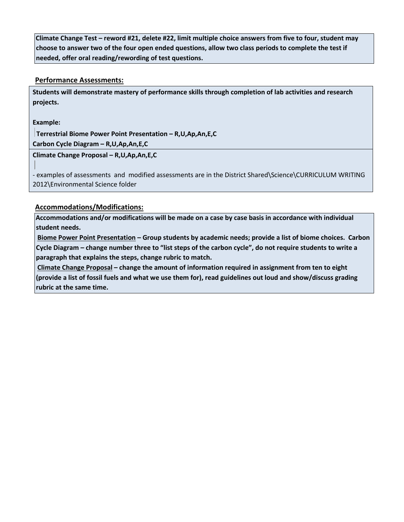**Climate Change Test – reword #21, delete #22, limit multiple choice answers from five to four, student may choose to answer two of the four open ended questions, allow two class periods to complete the test if needed, offer oral reading/rewording of test questions.** 

### **Performance Assessments:**

**Students will demonstrate mastery of performance skills through completion of lab activities and research projects.** 

**Example:** 

**Terrestrial Biome Power Point Presentation – R,U,Ap,An,E,C Carbon Cycle Diagram – R,U,Ap,An,E,C** 

**Climate Change Proposal – R,U,Ap,An,E,C** 

- examples of assessments and modified assessments are in the District Shared\Science\CURRICULUM WRITING 2012\Environmental Science folder

### **Accommodations/Modifications:**

**Accommodations and/or modifications will be made on a case by case basis in accordance with individual student needs.** 

**Biome Power Point Presentation – Group students by academic needs; provide a list of biome choices. Carbon Cycle Diagram – change number three to "list steps of the carbon cycle", do not require students to write a paragraph that explains the steps, change rubric to match.** 

**Climate Change Proposal – change the amount of information required in assignment from ten to eight (provide a list of fossil fuels and what we use them for), read guidelines out loud and show/discuss grading rubric at the same time.**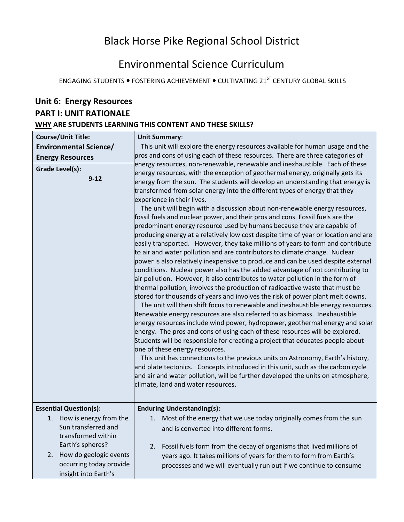# Black Horse Pike Regional School District

# Environmental Science Curriculum

ENGAGING STUDENTS . FOSTERING ACHIEVEMENT . CULTIVATING 21<sup>ST</sup> CENTURY GLOBAL SKILLS

# **Unit 6: Energy Resources PART I: UNIT RATIONALE WHY ARE STUDENTS LEARNING THIS CONTENT AND THESE SKILLS?**

| <b>Course/Unit Title:</b><br><b>Environmental Science/</b><br><b>Energy Resources</b><br>Grade Level(s):<br>$9 - 12$       | <b>Unit Summary:</b><br>This unit will explore the energy resources available for human usage and the<br>pros and cons of using each of these resources. There are three categories of<br>energy resources, non-renewable, renewable and inexhaustible. Each of these<br>energy resources, with the exception of geothermal energy, originally gets its<br>energy from the sun. The students will develop an understanding that energy is<br>transformed from solar energy into the different types of energy that they<br>experience in their lives.<br>The unit will begin with a discussion about non-renewable energy resources,<br>fossil fuels and nuclear power, and their pros and cons. Fossil fuels are the<br>predominant energy resource used by humans because they are capable of<br>producing energy at a relatively low cost despite time of year or location and are<br>easily transported. However, they take millions of years to form and contribute<br>to air and water pollution and are contributors to climate change. Nuclear<br>power is also relatively inexpensive to produce and can be used despite external<br>conditions. Nuclear power also has the added advantage of not contributing to<br>air pollution. However, it also contributes to water pollution in the form of<br>thermal pollution, involves the production of radioactive waste that must be<br>stored for thousands of years and involves the risk of power plant melt downs.<br>The unit will then shift focus to renewable and inexhaustible energy resources.<br>Renewable energy resources are also referred to as biomass. Inexhaustible<br>energy resources include wind power, hydropower, geothermal energy and solar<br>energy. The pros and cons of using each of these resources will be explored.<br>Students will be responsible for creating a project that educates people about<br>one of these energy resources.<br>This unit has connections to the previous units on Astronomy, Earth's history,<br>and plate tectonics. Concepts introduced in this unit, such as the carbon cycle<br>and air and water pollution, will be further developed the units on atmosphere,<br>climate, land and water resources. |
|----------------------------------------------------------------------------------------------------------------------------|----------------------------------------------------------------------------------------------------------------------------------------------------------------------------------------------------------------------------------------------------------------------------------------------------------------------------------------------------------------------------------------------------------------------------------------------------------------------------------------------------------------------------------------------------------------------------------------------------------------------------------------------------------------------------------------------------------------------------------------------------------------------------------------------------------------------------------------------------------------------------------------------------------------------------------------------------------------------------------------------------------------------------------------------------------------------------------------------------------------------------------------------------------------------------------------------------------------------------------------------------------------------------------------------------------------------------------------------------------------------------------------------------------------------------------------------------------------------------------------------------------------------------------------------------------------------------------------------------------------------------------------------------------------------------------------------------------------------------------------------------------------------------------------------------------------------------------------------------------------------------------------------------------------------------------------------------------------------------------------------------------------------------------------------------------------------------------------------------------------------------------------------------------------------------------------------------------------------------------|
| <b>Essential Question(s):</b>                                                                                              | <b>Enduring Understanding(s):</b>                                                                                                                                                                                                                                                                                                                                                                                                                                                                                                                                                                                                                                                                                                                                                                                                                                                                                                                                                                                                                                                                                                                                                                                                                                                                                                                                                                                                                                                                                                                                                                                                                                                                                                                                                                                                                                                                                                                                                                                                                                                                                                                                                                                                |
| 1. How is energy from the<br>Sun transferred and<br>transformed within<br>Earth's spheres?<br>How do geologic events<br>2. | 1. Most of the energy that we use today originally comes from the sun<br>and is converted into different forms.<br>Fossil fuels form from the decay of organisms that lived millions of<br>2.<br>years ago. It takes millions of years for them to form from Earth's                                                                                                                                                                                                                                                                                                                                                                                                                                                                                                                                                                                                                                                                                                                                                                                                                                                                                                                                                                                                                                                                                                                                                                                                                                                                                                                                                                                                                                                                                                                                                                                                                                                                                                                                                                                                                                                                                                                                                             |
| occurring today provide<br>insight into Earth's                                                                            | processes and we will eventually run out if we continue to consume                                                                                                                                                                                                                                                                                                                                                                                                                                                                                                                                                                                                                                                                                                                                                                                                                                                                                                                                                                                                                                                                                                                                                                                                                                                                                                                                                                                                                                                                                                                                                                                                                                                                                                                                                                                                                                                                                                                                                                                                                                                                                                                                                               |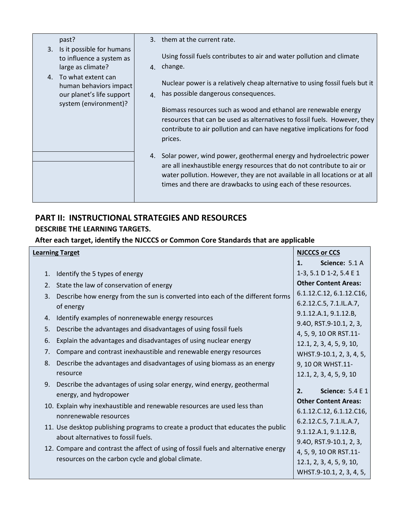|                      | past?                                                                      |                      | 3. them at the current rate.                                                                                                                                                                                                       |
|----------------------|----------------------------------------------------------------------------|----------------------|------------------------------------------------------------------------------------------------------------------------------------------------------------------------------------------------------------------------------------|
| 3.                   | Is it possible for humans<br>to influence a system as<br>large as climate? |                      | Using fossil fuels contributes to air and water pollution and climate<br>4. change.                                                                                                                                                |
| $\mathbf{A}_{\cdot}$ | To what extent can<br>human behaviors impact<br>our planet's life support  | $\mathbf{A}_{\cdot}$ | Nuclear power is a relatively cheap alternative to using fossil fuels but it<br>has possible dangerous consequences.                                                                                                               |
|                      | system (environment)?                                                      |                      | Biomass resources such as wood and ethanol are renewable energy<br>resources that can be used as alternatives to fossil fuels. However, they<br>contribute to air pollution and can have negative implications for food<br>prices. |
|                      |                                                                            |                      | 4. Solar power, wind power, geothermal energy and hydroelectric power                                                                                                                                                              |
|                      |                                                                            |                      | are all inexhaustible energy resources that do not contribute to air or<br>water pollution. However, they are not available in all locations or at all<br>times and there are drawbacks to using each of these resources.          |
|                      |                                                                            |                      |                                                                                                                                                                                                                                    |

I

## **PART II: INSTRUCTIONAL STRATEGIES AND RESOURCES**

### **DESCRIBE THE LEARNING TARGETS.**

### **After each target, identify the NJCCCS or Common Core Standards that are applicable**

|    |    | <b>Learning Target</b>                                                              |    | <b>NJCCCS or CCS</b>                                 |
|----|----|-------------------------------------------------------------------------------------|----|------------------------------------------------------|
|    |    |                                                                                     | 1. | Science: 5.1 A                                       |
|    | 1. | Identify the 5 types of energy                                                      |    | 1-3, 5.1 D 1-2, 5.4 E 1                              |
|    |    | 2. State the law of conservation of energy                                          |    | <b>Other Content Areas:</b>                          |
|    | 3. | Describe how energy from the sun is converted into each of the different forms      |    | 6.1.12.C.12, 6.1.12.C16,                             |
|    |    | of energy                                                                           |    | 6.2.12.C.5, 7.1.IL.A.7,                              |
|    | 4. | Identify examples of nonrenewable energy resources                                  |    | 9.1.12.A.1, 9.1.12.B,                                |
|    | 5. | Describe the advantages and disadvantages of using fossil fuels                     |    | 9.40, RST.9-10.1, 2, 3,                              |
| 6. |    | Explain the advantages and disadvantages of using nuclear energy                    |    | 4, 5, 9, 10 OR RST.11-                               |
|    | 7. | Compare and contrast inexhaustible and renewable energy resources                   |    | 12.1, 2, 3, 4, 5, 9, 10,<br>WHST.9-10.1, 2, 3, 4, 5, |
| 8. |    | Describe the advantages and disadvantages of using biomass as an energy             |    | 9, 10 OR WHST.11-                                    |
|    |    | resource                                                                            |    | 12.1, 2, 3, 4, 5, 9, 10                              |
|    | 9. | Describe the advantages of using solar energy, wind energy, geothermal              |    |                                                      |
|    |    | energy, and hydropower                                                              | 2. | <b>Science: 5.4 E 1</b>                              |
|    |    | 10. Explain why inexhaustible and renewable resources are used less than            |    | <b>Other Content Areas:</b>                          |
|    |    | nonrenewable resources                                                              |    | 6.1.12.C.12, 6.1.12.C16,                             |
|    |    | 11. Use desktop publishing programs to create a product that educates the public    |    | 6.2.12.C.5, 7.1.IL.A.7,                              |
|    |    | about alternatives to fossil fuels.                                                 |    | 9.1.12.A.1, 9.1.12.B,                                |
|    |    | 12. Compare and contrast the affect of using of fossil fuels and alternative energy |    | 9.40, RST.9-10.1, 2, 3,                              |
|    |    | resources on the carbon cycle and global climate.                                   |    | 4, 5, 9, 10 OR RST.11-                               |
|    |    |                                                                                     |    | 12.1, 2, 3, 4, 5, 9, 10,                             |
|    |    |                                                                                     |    | WHST.9-10.1, 2, 3, 4, 5,                             |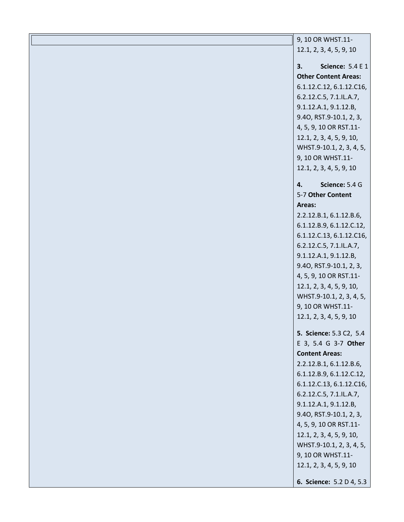| 9, 10 OR WHST.11-             |
|-------------------------------|
| 12.1, 2, 3, 4, 5, 9, 10       |
|                               |
| 3.<br><b>Science: 5.4 E 1</b> |
| <b>Other Content Areas:</b>   |
| 6.1.12.C.12, 6.1.12.C16,      |
| 6.2.12.C.5, 7.1.IL.A.7,       |
| 9.1.12.A.1, 9.1.12.B,         |
| 9.40, RST.9-10.1, 2, 3,       |
| 4, 5, 9, 10 OR RST.11-        |
| 12.1, 2, 3, 4, 5, 9, 10,      |
| WHST.9-10.1, 2, 3, 4, 5,      |
| 9, 10 OR WHST.11-             |
| 12.1, 2, 3, 4, 5, 9, 10       |
| Science: 5.4 G<br>4.          |
| 5-7 Other Content             |
| Areas:                        |
| 2.2.12.B.1, 6.1.12.B.6,       |
| 6.1.12.B.9, 6.1.12.C.12,      |
| 6.1.12.C.13, 6.1.12.C16,      |
| 6.2.12.C.5, 7.1.IL.A.7,       |
| 9.1.12.A.1, 9.1.12.B,         |
| 9.40, RST.9-10.1, 2, 3,       |
| 4, 5, 9, 10 OR RST.11-        |
| 12.1, 2, 3, 4, 5, 9, 10,      |
| WHST.9-10.1, 2, 3, 4, 5,      |
| 9, 10 OR WHST.11-             |
| 12.1, 2, 3, 4, 5, 9, 10       |
| 5. Science: 5.3 C2, 5.4       |
| E 3, 5.4 G 3-7 Other          |
| <b>Content Areas:</b>         |
| 2.2.12.B.1, 6.1.12.B.6,       |
| 6.1.12.B.9, 6.1.12.C.12,      |
| 6.1.12.C.13, 6.1.12.C16,      |
| 6.2.12.C.5, 7.1.IL.A.7,       |
| 9.1.12.A.1, 9.1.12.B,         |
| 9.40, RST.9-10.1, 2, 3,       |
| 4, 5, 9, 10 OR RST.11-        |
| 12.1, 2, 3, 4, 5, 9, 10,      |
| WHST.9-10.1, 2, 3, 4, 5,      |
| 9, 10 OR WHST.11-             |
| 12.1, 2, 3, 4, 5, 9, 10       |
| 6. Science: 5.2 D 4, 5.3      |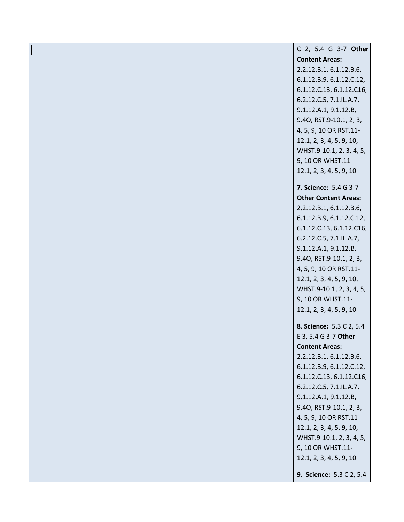| C 2, 5.4 G 3-7 Other        |
|-----------------------------|
| <b>Content Areas:</b>       |
| 2.2.12.B.1, 6.1.12.B.6,     |
| 6.1.12.B.9, 6.1.12.C.12,    |
| 6.1.12.C.13, 6.1.12.C16,    |
| 6.2.12.C.5, 7.1.IL.A.7,     |
| 9.1.12.A.1, 9.1.12.B,       |
| 9.40, RST.9-10.1, 2, 3,     |
| 4, 5, 9, 10 OR RST.11-      |
| 12.1, 2, 3, 4, 5, 9, 10,    |
| WHST.9-10.1, 2, 3, 4, 5,    |
| 9, 10 OR WHST.11-           |
| 12.1, 2, 3, 4, 5, 9, 10     |
| 7. Science: 5.4 G 3-7       |
| <b>Other Content Areas:</b> |
| 2.2.12.B.1, 6.1.12.B.6,     |
| 6.1.12.B.9, 6.1.12.C.12,    |
| 6.1.12.C.13, 6.1.12.C16,    |
| 6.2.12.C.5, 7.1.IL.A.7,     |
| 9.1.12.A.1, 9.1.12.B,       |
| 9.40, RST.9-10.1, 2, 3,     |
| 4, 5, 9, 10 OR RST.11-      |
| 12.1, 2, 3, 4, 5, 9, 10,    |
| WHST.9-10.1, 2, 3, 4, 5,    |
| 9, 10 OR WHST.11-           |
| 12.1, 2, 3, 4, 5, 9, 10     |
| 8. Science: 5.3 C 2, 5.4    |
| E 3, 5.4 G 3-7 Other        |
| <b>Content Areas:</b>       |
| 2.2.12.B.1, 6.1.12.B.6,     |
| 6.1.12.B.9, 6.1.12.C.12,    |
| 6.1.12.C.13, 6.1.12.C16,    |
| 6.2.12.C.5, 7.1.IL.A.7,     |
| 9.1.12.A.1, 9.1.12.B,       |
| 9.40, RST.9-10.1, 2, 3,     |
| 4, 5, 9, 10 OR RST.11-      |
| 12.1, 2, 3, 4, 5, 9, 10,    |
| WHST.9-10.1, 2, 3, 4, 5,    |
| 9, 10 OR WHST.11-           |
| 12.1, 2, 3, 4, 5, 9, 10     |
| 9. Science: 5.3 C 2, 5.4    |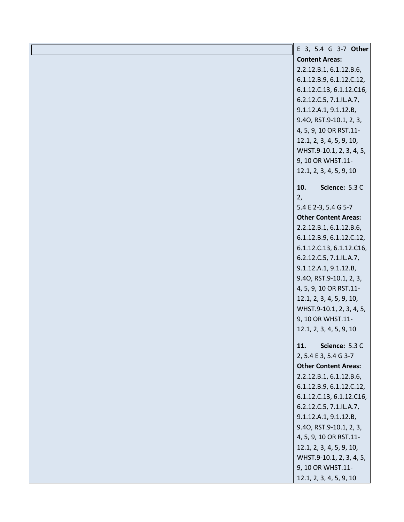| E 3, 5.4 G 3-7 Other        |
|-----------------------------|
| <b>Content Areas:</b>       |
| 2.2.12.B.1, 6.1.12.B.6,     |
| 6.1.12.B.9, 6.1.12.C.12,    |
| 6.1.12.C.13, 6.1.12.C16,    |
| 6.2.12.C.5, 7.1.IL.A.7,     |
| 9.1.12.A.1, 9.1.12.B,       |
| 9.40, RST.9-10.1, 2, 3,     |
| 4, 5, 9, 10 OR RST.11-      |
| 12.1, 2, 3, 4, 5, 9, 10,    |
| WHST.9-10.1, 2, 3, 4, 5,    |
| 9, 10 OR WHST.11-           |
| 12.1, 2, 3, 4, 5, 9, 10     |
| Science: 5.3 C<br>10.       |
| 2,                          |
| 5.4 E 2-3, 5.4 G 5-7        |
| <b>Other Content Areas:</b> |
| 2.2.12.B.1, 6.1.12.B.6,     |
| 6.1.12.B.9, 6.1.12.C.12,    |
| 6.1.12.C.13, 6.1.12.C16,    |
| 6.2.12.C.5, 7.1.IL.A.7,     |
| 9.1.12.A.1, 9.1.12.B,       |
| 9.40, RST.9-10.1, 2, 3,     |
| 4, 5, 9, 10 OR RST.11-      |
| 12.1, 2, 3, 4, 5, 9, 10,    |
| WHST.9-10.1, 2, 3, 4, 5,    |
| 9, 10 OR WHST.11-           |
| 12.1, 2, 3, 4, 5, 9, 10     |
| Science: 5.3 C<br>11.       |
| 2, 5.4 E 3, 5.4 G 3-7       |
| <b>Other Content Areas:</b> |
| 2.2.12.B.1, 6.1.12.B.6,     |
| 6.1.12.B.9, 6.1.12.C.12,    |
| 6.1.12.C.13, 6.1.12.C16,    |
| 6.2.12.C.5, 7.1.IL.A.7,     |
| 9.1.12.A.1, 9.1.12.B,       |
| 9.40, RST.9-10.1, 2, 3,     |
| 4, 5, 9, 10 OR RST.11-      |
| 12.1, 2, 3, 4, 5, 9, 10,    |
| WHST.9-10.1, 2, 3, 4, 5,    |
| 9, 10 OR WHST.11-           |
| 12.1, 2, 3, 4, 5, 9, 10     |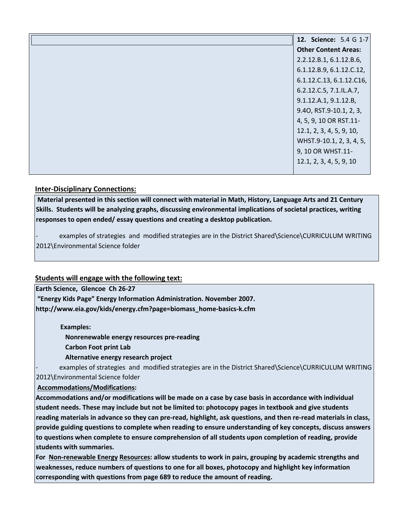| 12. Science: 5.4 G 1-7      |
|-----------------------------|
| <b>Other Content Areas:</b> |
| 2.2.12.B.1, 6.1.12.B.6,     |
| 6.1.12.B.9, 6.1.12.C.12,    |
| 6.1.12.C.13, 6.1.12.C16,    |
| 6.2.12.C.5, 7.1.IL.A.7,     |
| 9.1.12.A.1, 9.1.12.B,       |
| 9.40, RST.9-10.1, 2, 3,     |
| 4, 5, 9, 10 OR RST.11-      |
| 12.1, 2, 3, 4, 5, 9, 10,    |
| WHST.9-10.1, 2, 3, 4, 5,    |
| 9, 10 OR WHST.11-           |
| 12.1, 2, 3, 4, 5, 9, 10     |
|                             |

#### **Inter-Disciplinary Connections:**

**Material presented in this section will connect with material in Math, History, Language Arts and 21 Century Skills. Students will be analyzing graphs, discussing environmental implications of societal practices, writing responses to open ended/ essay questions and creating a desktop publication.** 

examples of strategies and modified strategies are in the District Shared\Science\CURRICULUM WRITING 2012\Environmental Science folder

#### **Students will engage with the following text:**

**Earth Science, Glencoe Ch 26-27**

**"Energy Kids Page" Energy Information Administration. November 2007. http://www.eia.gov/kids/energy.cfm?page=biomass\_home-basics-k.cfm** 

 **Examples:** 

 **Nonrenewable energy resources pre-reading** 

 **Carbon Foot print Lab**

 **Alternative energy research project**

examples of strategies and modified strategies are in the District Shared\Science\CURRICULUM WRITING 2012\Environmental Science folder

**Accommodations/Modifications:** 

**Accommodations and/or modifications will be made on a case by case basis in accordance with individual student needs. These may include but not be limited to: photocopy pages in textbook and give students reading materials in advance so they can pre-read, highlight, ask questions, and then re-read materials in class, provide guiding questions to complete when reading to ensure understanding of key concepts, discuss answers to questions when complete to ensure comprehension of all students upon completion of reading, provide students with summaries.** 

**For Non-renewable Energy Resources: allow students to work in pairs, grouping by academic strengths and weaknesses, reduce numbers of questions to one for all boxes, photocopy and highlight key information corresponding with questions from page 689 to reduce the amount of reading.**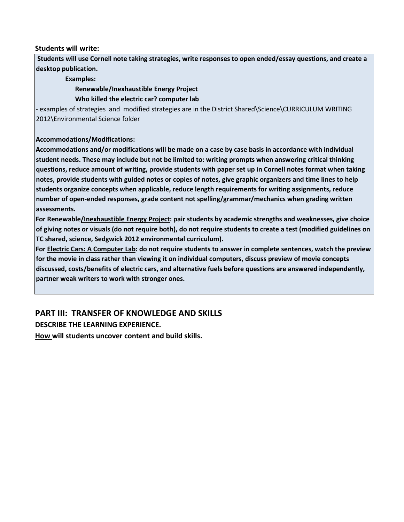#### **Students will write:**

**Students will use Cornell note taking strategies, write responses to open ended/essay questions, and create a desktop publication.** 

 **Examples:** 

 **Renewable/Inexhaustible Energy Project** 

 **Who killed the electric car? computer lab** 

- examples of strategies and modified strategies are in the District Shared\Science\CURRICULUM WRITING 2012\Environmental Science folder

#### **Accommodations/Modifications:**

**Accommodations and/or modifications will be made on a case by case basis in accordance with individual student needs. These may include but not be limited to: writing prompts when answering critical thinking questions, reduce amount of writing, provide students with paper set up in Cornell notes format when taking notes, provide students with guided notes or copies of notes, give graphic organizers and time lines to help students organize concepts when applicable, reduce length requirements for writing assignments, reduce number of open-ended responses, grade content not spelling/grammar/mechanics when grading written assessments.** 

**For Renewable/Inexhaustible Energy Project: pair students by academic strengths and weaknesses, give choice of giving notes or visuals (do not require both), do not require students to create a test (modified guidelines on TC shared, science, Sedgwick 2012 environmental curriculum).** 

**For Electric Cars: A Computer Lab: do not require students to answer in complete sentences, watch the preview for the movie in class rather than viewing it on individual computers, discuss preview of movie concepts discussed, costs/benefits of electric cars, and alternative fuels before questions are answered independently, partner weak writers to work with stronger ones.** 

### **PART III: TRANSFER OF KNOWLEDGE AND SKILLS**

**DESCRIBE THE LEARNING EXPERIENCE.** 

**How will students uncover content and build skills.**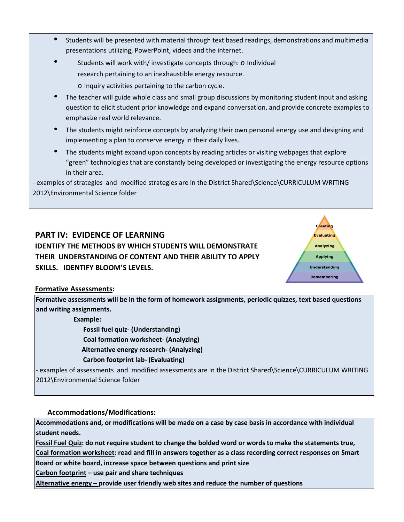- Students will be presented with material through text based readings, demonstrations and multimedia presentations utilizing, PowerPoint, videos and the internet.
- Students will work with/ investigate concepts through: o Individual research pertaining to an inexhaustible energy resource. o Inquiry activities pertaining to the carbon cycle.
- The teacher will guide whole class and small group discussions by monitoring student input and asking question to elicit student prior knowledge and expand conversation, and provide concrete examples to emphasize real world relevance.
- The students might reinforce concepts by analyzing their own personal energy use and designing and implementing a plan to conserve energy in their daily lives.
- The students might expand upon concepts by reading articles or visiting webpages that explore "green" technologies that are constantly being developed or investigating the energy resource options in their area.

- examples of strategies and modified strategies are in the District Shared\Science\CURRICULUM WRITING 2012\Environmental Science folder

## **PART IV: EVIDENCE OF LEARNING**

**IDENTIFY THE METHODS BY WHICH STUDENTS WILL DEMONSTRATE THEIR UNDERSTANDING OF CONTENT AND THEIR ABILITY TO APPLY SKILLS. IDENTIFY BLOOM'S LEVELS.** 



#### **Formative Assessments:**

**Formative assessments will be in the form of homework assignments, periodic quizzes, text based questions and writing assignments.** 

 **Example:** 

 **Fossil fuel quiz- (Understanding)** 

 **Coal formation worksheet- (Analyzing)** 

 **Alternative energy research- (Analyzing)** 

#### **Carbon footprint lab- (Evaluating)**

- examples of assessments and modified assessments are in the District Shared\Science\CURRICULUM WRITING 2012\Environmental Science folder

#### **Accommodations/Modifications:**

**Accommodations and, or modifications will be made on a case by case basis in accordance with individual student needs.** 

**Fossil Fuel Quiz: do not require student to change the bolded word or words to make the statements true,** 

**Coal formation worksheet: read and fill in answers together as a class recording correct responses on Smart** 

**Board or white board, increase space between questions and print size** 

**Carbon footprint – use pair and share techniques**

**Alternative energy – provide user friendly web sites and reduce the number of questions**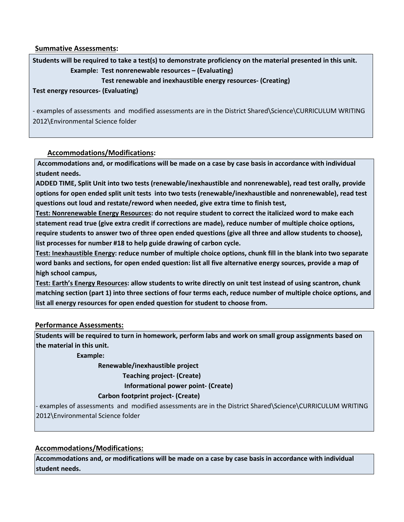**Summative Assessments:** 

**Students will be required to take a test(s) to demonstrate proficiency on the material presented in this unit. Example: Test nonrenewable resources – (Evaluating)** 

#### **Test renewable and inexhaustible energy resources- (Creating)**

**Test energy resources- (Evaluating)**

- examples of assessments and modified assessments are in the District Shared\Science\CURRICULUM WRITING 2012\Environmental Science folder

#### **Accommodations/Modifications:**

**Accommodations and, or modifications will be made on a case by case basis in accordance with individual student needs.** 

**ADDED TIME, Split Unit into two tests (renewable/inexhaustible and nonrenewable), read test orally, provide options for open ended split unit tests into two tests (renewable/inexhaustible and nonrenewable), read test questions out loud and restate/reword when needed, give extra time to finish test,** 

**Test: Nonrenewable Energy Resources: do not require student to correct the italicized word to make each statement read true (give extra credit if corrections are made), reduce number of multiple choice options, require students to answer two of three open ended questions (give all three and allow students to choose), list processes for number #18 to help guide drawing of carbon cycle.** 

**Test: Inexhaustible Energy: reduce number of multiple choice options, chunk fill in the blank into two separate word banks and sections, for open ended question: list all five alternative energy sources, provide a map of high school campus,** 

**Test: Earth's Energy Resources: allow students to write directly on unit test instead of using scantron, chunk matching section (part 1) into three sections of four terms each, reduce number of multiple choice options, and list all energy resources for open ended question for student to choose from.**

#### **Performance Assessments:**

**Students will be required to turn in homework, perform labs and work on small group assignments based on the material in this unit.** 

 **Example:** 

 **Renewable/inexhaustible project Teaching project- (Create) Informational power point- (Create)** 

#### **Carbon footprint project- (Create)**

- examples of assessments and modified assessments are in the District Shared\Science\CURRICULUM WRITING 2012\Environmental Science folder

#### **Accommodations/Modifications:**

**Accommodations and, or modifications will be made on a case by case basis in accordance with individual student needs.**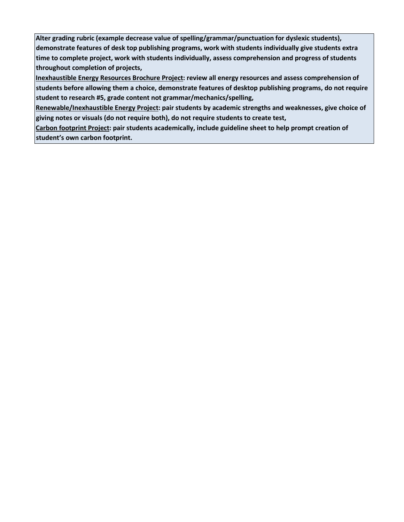**Alter grading rubric (example decrease value of spelling/grammar/punctuation for dyslexic students), demonstrate features of desk top publishing programs, work with students individually give students extra time to complete project, work with students individually, assess comprehension and progress of students throughout completion of projects,** 

**Inexhaustible Energy Resources Brochure Project: review all energy resources and assess comprehension of students before allowing them a choice, demonstrate features of desktop publishing programs, do not require student to research #5, grade content not grammar/mechanics/spelling,**

**Renewable/Inexhaustible Energy Project: pair students by academic strengths and weaknesses, give choice of giving notes or visuals (do not require both), do not require students to create test,** 

**Carbon footprint Project: pair students academically, include guideline sheet to help prompt creation of student's own carbon footprint.**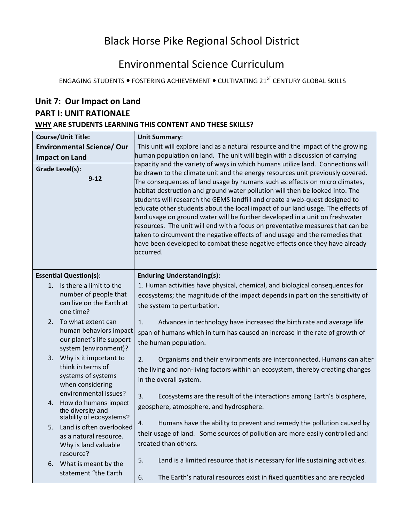# Black Horse Pike Regional School District

# Environmental Science Curriculum

ENGAGING STUDENTS . FOSTERING ACHIEVEMENT . CULTIVATING 21<sup>ST</sup> CENTURY GLOBAL SKILLS

| Unit 7: Our Impact on Land                               |                                                                                                                               |                                                                                                                                                                                                                                                                                                                                                                                                                                                                                                                                                                                                                                                                                                                                                                                                                                                                                                                                                                                                                                            |  |  |
|----------------------------------------------------------|-------------------------------------------------------------------------------------------------------------------------------|--------------------------------------------------------------------------------------------------------------------------------------------------------------------------------------------------------------------------------------------------------------------------------------------------------------------------------------------------------------------------------------------------------------------------------------------------------------------------------------------------------------------------------------------------------------------------------------------------------------------------------------------------------------------------------------------------------------------------------------------------------------------------------------------------------------------------------------------------------------------------------------------------------------------------------------------------------------------------------------------------------------------------------------------|--|--|
| <b>PART I: UNIT RATIONALE</b>                            |                                                                                                                               |                                                                                                                                                                                                                                                                                                                                                                                                                                                                                                                                                                                                                                                                                                                                                                                                                                                                                                                                                                                                                                            |  |  |
| WHY ARE STUDENTS LEARNING THIS CONTENT AND THESE SKILLS? |                                                                                                                               |                                                                                                                                                                                                                                                                                                                                                                                                                                                                                                                                                                                                                                                                                                                                                                                                                                                                                                                                                                                                                                            |  |  |
|                                                          | <b>Course/Unit Title:</b><br><b>Environmental Science/ Our</b><br><b>Impact on Land</b><br><b>Grade Level(s):</b><br>$9 - 12$ | <b>Unit Summary:</b><br>This unit will explore land as a natural resource and the impact of the growing<br>human population on land. The unit will begin with a discussion of carrying<br>capacity and the variety of ways in which humans utilize land. Connections will<br>be drawn to the climate unit and the energy resources unit previously covered.<br>The consequences of land usage by humans such as effects on micro climates,<br>habitat destruction and ground water pollution will then be looked into. The<br>students will research the GEMS landfill and create a web-quest designed to<br>educate other students about the local impact of our land usage. The effects of<br>land usage on ground water will be further developed in a unit on freshwater<br>resources. The unit will end with a focus on preventative measures that can be<br>taken to circumvent the negative effects of land usage and the remedies that<br>have been developed to combat these negative effects once they have already<br>occurred. |  |  |
|                                                          | <b>Essential Question(s):</b>                                                                                                 | <b>Enduring Understanding(s):</b>                                                                                                                                                                                                                                                                                                                                                                                                                                                                                                                                                                                                                                                                                                                                                                                                                                                                                                                                                                                                          |  |  |
|                                                          | 1. Is there a limit to the<br>number of people that<br>can live on the Earth at<br>one time?                                  | 1. Human activities have physical, chemical, and biological consequences for<br>ecosystems; the magnitude of the impact depends in part on the sensitivity of<br>the system to perturbation.                                                                                                                                                                                                                                                                                                                                                                                                                                                                                                                                                                                                                                                                                                                                                                                                                                               |  |  |
| 2.                                                       | To what extent can<br>human behaviors impact<br>our planet's life support<br>system (environment)?                            | 1.<br>Advances in technology have increased the birth rate and average life<br>span of humans which in turn has caused an increase in the rate of growth of<br>the human population.                                                                                                                                                                                                                                                                                                                                                                                                                                                                                                                                                                                                                                                                                                                                                                                                                                                       |  |  |
| 3.                                                       | Why is it important to<br>think in terms of<br>systems of systems<br>when considering                                         | Organisms and their environments are interconnected. Humans can alter<br>2.<br>the living and non-living factors within an ecosystem, thereby creating changes<br>in the overall system.                                                                                                                                                                                                                                                                                                                                                                                                                                                                                                                                                                                                                                                                                                                                                                                                                                                   |  |  |
| 4.                                                       | environmental issues?<br>How do humans impact<br>the diversity and<br>stability of ecosystems?                                | Ecosystems are the result of the interactions among Earth's biosphere,<br>3.<br>geosphere, atmosphere, and hydrosphere.                                                                                                                                                                                                                                                                                                                                                                                                                                                                                                                                                                                                                                                                                                                                                                                                                                                                                                                    |  |  |
|                                                          | 5. Land is often overlooked<br>as a natural resource.<br>Why is land valuable                                                 | 4.<br>Humans have the ability to prevent and remedy the pollution caused by<br>their usage of land. Some sources of pollution are more easily controlled and<br>treated than others.                                                                                                                                                                                                                                                                                                                                                                                                                                                                                                                                                                                                                                                                                                                                                                                                                                                       |  |  |
| 6.                                                       | resource?<br>What is meant by the<br>statement "the Earth                                                                     | Land is a limited resource that is necessary for life sustaining activities.<br>5.<br>6.<br>The Earth's natural resources exist in fixed quantities and are recycled                                                                                                                                                                                                                                                                                                                                                                                                                                                                                                                                                                                                                                                                                                                                                                                                                                                                       |  |  |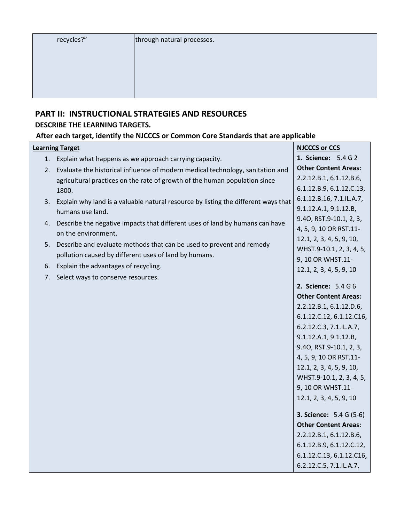| recycles?" |  |  |
|------------|--|--|
|            |  |  |

## **PART II: INSTRUCTIONAL STRATEGIES AND RESOURCES DESCRIBE THE LEARNING TARGETS.**

### **After each target, identify the NJCCCS or Common Core Standards that are applicable**

|    | <b>Learning Target</b>                                                                                 | <b>NJCCCS or CCS</b>           |
|----|--------------------------------------------------------------------------------------------------------|--------------------------------|
|    | 1. Explain what happens as we approach carrying capacity.                                              | 1. Science: 5.4 G 2            |
|    | 2. Evaluate the historical influence of modern medical technology, sanitation and                      | <b>Other Content Areas:</b>    |
|    | agricultural practices on the rate of growth of the human population since                             | 2.2.12.B.1, 6.1.12.B.6,        |
|    | 1800.                                                                                                  | 6.1.12.B.9, 6.1.12.C.13,       |
|    | 3. Explain why land is a valuable natural resource by listing the different ways that                  | 6.1.12.B.16, 7.1.IL.A.7,       |
|    | humans use land.                                                                                       | 9.1.12.A.1, 9.1.12.B,          |
|    |                                                                                                        | 9.40, RST.9-10.1, 2, 3,        |
|    | 4. Describe the negative impacts that different uses of land by humans can have<br>on the environment. | 4, 5, 9, 10 OR RST.11-         |
|    |                                                                                                        | 12.1, 2, 3, 4, 5, 9, 10,       |
| 5. | Describe and evaluate methods that can be used to prevent and remedy                                   | WHST.9-10.1, 2, 3, 4, 5,       |
|    | pollution caused by different uses of land by humans.                                                  | 9, 10 OR WHST.11-              |
| 6. | Explain the advantages of recycling.                                                                   | 12.1, 2, 3, 4, 5, 9, 10        |
| 7. | Select ways to conserve resources.                                                                     |                                |
|    |                                                                                                        | 2. Science: 5.4 G 6            |
|    |                                                                                                        | <b>Other Content Areas:</b>    |
|    |                                                                                                        | 2.2.12.B.1, 6.1.12.D.6,        |
|    |                                                                                                        | 6.1.12.C.12, 6.1.12.C16,       |
|    |                                                                                                        | 6.2.12.C.3, 7.1.IL.A.7,        |
|    |                                                                                                        | 9.1.12.A.1, 9.1.12.B,          |
|    |                                                                                                        | 9.40, RST.9-10.1, 2, 3,        |
|    |                                                                                                        | 4, 5, 9, 10 OR RST.11-         |
|    |                                                                                                        | 12.1, 2, 3, 4, 5, 9, 10,       |
|    |                                                                                                        | WHST.9-10.1, 2, 3, 4, 5,       |
|    |                                                                                                        | 9, 10 OR WHST.11-              |
|    |                                                                                                        | 12.1, 2, 3, 4, 5, 9, 10        |
|    |                                                                                                        | <b>3. Science:</b> 5.4 G (5-6) |
|    |                                                                                                        | <b>Other Content Areas:</b>    |
|    |                                                                                                        | 2.2.12.B.1, 6.1.12.B.6,        |
|    |                                                                                                        | 6.1.12.B.9, 6.1.12.C.12,       |
|    |                                                                                                        | 6.1.12.C.13, 6.1.12.C16,       |
|    |                                                                                                        | 6.2.12.C.5, 7.1.IL.A.7,        |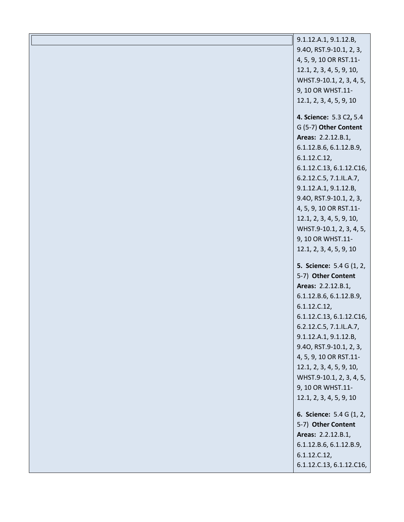| 9.1.12.A.1, 9.1.12.B,    |
|--------------------------|
| 9.40, RST.9-10.1, 2, 3,  |
| 4, 5, 9, 10 OR RST.11-   |
| 12.1, 2, 3, 4, 5, 9, 10, |
| WHST.9-10.1, 2, 3, 4, 5, |
| 9, 10 OR WHST.11-        |
| 12.1, 2, 3, 4, 5, 9, 10  |
|                          |
| 4. Science: 5.3 C2, 5.4  |
| G (5-7) Other Content    |
| Areas: 2.2.12.B.1,       |
| 6.1.12.B.6, 6.1.12.B.9,  |
| 6.1.12.C.12,             |
| 6.1.12.C.13, 6.1.12.C16, |
| 6.2.12.C.5, 7.1.IL.A.7,  |
| 9.1.12.A.1, 9.1.12.B,    |
| 9.40, RST.9-10.1, 2, 3,  |
| 4, 5, 9, 10 OR RST.11-   |
| 12.1, 2, 3, 4, 5, 9, 10, |
| WHST.9-10.1, 2, 3, 4, 5, |
| 9, 10 OR WHST.11-        |
| 12.1, 2, 3, 4, 5, 9, 10  |
| 5. Science: 5.4 G (1, 2, |
| 5-7) Other Content       |
| Areas: 2.2.12.B.1,       |
| 6.1.12.B.6, 6.1.12.B.9,  |
| 6.1.12.C.12,             |
| 6.1.12.C.13, 6.1.12.C16, |
| 6.2.12.C.5, 7.1.IL.A.7,  |
| 9.1.12.A.1, 9.1.12.B,    |
| 9.40, RST.9-10.1, 2, 3,  |
| 4, 5, 9, 10 OR RST.11-   |
| 12.1, 2, 3, 4, 5, 9, 10, |
| WHST.9-10.1, 2, 3, 4, 5, |
| 9, 10 OR WHST.11-        |
| 12.1, 2, 3, 4, 5, 9, 10  |
| 6. Science: 5.4 G (1, 2, |
| 5-7) Other Content       |
| Areas: 2.2.12.B.1,       |
| 6.1.12.B.6, 6.1.12.B.9,  |
| 6.1.12.C.12,             |
| 6.1.12.C.13, 6.1.12.C16, |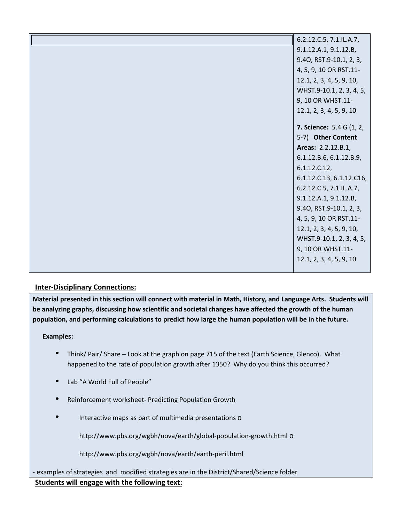| 6.2.12.C.5, 7.1.IL.A.7,         |
|---------------------------------|
| 9.1.12.A.1, 9.1.12.B,           |
| 9.40, RST.9-10.1, 2, 3,         |
| 4, 5, 9, 10 OR RST.11-          |
| 12.1, 2, 3, 4, 5, 9, 10,        |
| WHST.9-10.1, 2, 3, 4, 5,        |
| 9, 10 OR WHST.11-               |
| 12.1, 2, 3, 4, 5, 9, 10         |
| <b>7. Science:</b> 5.4 G (1, 2, |
| 5-7) Other Content              |
|                                 |
| Areas: 2.2.12.B.1,              |
| 6.1.12.B.6, 6.1.12.B.9,         |
| 6.1.12.C.12,                    |
| 6.1.12.C.13, 6.1.12.C16,        |
| 6.2.12.C.5, 7.1.IL.A.7,         |
| 9.1.12.A.1, 9.1.12.B,           |
| 9.40, RST.9-10.1, 2, 3,         |
| 4, 5, 9, 10 OR RST.11-          |
| 12.1, 2, 3, 4, 5, 9, 10,        |
| WHST.9-10.1, 2, 3, 4, 5,        |
| 9, 10 OR WHST.11-               |
| 12.1, 2, 3, 4, 5, 9, 10         |
|                                 |

#### **Inter-Disciplinary Connections:**

**Material presented in this section will connect with material in Math, History, and Language Arts. Students will be analyzing graphs, discussing how scientific and societal changes have affected the growth of the human population, and performing calculations to predict how large the human population will be in the future.** 

#### **Examples:**

- Think/ Pair/ Share Look at the graph on page 715 of the text (Earth Science, Glenco). What happened to the rate of population growth after 1350? Why do you think this occurred?
- $\bullet$ Lab "A World Full of People"
- Reinforcement worksheet- Predicting Population Growth
- Interactive maps as part of multimedia presentations o

http://www.pbs.org/wgbh/nova/earth/global-population-growth.html o

http://www.pbs.org/wgbh/nova/earth/earth-peril.html

- examples of strategies and modified strategies are in the District/Shared/Science folder **Students will engage with the following text:**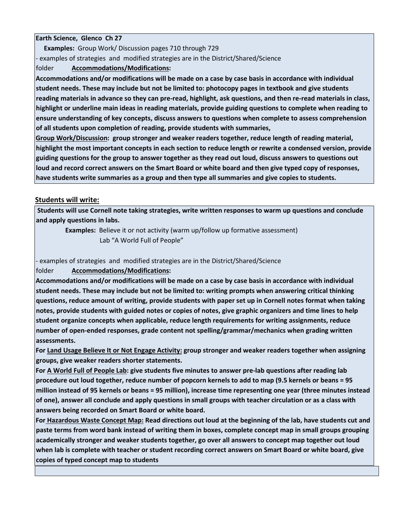#### **Earth Science, Glenco Ch 27**

 **Examples:** Group Work/ Discussion pages 710 through 729 - examples of strategies and modified strategies are in the District/Shared/Science folder **Accommodations/Modifications:** 

**Accommodations and/or modifications will be made on a case by case basis in accordance with individual student needs. These may include but not be limited to: photocopy pages in textbook and give students reading materials in advance so they can pre-read, highlight, ask questions, and then re-read materials in class, highlight or underline main ideas in reading materials, provide guiding questions to complete when reading to ensure understanding of key concepts, discuss answers to questions when complete to assess comprehension of all students upon completion of reading, provide students with summaries,** 

**Group Work/Discussion: group stronger and weaker readers together, reduce length of reading material, highlight the most important concepts in each section to reduce length or rewrite a condensed version, provide guiding questions for the group to answer together as they read out loud, discuss answers to questions out loud and record correct answers on the Smart Board or white board and then give typed copy of responses, have students write summaries as a group and then type all summaries and give copies to students.** 

#### **Students will write:**

**Students will use Cornell note taking strategies, write written responses to warm up questions and conclude and apply questions in labs.** 

**Examples:** Believe it or not activity (warm up/follow up formative assessment) Lab "A World Full of People"

- examples of strategies and modified strategies are in the District/Shared/Science

folder **Accommodations/Modifications:** 

**Accommodations and/or modifications will be made on a case by case basis in accordance with individual student needs. These may include but not be limited to: writing prompts when answering critical thinking questions, reduce amount of writing, provide students with paper set up in Cornell notes format when taking notes, provide students with guided notes or copies of notes, give graphic organizers and time lines to help student organize concepts when applicable, reduce length requirements for writing assignments, reduce number of open-ended responses, grade content not spelling/grammar/mechanics when grading written assessments.** 

**For Land Usage Believe It or Not Engage Activity: group stronger and weaker readers together when assigning groups, give weaker readers shorter statements.** 

**For A World Full of People Lab: give students five minutes to answer pre-lab questions after reading lab procedure out loud together, reduce number of popcorn kernels to add to map (9.5 kernels or beans = 95 million instead of 95 kernels or beans = 95 million), increase time representing one year (three minutes instead of one), answer all conclude and apply questions in small groups with teacher circulation or as a class with answers being recorded on Smart Board or white board.** 

**For Hazardous Waste Concept Map: Read directions out loud at the beginning of the lab, have students cut and paste terms from word bank instead of writing them in boxes, complete concept map in small groups grouping academically stronger and weaker students together, go over all answers to concept map together out loud when lab is complete with teacher or student recording correct answers on Smart Board or white board, give copies of typed concept map to students**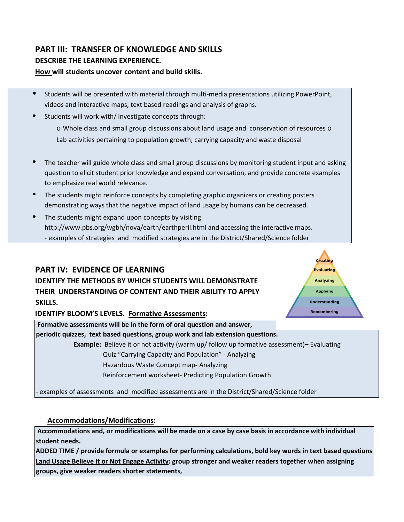# **PART III: TRANSFER OF KNOWLEDGE AND SKILLS DESCRIBE THE LEARNING EXPERIENCE.**

#### **How will students uncover content and build skills.**

- Students will be presented with material through multi-media presentations utilizing PowerPoint, videos and interactive maps, text based readings and analysis of graphs.
- Students will work with/ investigate concepts through:

 $\circ$  Whole class and small group discussions about land usage and conservation of resources  $\circ$ Lab activities pertaining to population growth, carrying capacity and waste disposal

- The teacher will guide whole class and small group discussions by monitoring student input and asking question to elicit student prior knowledge and expand conversation, and provide concrete examples to emphasize real world relevance.
- The students might reinforce concepts by completing graphic organizers or creating posters demonstrating ways that the negative impact of land usage by humans can be decreased.
- The students might expand upon concepts by visiting http://www.pbs.org/wgbh/nova/earth/earthperil.html and accessing the interactive maps. - examples of strategies and modified strategies are in the District/Shared/Science folder

## **PART IV: EVIDENCE OF LEARNING**

**IDENTIFY THE METHODS BY WHICH STUDENTS WILL DEMONSTRATE THEIR UNDERSTANDING OF CONTENT AND THEIR ABILITY TO APPLY SKILLS.** 



**IDENTIFY BLOOM'S LEVELS. Formative Assessments:** 

**Formative assessments will be in the form of oral question and answer,** 

**periodic quizzes, text based questions, group work and lab extension questions.** 

 **Example:** Believe it or not activity (warm up/ follow up formative assessment)**–** Evaluating

Quiz "Carrying Capacity and Population" - Analyzing

Hazardous Waste Concept map**-** Analyzing

Reinforcement worksheet- Predicting Population Growth

- examples of assessments and modified assessments are in the District/Shared/Science folder

#### **Accommodations/Modifications:**

**Accommodations and, or modifications will be made on a case by case basis in accordance with individual student needs.** 

**ADDED TIME / provide formula or examples for performing calculations, bold key words in text based questions Land Usage Believe It or Not Engage Activity: group stronger and weaker readers together when assigning groups, give weaker readers shorter statements,**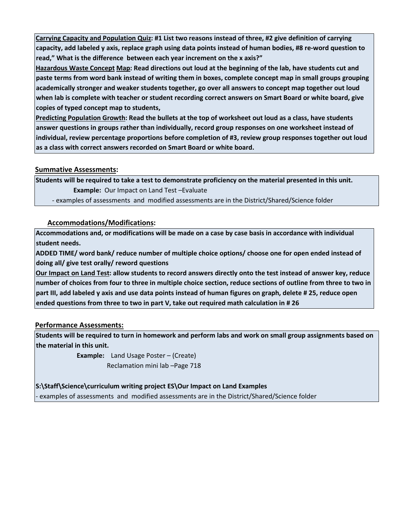**Carrying Capacity and Population Quiz: #1 List two reasons instead of three, #2 give definition of carrying capacity, add labeled y axis, replace graph using data points instead of human bodies, #8 re-word question to read," What is the difference between each year increment on the x axis?"** 

**Hazardous Waste Concept Map: Read directions out loud at the beginning of the lab, have students cut and paste terms from word bank instead of writing them in boxes, complete concept map in small groups grouping academically stronger and weaker students together, go over all answers to concept map together out loud when lab is complete with teacher or student recording correct answers on Smart Board or white board, give copies of typed concept map to students,** 

**Predicting Population Growth: Read the bullets at the top of worksheet out loud as a class, have students answer questions in groups rather than individually, record group responses on one worksheet instead of individual, review percentage proportions before completion of #3, review group responses together out loud as a class with correct answers recorded on Smart Board or white board.**

#### **Summative Assessments:**

**Students will be required to take a test to demonstrate proficiency on the material presented in this unit. Example:** Our Impact on Land Test –Evaluate

- examples of assessments and modified assessments are in the District/Shared/Science folder

#### **Accommodations/Modifications:**

**Accommodations and, or modifications will be made on a case by case basis in accordance with individual student needs.** 

**ADDED TIME/ word bank/ reduce number of multiple choice options/ choose one for open ended instead of doing all/ give test orally/ reword questions** 

**Our Impact on Land Test: allow students to record answers directly onto the test instead of answer key, reduce number of choices from four to three in multiple choice section, reduce sections of outline from three to two in part III, add labeled y axis and use data points instead of human figures on graph, delete # 25, reduce open ended questions from three to two in part V, take out required math calculation in # 26** 

#### **Performance Assessments:**

**Students will be required to turn in homework and perform labs and work on small group assignments based on the material in this unit.** 

 **Example:** Land Usage Poster – (Create)

Reclamation mini lab –Page 718

**S:\Staff\Science\curriculum writing project ES\Our Impact on Land Examples** 

- examples of assessments and modified assessments are in the District/Shared/Science folder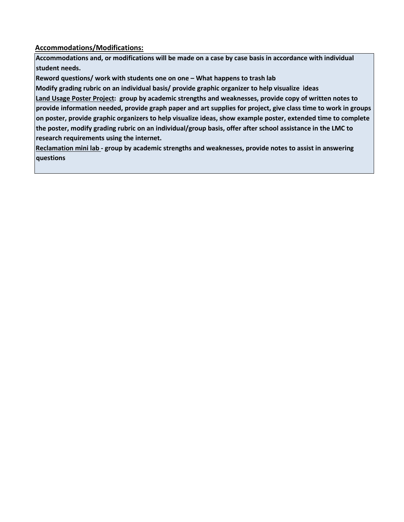**Accommodations/Modifications:**

**Accommodations and, or modifications will be made on a case by case basis in accordance with individual student needs.** 

**Reword questions/ work with students one on one – What happens to trash lab** 

**Modify grading rubric on an individual basis/ provide graphic organizer to help visualize ideas** 

**Land Usage Poster Project: group by academic strengths and weaknesses, provide copy of written notes to provide information needed, provide graph paper and art supplies for project, give class time to work in groups on poster, provide graphic organizers to help visualize ideas, show example poster, extended time to complete the poster, modify grading rubric on an individual/group basis, offer after school assistance in the LMC to research requirements using the internet.** 

**Reclamation mini lab - group by academic strengths and weaknesses, provide notes to assist in answering questions**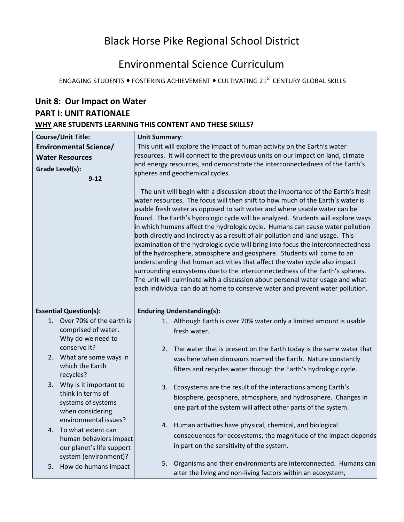# Black Horse Pike Regional School District

# Environmental Science Curriculum

ENGAGING STUDENTS . FOSTERING ACHIEVEMENT . CULTIVATING 21<sup>ST</sup> CENTURY GLOBAL SKILLS

| Unit 8: Our Impact on Water                                             |                                                                                                                                                                                                                                                                                                                                                                                                                                                                                                                                                                                                                                                                                                                                                                                                                                                                                                                                                                                                      |  |  |
|-------------------------------------------------------------------------|------------------------------------------------------------------------------------------------------------------------------------------------------------------------------------------------------------------------------------------------------------------------------------------------------------------------------------------------------------------------------------------------------------------------------------------------------------------------------------------------------------------------------------------------------------------------------------------------------------------------------------------------------------------------------------------------------------------------------------------------------------------------------------------------------------------------------------------------------------------------------------------------------------------------------------------------------------------------------------------------------|--|--|
| <b>PART I: UNIT RATIONALE</b>                                           |                                                                                                                                                                                                                                                                                                                                                                                                                                                                                                                                                                                                                                                                                                                                                                                                                                                                                                                                                                                                      |  |  |
|                                                                         | WHY ARE STUDENTS LEARNING THIS CONTENT AND THESE SKILLS?                                                                                                                                                                                                                                                                                                                                                                                                                                                                                                                                                                                                                                                                                                                                                                                                                                                                                                                                             |  |  |
| <b>Course/Unit Title:</b>                                               | <b>Unit Summary:</b>                                                                                                                                                                                                                                                                                                                                                                                                                                                                                                                                                                                                                                                                                                                                                                                                                                                                                                                                                                                 |  |  |
| <b>Environmental Science/</b>                                           | This unit will explore the impact of human activity on the Earth's water                                                                                                                                                                                                                                                                                                                                                                                                                                                                                                                                                                                                                                                                                                                                                                                                                                                                                                                             |  |  |
| <b>Water Resources</b>                                                  | resources. It will connect to the previous units on our impact on land, climate<br>and energy resources, and demonstrate the interconnectedness of the Earth's                                                                                                                                                                                                                                                                                                                                                                                                                                                                                                                                                                                                                                                                                                                                                                                                                                       |  |  |
| <b>Grade Level(s):</b>                                                  | spheres and geochemical cycles.                                                                                                                                                                                                                                                                                                                                                                                                                                                                                                                                                                                                                                                                                                                                                                                                                                                                                                                                                                      |  |  |
| $9 - 12$                                                                |                                                                                                                                                                                                                                                                                                                                                                                                                                                                                                                                                                                                                                                                                                                                                                                                                                                                                                                                                                                                      |  |  |
|                                                                         | The unit will begin with a discussion about the importance of the Earth's fresh<br>water resources. The focus will then shift to how much of the Earth's water is<br>usable fresh water as opposed to salt water and where usable water can be<br>found. The Earth's hydrologic cycle will be analyzed. Students will explore ways<br>in which humans affect the hydrologic cycle. Humans can cause water pollution<br>both directly and indirectly as a result of air pollution and land usage. This<br>examination of the hydrologic cycle will bring into focus the interconnectedness<br>of the hydrosphere, atmosphere and geosphere. Students will come to an<br>understanding that human activities that affect the water cycle also impact<br>surrounding ecosystems due to the interconnectedness of the Earth's spheres.<br>The unit will culminate with a discussion about personal water usage and what<br>each individual can do at home to conserve water and prevent water pollution. |  |  |
| <b>Essential Question(s):</b>                                           | <b>Enduring Understanding(s):</b>                                                                                                                                                                                                                                                                                                                                                                                                                                                                                                                                                                                                                                                                                                                                                                                                                                                                                                                                                                    |  |  |
| 1. Over 70% of the earth is<br>comprised of water.<br>Why do we need to | 1. Although Earth is over 70% water only a limited amount is usable<br>fresh water.                                                                                                                                                                                                                                                                                                                                                                                                                                                                                                                                                                                                                                                                                                                                                                                                                                                                                                                  |  |  |
| conserve it?                                                            | The water that is present on the Earth today is the same water that<br>2.                                                                                                                                                                                                                                                                                                                                                                                                                                                                                                                                                                                                                                                                                                                                                                                                                                                                                                                            |  |  |
| 2. What are some ways in<br>which the Earth                             | was here when dinosaurs roamed the Earth. Nature constantly                                                                                                                                                                                                                                                                                                                                                                                                                                                                                                                                                                                                                                                                                                                                                                                                                                                                                                                                          |  |  |
| recycles?                                                               | filters and recycles water through the Earth's hydrologic cycle.                                                                                                                                                                                                                                                                                                                                                                                                                                                                                                                                                                                                                                                                                                                                                                                                                                                                                                                                     |  |  |
| 3. Why is it important to                                               | Ecosystems are the result of the interactions among Earth's<br>3.                                                                                                                                                                                                                                                                                                                                                                                                                                                                                                                                                                                                                                                                                                                                                                                                                                                                                                                                    |  |  |
| think in terms of                                                       | biosphere, geosphere, atmosphere, and hydrosphere. Changes in                                                                                                                                                                                                                                                                                                                                                                                                                                                                                                                                                                                                                                                                                                                                                                                                                                                                                                                                        |  |  |
| systems of systems<br>when considering                                  | one part of the system will affect other parts of the system.                                                                                                                                                                                                                                                                                                                                                                                                                                                                                                                                                                                                                                                                                                                                                                                                                                                                                                                                        |  |  |
| environmental issues?                                                   |                                                                                                                                                                                                                                                                                                                                                                                                                                                                                                                                                                                                                                                                                                                                                                                                                                                                                                                                                                                                      |  |  |
| To what extent can<br>4.                                                | Human activities have physical, chemical, and biological<br>4.                                                                                                                                                                                                                                                                                                                                                                                                                                                                                                                                                                                                                                                                                                                                                                                                                                                                                                                                       |  |  |
| human behaviors impact                                                  | consequences for ecosystems; the magnitude of the impact depends                                                                                                                                                                                                                                                                                                                                                                                                                                                                                                                                                                                                                                                                                                                                                                                                                                                                                                                                     |  |  |
| our planet's life support                                               | in part on the sensitivity of the system.                                                                                                                                                                                                                                                                                                                                                                                                                                                                                                                                                                                                                                                                                                                                                                                                                                                                                                                                                            |  |  |
| system (environment)?<br>How do humans impact                           | Organisms and their environments are interconnected. Humans can<br>5.                                                                                                                                                                                                                                                                                                                                                                                                                                                                                                                                                                                                                                                                                                                                                                                                                                                                                                                                |  |  |
| 5.                                                                      | alter the living and non-living factors within an ecosystem,                                                                                                                                                                                                                                                                                                                                                                                                                                                                                                                                                                                                                                                                                                                                                                                                                                                                                                                                         |  |  |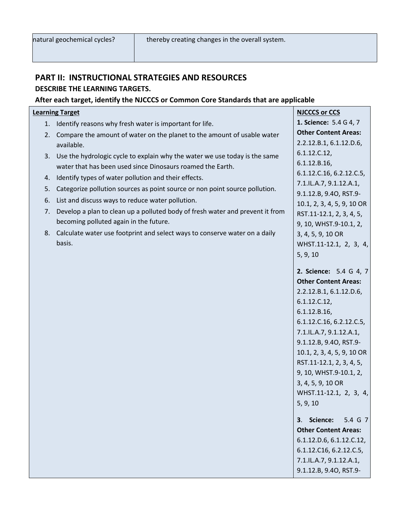I

#### **PART II: INSTRUCTIONAL STRATEGIES AND RESOURCES DESCRIBE THE LEARNING TARGETS.**

#### **After each target, identify the NJCCCS or Common Core Standards that are applicable**

#### **Learning Target**

- 1. Identify reasons why fresh water is important for life.
- 2. Compare the amount of water on the planet to the amount of usable water available.
- 3. Use the hydrologic cycle to explain why the water we use today is the same water that has been used since Dinosaurs roamed the Earth.
- 4. Identify types of water pollution and their effects.
- 5. Categorize pollution sources as point source or non point source pollution.
- 6. List and discuss ways to reduce water pollution.
- 7. Develop a plan to clean up a polluted body of fresh water and prevent it from becoming polluted again in the future.
- 8. Calculate water use footprint and select ways to conserve water on a daily basis.

**NJCCCS or CCS 1. Science:** 5.4 G 4, 7 **Other Content Areas:** 2.2.12.B.1, 6.1.12.D.6, 6.1.12.C.12, 6.1.12.B.16, 6.1.12.C.16, 6.2.12.C.5, 7.1.IL.A.7, 9.1.12.A.1, 9.1.12.B, 9.4O, RST.9- 10.1, 2, 3, 4, 5, 9, 10 OR RST.11-12.1, 2, 3, 4, 5, 9, 10, WHST.9-10.1, 2, 3, 4, 5, 9, 10 OR WHST.11-12.1, 2, 3, 4, 5, 9, 10 **2. Science:** 5.4 G 4, 7 **Other Content Areas:**  2.2.12.B.1, 6.1.12.D.6, 6.1.12.C.12, 6.1.12.B.16, 6.1.12.C.16, 6.2.12.C.5, 7.1.IL.A.7, 9.1.12.A.1, 9.1.12.B, 9.4O, RST.9- 10.1, 2, 3, 4, 5, 9, 10 OR RST.11-12.1, 2, 3, 4, 5, 9, 10, WHST.9-10.1, 2, 3, 4, 5, 9, 10 OR WHST.11-12.1, 2, 3, 4, 5, 9, 10 **3**. **Science:** 5.4 G 7 **Other Content Areas:**  6.1.12.D.6, 6.1.12.C.12, 6.1.12.C16, 6.2.12.C.5,

7.1.IL.A.7, 9.1.12.A.1, 9.1.12.B, 9.4O, RST.9-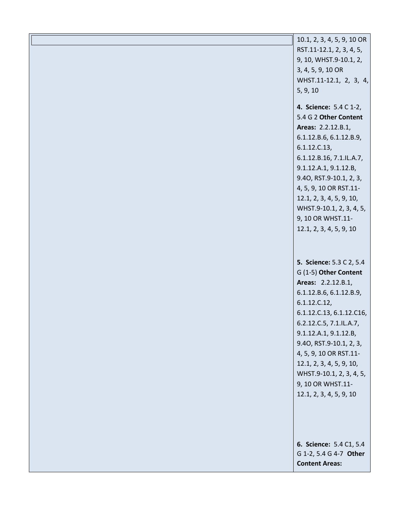| 10.1, 2, 3, 4, 5, 9, 10 OR                      |
|-------------------------------------------------|
| RST.11-12.1, 2, 3, 4, 5,                        |
| 9, 10, WHST.9-10.1, 2,                          |
| 3, 4, 5, 9, 10 OR                               |
| WHST.11-12.1, 2, 3, 4,                          |
| 5, 9, 10                                        |
| 4. Science: 5.4 C 1-2,                          |
| 5.4 G 2 Other Content                           |
| Areas: 2.2.12.B.1,                              |
| 6.1.12.B.6, 6.1.12.B.9,                         |
| 6.1.12.C.13,                                    |
| 6.1.12.B.16, 7.1.IL.A.7,                        |
| 9.1.12.A.1, 9.1.12.B,                           |
| 9.40, RST.9-10.1, 2, 3,                         |
| 4, 5, 9, 10 OR RST.11-                          |
| 12.1, 2, 3, 4, 5, 9, 10,                        |
| WHST.9-10.1, 2, 3, 4, 5,                        |
| 9, 10 OR WHST.11-                               |
| 12.1, 2, 3, 4, 5, 9, 10                         |
|                                                 |
|                                                 |
| 5. Science: 5.3 C 2, 5.4                        |
| G (1-5) Other Content                           |
| Areas: 2.2.12.B.1,                              |
| 6.1.12.B.6, 6.1.12.B.9,                         |
| 6.1.12.C.12,                                    |
| 6.1.12.C.13, 6.1.12.C16,                        |
| 6.2.12.C.5, 7.1.IL.A.7,                         |
| 9.1.12.A.1, 9.1.12.B,                           |
| 9.40, RST.9-10.1, 2, 3,                         |
| 4, 5, 9, 10 OR RST.11-                          |
| 12.1, 2, 3, 4, 5, 9, 10,                        |
| WHST.9-10.1, 2, 3, 4, 5,                        |
| 9, 10 OR WHST.11-                               |
| 12.1, 2, 3, 4, 5, 9, 10                         |
|                                                 |
|                                                 |
|                                                 |
|                                                 |
|                                                 |
| 6. Science: 5.4 C1, 5.4                         |
| G 1-2, 5.4 G 4-7 Other<br><b>Content Areas:</b> |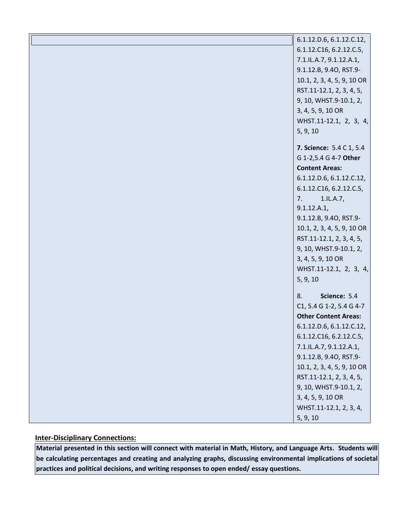| 6.1.12.D.6, 6.1.12.C.12,        |
|---------------------------------|
| 6.1.12.C16, 6.2.12.C.5,         |
| 7.1.IL.A.7, 9.1.12.A.1,         |
| 9.1.12.B, 9.40, RST.9-          |
| 10.1, 2, 3, 4, 5, 9, 10 OR      |
| RST.11-12.1, 2, 3, 4, 5,        |
| 9, 10, WHST.9-10.1, 2,          |
| 3, 4, 5, 9, 10 OR               |
| WHST.11-12.1, 2, 3, 4,          |
| 5, 9, 10                        |
| <b>7. Science: 5.4 C 1, 5.4</b> |
| G 1-2,5.4 G 4-7 Other           |
| <b>Content Areas:</b>           |
| 6.1.12.D.6, 6.1.12.C.12,        |
| 6.1.12.C16, 6.2.12.C.5,         |
| 1.1L.A.7,<br>7.                 |
| 9.1.12.A.1,                     |
| 9.1.12.B, 9.40, RST.9-          |
| 10.1, 2, 3, 4, 5, 9, 10 OR      |
| RST.11-12.1, 2, 3, 4, 5,        |
| 9, 10, WHST.9-10.1, 2,          |
| 3, 4, 5, 9, 10 OR               |
| WHST.11-12.1, 2, 3, 4,          |
| 5, 9, 10                        |
| Science: 5.4<br>8.              |
| C1, 5.4 G 1-2, 5.4 G 4-7        |
| <b>Other Content Areas:</b>     |
| 6.1.12.D.6, 6.1.12.C.12,        |
| 6.1.12.C16, 6.2.12.C.5,         |
| 7.1.IL.A.7, 9.1.12.A.1,         |
| 9.1.12.B, 9.40, RST.9-          |
| 10.1, 2, 3, 4, 5, 9, 10 OR      |
| RST.11-12.1, 2, 3, 4, 5,        |
| 9, 10, WHST.9-10.1, 2,          |
| 3, 4, 5, 9, 10 OR               |
| WHST.11-12.1, 2, 3, 4,          |
| 5, 9, 10                        |

#### **Inter-Disciplinary Connections:**

**Material presented in this section will connect with material in Math, History, and Language Arts. Students will be calculating percentages and creating and analyzing graphs, discussing environmental implications of societal practices and political decisions, and writing responses to open ended/ essay questions.**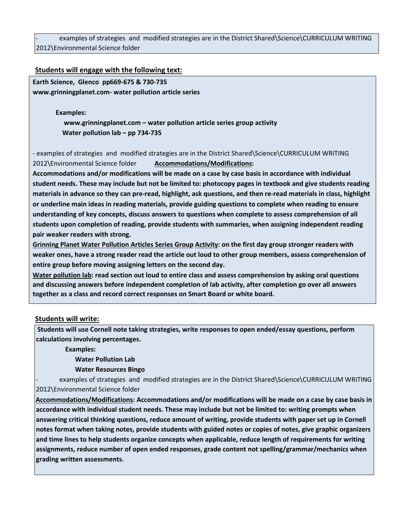examples of strategies and modified strategies are in the District Shared\Science\CURRICULUM WRITING 2012\Environmental Science folder

#### **Students will engage with the following text:**

**Earth Science, Glenco pp669-675 & 730-735 www.grinningplanet.com- water pollution article series** 

#### **Examples:**

 **www.grinningplanet.com – water pollution article series group activity Water pollution lab – pp 734-735**

- examples of strategies and modified strategies are in the District Shared\Science\CURRICULUM WRITING 2012\Environmental Science folder **Accommodations/Modifications:** 

**Accommodations and/or modifications will be made on a case by case basis in accordance with individual student needs. These may include but not be limited to: photocopy pages in textbook and give students reading materials in advance so they can pre-read, highlight, ask questions, and then re-read materials in class, highlight or underline main ideas in reading materials, provide guiding questions to complete when reading to ensure understanding of key concepts, discuss answers to questions when complete to assess comprehension of all students upon completion of reading, provide students with summaries, when assigning independent reading pair weaker readers with strong.** 

**Grinning Planet Water Pollution Articles Series Group Activity: on the first day group stronger readers with weaker ones, have a strong reader read the article out loud to other group members, assess comprehension of entire group before moving assigning letters on the second day.** 

**Water pollution lab: read section out loud to entire class and assess comprehension by asking oral questions and discussing answers before independent completion of lab activity, after completion go over all answers together as a class and record correct responses on Smart Board or white board.** 

#### **Students will write:**

**Students will use Cornell note taking strategies, write responses to open ended/essay questions, perform calculations involving percentages.** 

 **Examples:** 

#### **Water Pollution Lab**

 **Water Resources Bingo** 

examples of strategies and modified strategies are in the District Shared\Science\CURRICULUM WRITING 2012\Environmental Science folder

**Accommodations/Modifications: Accommodations and/or modifications will be made on a case by case basis in accordance with individual student needs. These may include but not be limited to: writing prompts when answering critical thinking questions, reduce amount of writing, provide students with paper set up in Cornell notes format when taking notes, provide students with guided notes or copies of notes, give graphic organizers and time lines to help students organize concepts when applicable, reduce length of requirements for writing assignments, reduce number of open ended responses, grade content not spelling/grammar/mechanics when grading written assessments.**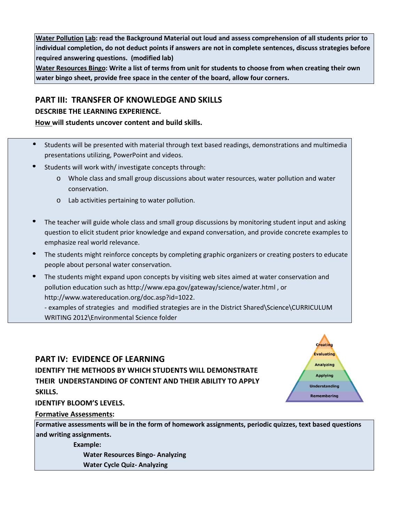**Water Pollution Lab: read the Background Material out loud and assess comprehension of all students prior to individual completion, do not deduct points if answers are not in complete sentences, discuss strategies before required answering questions. (modified lab)** 

**Water Resources Bingo: Write a list of terms from unit for students to choose from when creating their own water bingo sheet, provide free space in the center of the board, allow four corners.** 

# **PART III: TRANSFER OF KNOWLEDGE AND SKILLS**

#### **DESCRIBE THE LEARNING EXPERIENCE.**

#### **How will students uncover content and build skills.**

- Students will be presented with material through text based readings, demonstrations and multimedia presentations utilizing, PowerPoint and videos.
- Students will work with/ investigate concepts through:
	- o Whole class and small group discussions about water resources, water pollution and water conservation.
	- o Lab activities pertaining to water pollution.
- The teacher will guide whole class and small group discussions by monitoring student input and asking question to elicit student prior knowledge and expand conversation, and provide concrete examples to emphasize real world relevance.
- The students might reinforce concepts by completing graphic organizers or creating posters to educate people about personal water conservation.
- The students might expand upon concepts by visiting web sites aimed at water conservation and pollution education such as http://www.epa.gov/gateway/science/water.html , or http://www.watereducation.org/doc.asp?id=1022.

- examples of strategies and modified strategies are in the District Shared\Science\CURRICULUM WRITING 2012\Environmental Science folder

## **PART IV: EVIDENCE OF LEARNING IDENTIFY THE METHODS BY WHICH STUDENTS WILL DEMONSTRATE THEIR UNDERSTANDING OF CONTENT AND THEIR ABILITY TO APPLY SKILLS.**



#### **IDENTIFY BLOOM'S LEVELS.**

#### **Formative Assessments:**

**Formative assessments will be in the form of homework assignments, periodic quizzes, text based questions and writing assignments.** 

 **Example:** 

 **Water Resources Bingo- Analyzing** 

 **Water Cycle Quiz- Analyzing**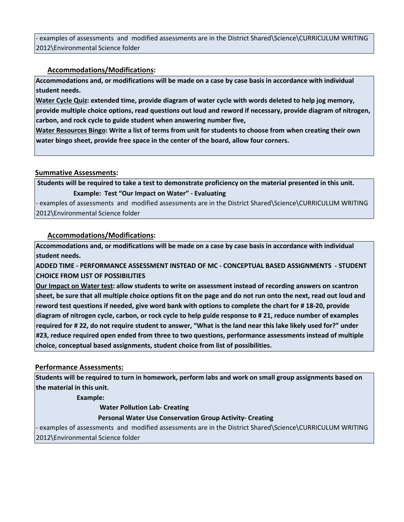- examples of assessments and modified assessments are in the District Shared\Science\CURRICULUM WRITING 2012\Environmental Science folder

#### **Accommodations/Modifications:**

**Accommodations and, or modifications will be made on a case by case basis in accordance with individual student needs.** 

**Water Cycle Quiz: extended time, provide diagram of water cycle with words deleted to help jog memory, provide multiple choice options, read questions out loud and reword if necessary, provide diagram of nitrogen, carbon, and rock cycle to guide student when answering number five,** 

**Water Resources Bingo: Write a list of terms from unit for students to choose from when creating their own water bingo sheet, provide free space in the center of the board, allow four corners.** 

#### **Summative Assessments:**

**Students will be required to take a test to demonstrate proficiency on the material presented in this unit. Example: Test "Our Impact on Water" - Evaluating** 

- examples of assessments and modified assessments are in the District Shared\Science\CURRICULUM WRITING 2012\Environmental Science folder

#### **Accommodations/Modifications:**

**Accommodations and, or modifications will be made on a case by case basis in accordance with individual student needs.** 

**ADDED TIME - PERFORMANCE ASSESSMENT INSTEAD OF MC - CONCEPTUAL BASED ASSIGNMENTS - STUDENT CHOICE FROM LIST OF POSSIBILITIES** 

**Our Impact on Water test: allow students to write on assessment instead of recording answers on scantron sheet, be sure that all multiple choice options fit on the page and do not run onto the next, read out loud and reword test questions if needed, give word bank with options to complete the chart for # 18-20, provide diagram of nitrogen cycle, carbon, or rock cycle to help guide response to # 21, reduce number of examples required for # 22, do not require student to answer, "What is the land near this lake likely used for?" under #23, reduce required open ended from three to two questions, performance assessments instead of multiple choice, conceptual based assignments, student choice from list of possibilities.** 

#### **Performance Assessments:**

**Students will be required to turn in homework, perform labs and work on small group assignments based on the material in this unit.** 

 **Example:** 

 **Water Pollution Lab- Creating** 

#### **Personal Water Use Conservation Group Activity- Creating**

- examples of assessments and modified assessments are in the District Shared\Science\CURRICULUM WRITING 2012\Environmental Science folder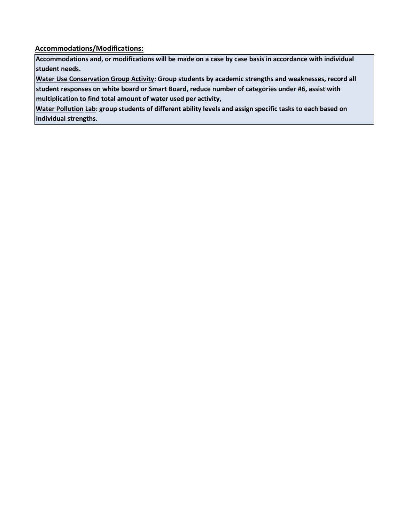**Accommodations/Modifications:**

**Accommodations and, or modifications will be made on a case by case basis in accordance with individual student needs.** 

**Water Use Conservation Group Activity: Group students by academic strengths and weaknesses, record all** 

**student responses on white board or Smart Board, reduce number of categories under #6, assist with multiplication to find total amount of water used per activity,** 

**Water Pollution Lab: group students of different ability levels and assign specific tasks to each based on individual strengths.**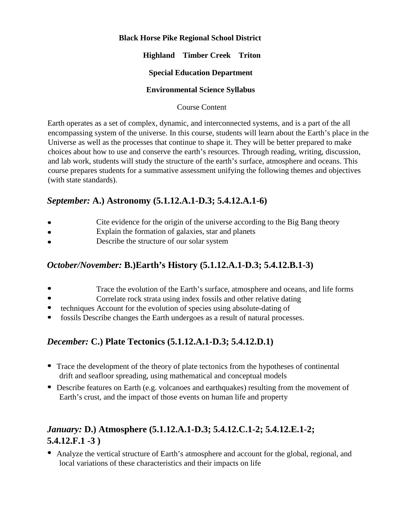#### **Black Horse Pike Regional School District**

#### **Highland Timber Creek Triton**

#### **Special Education Department**

#### **Environmental Science Syllabus**

#### Course Content

Earth operates as a set of complex, dynamic, and interconnected systems, and is a part of the all encompassing system of the universe. In this course, students will learn about the Earth's place in the Universe as well as the processes that continue to shape it. They will be better prepared to make choices about how to use and conserve the earth's resources. Through reading, writing, discussion, and lab work, students will study the structure of the earth's surface, atmosphere and oceans. This course prepares students for a summative assessment unifying the following themes and objectives (with state standards).

## *September:* **A.) Astronomy (5.1.12.A.1-D.3; 5.4.12.A.1-6)**

- Cite evidence for the origin of the universe according to the Big Bang theory
- Explain the formation of galaxies, star and planets  $\bullet$
- Describe the structure of our solar system

## *October/November:* **B.)Earth's History (5.1.12.A.1-D.3; 5.4.12.B.1-3)**

- Trace the evolution of the Earth's surface, atmosphere and oceans, and life forms
- Correlate rock strata using index fossils and other relative dating
- $\bullet$ techniques Account for the evolution of species using absolute-dating of
- fossils Describe changes the Earth undergoes as a result of natural processes.

# *December:* **C.) Plate Tectonics (5.1.12.A.1-D.3; 5.4.12.D.1)**

- Trace the development of the theory of plate tectonics from the hypotheses of continental drift and seafloor spreading, using mathematical and conceptual models
- Describe features on Earth (e.g. volcanoes and earthquakes) resulting from the movement of Earth's crust, and the impact of those events on human life and property

# *January:* **D.) Atmosphere (5.1.12.A.1-D.3; 5.4.12.C.1-2; 5.4.12.E.1-2; 5.4.12.F.1 -3 )**

Analyze the vertical structure of Earth's atmosphere and account for the global, regional, and local variations of these characteristics and their impacts on life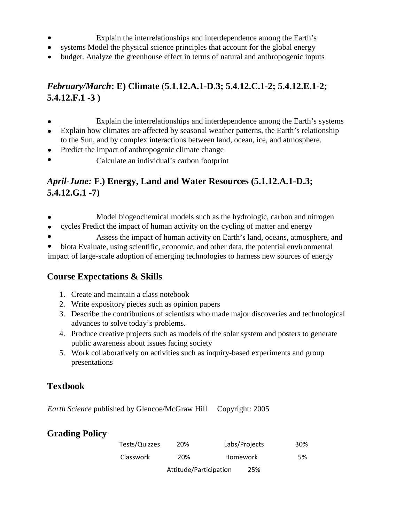- Explain the interrelationships and interdependence among the Earth's
- systems Model the physical science principles that account for the global energy
- budget. Analyze the greenhouse effect in terms of natural and anthropogenic inputs

# *February/March***: E) Climate** (**5.1.12.A.1-D.3; 5.4.12.C.1-2; 5.4.12.E.1-2; 5.4.12.F.1 -3 )**

- Explain the interrelationships and interdependence among the Earth's systems
- Explain how climates are affected by seasonal weather patterns, the Earth's relationship to the Sun, and by complex interactions between land, ocean, ice, and atmosphere.
- Predict the impact of anthropogenic climate change  $\bullet$
- Calculate an individual's carbon footprint

# *April-June:* **F.) Energy, Land and Water Resources (5.1.12.A.1-D.3; 5.4.12.G.1 -7)**

- Model biogeochemical models such as the hydrologic, carbon and nitrogen  $\bullet$
- cycles Predict the impact of human activity on the cycling of matter and energy  $\bullet$
- Assess the impact of human activity on Earth's land, oceans, atmosphere, and

biota Evaluate, using scientific, economic, and other data, the potential environmental impact of large-scale adoption of emerging technologies to harness new sources of energy

# **Course Expectations & Skills**

- 1. Create and maintain a class notebook
- 2. Write expository pieces such as opinion papers
- 3. Describe the contributions of scientists who made major discoveries and technological advances to solve today's problems.
- 4. Produce creative projects such as models of the solar system and posters to generate public awareness about issues facing society
- 5. Work collaboratively on activities such as inquiry-based experiments and group presentations

# **Textbook**

*Earth Science* published by Glencoe/McGraw Hill Copyright: 2005

# **Grading Policy**

| Tests/Quizzes    | 20%                    | Labs/Projects   | 30% |
|------------------|------------------------|-----------------|-----|
| <b>Classwork</b> | 20%                    | <b>Homework</b> | 5%  |
|                  | Attitude/Participation | 25%             |     |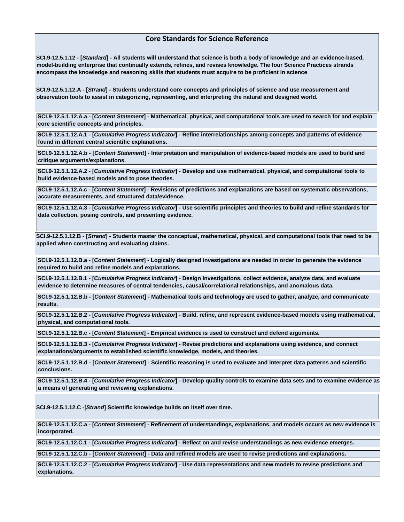#### **Core Standards for Science Reference**

**SCI.9-12.5.1.12 - [***Standard***] - All students will understand that science is both a body of knowledge and an evidence-based, model-building enterprise that continually extends, refines, and revises knowledge. The four Science Practices strands encompass the knowledge and reasoning skills that students must acquire to be proficient in science**

**SCI.9-12.5.1.12.A - [***Strand***] - Students understand core concepts and principles of science and use measurement and observation tools to assist in categorizing, representing, and interpreting the natural and designed world.**

**SCI.9-12.5.1.12.A.a - [***Content Statement***] - Mathematical, physical, and computational tools are used to search for and explain core scientific concepts and principles.**

**SCI.9-12.5.1.12.A.1 - [***Cumulative Progress Indicator***] - Refine interrelationships among concepts and patterns of evidence found in different central scientific explanations.**

**SCI.9-12.5.1.12.A.b - [***Content Statement***] - Interpretation and manipulation of evidence-based models are used to build and critique arguments/explanations.**

**SCI.9-12.5.1.12.A.2 - [***Cumulative Progress Indicator***] - Develop and use mathematical, physical, and computational tools to build evidence-based models and to pose theories.**

**SCI.9-12.5.1.12.A.c - [***Content Statement***] - Revisions of predictions and explanations are based on systematic observations, accurate measurements, and structured data/evidence.**

**SCI.9-12.5.1.12.A.3 - [***Cumulative Progress Indicator***] - Use scientific principles and theories to build and refine standards for data collection, posing controls, and presenting evidence.**

**SCI.9-12.5.1.12.B - [***Strand***] - Students master the conceptual, mathematical, physical, and computational tools that need to be applied when constructing and evaluating claims.**

**SCI.9-12.5.1.12.B.a - [***Content Statement***] - Logically designed investigations are needed in order to generate the evidence required to build and refine models and explanations.**

**SCI.9-12.5.1.12.B.1 - [***Cumulative Progress Indicator***] - Design investigations, collect evidence, analyze data, and evaluate evidence to determine measures of central tendencies, causal/correlational relationships, and anomalous data.**

**SCI.9-12.5.1.12.B.b - [***Content Statement***] - Mathematical tools and technology are used to gather, analyze, and communicate results.**

**SCI.9-12.5.1.12.B.2 - [***Cumulative Progress Indicator***] - Build, refine, and represent evidence-based models using mathematical, physical, and computational tools.**

**SCI.9-12.5.1.12.B.c - [***Content Statement***] - Empirical evidence is used to construct and defend arguments.**

**SCI.9-12.5.1.12.B.3 - [***Cumulative Progress Indicator***] - Revise predictions and explanations using evidence, and connect explanations/arguments to established scientific knowledge, models, and theories.**

**SCI.9-12.5.1.12.B.d - [***Content Statement***] - Scientific reasoning is used to evaluate and interpret data patterns and scientific conclusions.**

**SCI.9-12.5.1.12.B.4 - [***Cumulative Progress Indicator***] - Develop quality controls to examine data sets and to examine evidence as a means of generating and reviewing explanations.**

**SCI.9-12.5.1.12.C -[***Strand***] Scientific knowledge builds on itself over time.**

**SCI.9-12.5.1.12.C.a - [***Content Statement***] - Refinement of understandings, explanations, and models occurs as new evidence is incorporated.**

**SCI.9-12.5.1.12.C.1 - [***Cumulative Progress Indicator***] - Reflect on and revise understandings as new evidence emerges.**

**SCI.9-12.5.1.12.C.b - [***Content Statement***] - Data and refined models are used to revise predictions and explanations.**

**SCI.9-12.5.1.12.C.2 - [***Cumulative Progress Indicator***] - Use data representations and new models to revise predictions and explanations.**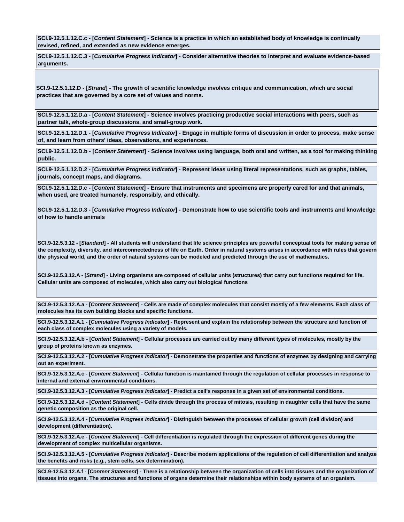**SCI.9-12.5.1.12.C.c - [***Content Statement***] - Science is a practice in which an established body of knowledge is continually revised, refined, and extended as new evidence emerges.**

**SCI.9-12.5.1.12.C.3 - [***Cumulative Progress Indicator***] - Consider alternative theories to interpret and evaluate evidence-based arguments.**

**SCI.9-12.5.1.12.D - [***Strand***] - The growth of scientific knowledge involves critique and communication, which are social practices that are governed by a core set of values and norms.**

**SCI.9-12.5.1.12.D.a - [***Content Statement***] - Science involves practicing productive social interactions with peers, such as partner talk, whole-group discussions, and small-group work.**

**SCI.9-12.5.1.12.D.1 - [***Cumulative Progress Indicator***] - Engage in multiple forms of discussion in order to process, make sense of, and learn from others' ideas, observations, and experiences.**

**SCI.9-12.5.1.12.D.b - [***Content Statement***] - Science involves using language, both oral and written, as a tool for making thinking public.**

**SCI.9-12.5.1.12.D.2 - [***Cumulative Progress Indicator***] - Represent ideas using literal representations, such as graphs, tables, journals, concept maps, and diagrams.**

**SCI.9-12.5.1.12.D.c - [***Content Statement***] - Ensure that instruments and specimens are properly cared for and that animals, when used, are treated humanely, responsibly, and ethically.**

**SCI.9-12.5.1.12.D.3 - [***Cumulative Progress Indicator***] - Demonstrate how to use scientific tools and instruments and knowledge of how to handle animals** 

**SCI.9-12.5.3.12 - [***Standard***] - All students will understand that life science principles are powerful conceptual tools for making sense of the complexity, diversity, and interconnectedness of life on Earth. Order in natural systems arises in accordance with rules that govern the physical world, and the order of natural systems can be modeled and predicted through the use of mathematics.**

**SCI.9-12.5.3.12.A - [***Strand***] - Living organisms are composed of cellular units (structures) that carry out functions required for life. Cellular units are composed of molecules, which also carry out biological functions**

**SCI.9-12.5.3.12.A.a - [***Content Statement***] - Cells are made of complex molecules that consist mostly of a few elements. Each class of molecules has its own building blocks and specific functions.**

**SCI.9-12.5.3.12.A.1 - [***Cumulative Progress Indicator***] - Represent and explain the relationship between the structure and function of each class of complex molecules using a variety of models.**

**SCI.9-12.5.3.12.A.b - [***Content Statement***] - Cellular processes are carried out by many different types of molecules, mostly by the group of proteins known as enzymes.**

**SCI.9-12.5.3.12.A.2 - [***Cumulative Progress Indicator***] - Demonstrate the properties and functions of enzymes by designing and carrying out an experiment.**

**SCI.9-12.5.3.12.A.c - [***Content Statement***] - Cellular function is maintained through the regulation of cellular processes in response to internal and external environmental conditions.**

**SCI.9-12.5.3.12.A.3 - [***Cumulative Progress Indicator***] - Predict a cell's response in a given set of environmental conditions.**

**SCI.9-12.5.3.12.A.d - [***Content Statement***] - Cells divide through the process of mitosis, resulting in daughter cells that have the same genetic composition as the original cell.**

**SCI.9-12.5.3.12.A.4 - [***Cumulative Progress Indicator***] - Distinguish between the processes of cellular growth (cell division) and development (differentiation).**

**SCI.9-12.5.3.12.A.e - [***Content Statement***] - Cell differentiation is regulated through the expression of different genes during the development of complex multicellular organisms.**

**SCI.9-12.5.3.12.A.5 - [***Cumulative Progress Indicator***] - Describe modern applications of the regulation of cell differentiation and analyze the benefits and risks (e.g., stem cells, sex determination).**

**SCI.9-12.5.3.12.A.f - [***Content Statement***] - There is a relationship between the organization of cells into tissues and the organization of tissues into organs. The structures and functions of organs determine their relationships within body systems of an organism.**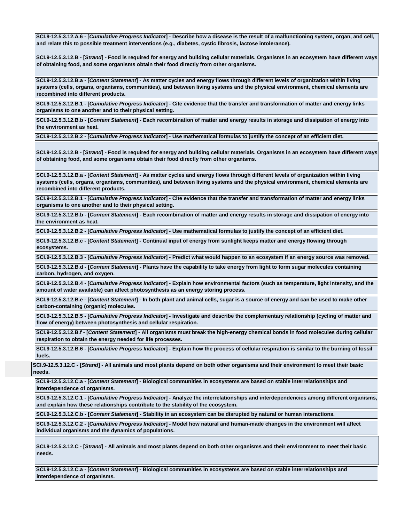**SCI.9-12.5.3.12.A.6 - [***Cumulative Progress Indicator***] - Describe how a disease is the result of a malfunctioning system, organ, and cell, and relate this to possible treatment interventions (e.g., diabetes, cystic fibrosis, lactose intolerance).**

**SCI.9-12.5.3.12.B - [***Strand***] - Food is required for energy and building cellular materials. Organisms in an ecosystem have different ways of obtaining food, and some organisms obtain their food directly from other organisms.**

**SCI.9-12.5.3.12.B.a - [***Content Statement***] - As matter cycles and energy flows through different levels of organization within living systems (cells, organs, organisms, communities), and between living systems and the physical environment, chemical elements are recombined into different products.**

**SCI.9-12.5.3.12.B.1 - [***Cumulative Progress Indicator***] - Cite evidence that the transfer and transformation of matter and energy links organisms to one another and to their physical setting.**

**SCI.9-12.5.3.12.B.b - [***Content Statement***] - Each recombination of matter and energy results in storage and dissipation of energy into the environment as heat.**

**SCI.9-12.5.3.12.B.2 - [***Cumulative Progress Indicator***] - Use mathematical formulas to justify the concept of an efficient diet.**

**SCI.9-12.5.3.12.B - [***Strand***] - Food is required for energy and building cellular materials. Organisms in an ecosystem have different ways of obtaining food, and some organisms obtain their food directly from other organisms.**

**SCI.9-12.5.3.12.B.a - [***Content Statement***] - As matter cycles and energy flows through different levels of organization within living systems (cells, organs, organisms, communities), and between living systems and the physical environment, chemical elements are recombined into different products.**

**SCI.9-12.5.3.12.B.1 - [***Cumulative Progress Indicator***] - Cite evidence that the transfer and transformation of matter and energy links organisms to one another and to their physical setting.**

**SCI.9-12.5.3.12.B.b - [***Content Statement***] - Each recombination of matter and energy results in storage and dissipation of energy into the environment as heat.**

**SCI.9-12.5.3.12.B.2 - [***Cumulative Progress Indicator***] - Use mathematical formulas to justify the concept of an efficient diet.**

**SCI.9-12.5.3.12.B.c - [***Content Statement***] - Continual input of energy from sunlight keeps matter and energy flowing through ecosystems.**

**SCI.9-12.5.3.12.B.3 - [***Cumulative Progress Indicator***] - Predict what would happen to an ecosystem if an energy source was removed.**

**SCI.9-12.5.3.12.B.d - [***Content Statement***] - Plants have the capability to take energy from light to form sugar molecules containing carbon, hydrogen, and oxygen.**

**SCI.9-12.5.3.12.B.4 - [***Cumulative Progress Indicator***] - Explain how environmental factors (such as temperature, light intensity, and the amount of water available) can affect photosynthesis as an energy storing process.**

**SCI.9-12.5.3.12.B.e - [***Content Statement***] - In both plant and animal cells, sugar is a source of energy and can be used to make other carbon-containing (organic) molecules.**

**SCI.9-12.5.3.12.B.5 - [***Cumulative Progress Indicator***] - Investigate and describe the complementary relationship (cycling of matter and flow of energy) between photosynthesis and cellular respiration.**

**SCI.9-12.5.3.12.B.f - [***Content Statement***] - All organisms must break the high-energy chemical bonds in food molecules during cellular respiration to obtain the energy needed for life processes.**

**SCI.9-12.5.3.12.B.6 - [***Cumulative Progress Indicator***] - Explain how the process of cellular respiration is similar to the burning of fossil fuels.**

**SCI.9-12.5.3.12.C - [***Strand***] - All animals and most plants depend on both other organisms and their environment to meet their basic needs.**

**SCI.9-12.5.3.12.C.a - [***Content Statement***] - Biological communities in ecosystems are based on stable interrelationships and interdependence of organisms.**

**SCI.9-12.5.3.12.C.1 - [***Cumulative Progress Indicator***] - Analyze the interrelationships and interdependencies among different organisms, and explain how these relationships contribute to the stability of the ecosystem.**

**SCI.9-12.5.3.12.C.b - [***Content Statement***] - Stability in an ecosystem can be disrupted by natural or human interactions.**

**SCI.9-12.5.3.12.C.2 - [***Cumulative Progress Indicator***] - Model how natural and human-made changes in the environment will affect individual organisms and the dynamics of populations.**

**SCI.9-12.5.3.12.C - [***Strand***] - All animals and most plants depend on both other organisms and their environment to meet their basic needs.**

**SCI.9-12.5.3.12.C.a - [***Content Statement***] - Biological communities in ecosystems are based on stable interrelationships and interdependence of organisms.**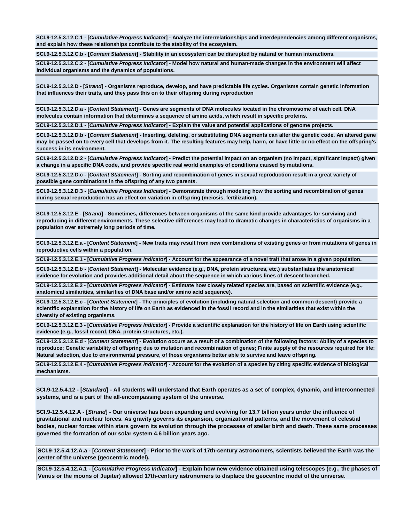**SCI.9-12.5.3.12.C.1 - [***Cumulative Progress Indicator***] - Analyze the interrelationships and interdependencies among different organisms, and explain how these relationships contribute to the stability of the ecosystem.**

**SCI.9-12.5.3.12.C.b - [***Content Statement***] - Stability in an ecosystem can be disrupted by natural or human interactions.**

**SCI.9-12.5.3.12.C.2 - [***Cumulative Progress Indicator***] - Model how natural and human-made changes in the environment will affect individual organisms and the dynamics of populations.**

**SCI.9-12.5.3.12.D - [***Strand***] - Organisms reproduce, develop, and have predictable life cycles. Organisms contain genetic information that influences their traits, and they pass this on to their offspring during reproduction**

**SCI.9-12.5.3.12.D.a - [***Content Statement***] - Genes are segments of DNA molecules located in the chromosome of each cell. DNA molecules contain information that determines a sequence of amino acids, which result in specific proteins.**

**SCI.9-12.5.3.12.D.1 - [***Cumulative Progress Indicator***] - Explain the value and potential applications of genome projects.**

**SCI.9-12.5.3.12.D.b - [***Content Statement***] - Inserting, deleting, or substituting DNA segments can alter the genetic code. An altered gene may be passed on to every cell that develops from it. The resulting features may help, harm, or have little or no effect on the offspring's success in its environment.**

**SCI.9-12.5.3.12.D.2 - [***Cumulative Progress Indicator***] - Predict the potential impact on an organism (no impact, significant impact) given a change in a specific DNA code, and provide specific real world examples of conditions caused by mutations.**

**SCI.9-12.5.3.12.D.c - [***Content Statement***] - Sorting and recombination of genes in sexual reproduction result in a great variety of possible gene combinations in the offspring of any two parents.**

**SCI.9-12.5.3.12.D.3 - [***Cumulative Progress Indicator***] - Demonstrate through modeling how the sorting and recombination of genes during sexual reproduction has an effect on variation in offspring (meiosis, fertilization).**

**SCI.9-12.5.3.12.E - [***Strand***] - Sometimes, differences between organisms of the same kind provide advantages for surviving and reproducing in different environments. These selective differences may lead to dramatic changes in characteristics of organisms in a population over extremely long periods of time.**

**SCI.9-12.5.3.12.E.a - [***Content Statement***] - New traits may result from new combinations of existing genes or from mutations of genes in reproductive cells within a population.**

**SCI.9-12.5.3.12.E.1 - [***Cumulative Progress Indicator***] - Account for the appearance of a novel trait that arose in a given population.**

**SCI.9-12.5.3.12.E.b - [***Content Statement***] - Molecular evidence (e.g., DNA, protein structures, etc.) substantiates the anatomical evidence for evolution and provides additional detail about the sequence in which various lines of descent branched.**

**SCI.9-12.5.3.12.E.2 - [***Cumulative Progress Indicator***] - Estimate how closely related species are, based on scientific evidence (e.g., anatomical similarities, similarities of DNA base and/or amino acid sequence).**

**SCI.9-12.5.3.12.E.c - [***Content Statement***] - The principles of evolution (including natural selection and common descent) provide a scientific explanation for the history of life on Earth as evidenced in the fossil record and in the similarities that exist within the diversity of existing organisms.**

**SCI.9-12.5.3.12.E.3 - [***Cumulative Progress Indicator***] - Provide a scientific explanation for the history of life on Earth using scientific evidence (e.g., fossil record, DNA, protein structures, etc.).**

**SCI.9-12.5.3.12.E.d - [***Content Statement***] - Evolution occurs as a result of a combination of the following factors: Ability of a species to reproduce; Genetic variability of offspring due to mutation and recombination of genes; Finite supply of the resources required for life; Natural selection, due to environmental pressure, of those organisms better able to survive and leave offspring.**

**SCI.9-12.5.3.12.E.4 - [***Cumulative Progress Indicator***] - Account for the evolution of a species by citing specific evidence of biological mechanisms.**

**SCI.9-12.5.4.12 - [***Standard***] - All students will understand that Earth operates as a set of complex, dynamic, and interconnected systems, and is a part of the all-encompassing system of the universe.**

**SCI.9-12.5.4.12.A - [***Strand***] - Our universe has been expanding and evolving for 13.7 billion years under the influence of gravitational and nuclear forces. As gravity governs its expansion, organizational patterns, and the movement of celestial bodies, nuclear forces within stars govern its evolution through the processes of stellar birth and death. These same processes governed the formation of our solar system 4.6 billion years ago.**

**SCI.9-12.5.4.12.A.a - [***Content Statement***] - Prior to the work of 17th-century astronomers, scientists believed the Earth was the center of the universe (geocentric model).**

**SCI.9-12.5.4.12.A.1 - [***Cumulative Progress Indicator***] - Explain how new evidence obtained using telescopes (e.g., the phases of Venus or the moons of Jupiter) allowed 17th-century astronomers to displace the geocentric model of the universe.**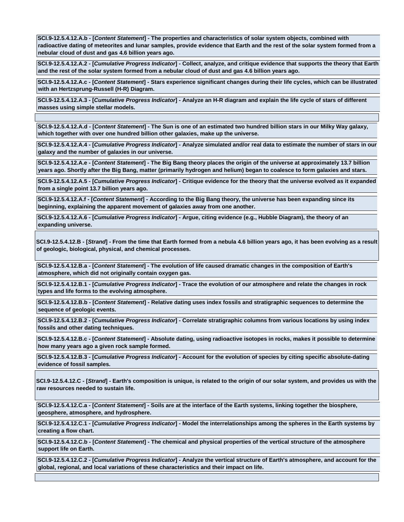**SCI.9-12.5.4.12.A.b - [***Content Statement***] - The properties and characteristics of solar system objects, combined with radioactive dating of meteorites and lunar samples, provide evidence that Earth and the rest of the solar system formed from a nebular cloud of dust and gas 4.6 billion years ago.**

**SCI.9-12.5.4.12.A.2 - [***Cumulative Progress Indicator***] - Collect, analyze, and critique evidence that supports the theory that Earth and the rest of the solar system formed from a nebular cloud of dust and gas 4.6 billion years ago.**

**SCI.9-12.5.4.12.A.c - [***Content Statement***] - Stars experience significant changes during their life cycles, which can be illustrated with an Hertzsprung-Russell (H-R) Diagram.**

**SCI.9-12.5.4.12.A.3 - [***Cumulative Progress Indicator***] - Analyze an H-R diagram and explain the life cycle of stars of different masses using simple stellar models.**

**SCI.9-12.5.4.12.A.d - [***Content Statement***] - The Sun is one of an estimated two hundred billion stars in our Milky Way galaxy, which together with over one hundred billion other galaxies, make up the universe.**

**SCI.9-12.5.4.12.A.4 - [***Cumulative Progress Indicator***] - Analyze simulated and/or real data to estimate the number of stars in our galaxy and the number of galaxies in our universe.**

**SCI.9-12.5.4.12.A.e - [***Content Statement***] - The Big Bang theory places the origin of the universe at approximately 13.7 billion years ago. Shortly after the Big Bang, matter (primarily hydrogen and helium) began to coalesce to form galaxies and stars.**

**SCI.9-12.5.4.12.A.5 - [***Cumulative Progress Indicator***] - Critique evidence for the theory that the universe evolved as it expanded from a single point 13.7 billion years ago.**

**SCI.9-12.5.4.12.A.f - [***Content Statement***] - According to the Big Bang theory, the universe has been expanding since its beginning, explaining the apparent movement of galaxies away from one another.**

**SCI.9-12.5.4.12.A.6 - [***Cumulative Progress Indicator***] - Argue, citing evidence (e.g., Hubble Diagram), the theory of an expanding universe.**

**SCI.9-12.5.4.12.B - [***Strand***] - From the time that Earth formed from a nebula 4.6 billion years ago, it has been evolving as a result of geologic, biological, physical, and chemical processes.**

**SCI.9-12.5.4.12.B.a - [***Content Statement***] - The evolution of life caused dramatic changes in the composition of Earth's atmosphere, which did not originally contain oxygen gas.**

**SCI.9-12.5.4.12.B.1 - [***Cumulative Progress Indicator***] - Trace the evolution of our atmosphere and relate the changes in rock types and life forms to the evolving atmosphere.**

**SCI.9-12.5.4.12.B.b - [***Content Statement***] - Relative dating uses index fossils and stratigraphic sequences to determine the sequence of geologic events.**

**SCI.9-12.5.4.12.B.2 - [***Cumulative Progress Indicator***] - Correlate stratigraphic columns from various locations by using index fossils and other dating techniques.**

**SCI.9-12.5.4.12.B.c - [***Content Statement***] - Absolute dating, using radioactive isotopes in rocks, makes it possible to determine how many years ago a given rock sample formed.**

**SCI.9-12.5.4.12.B.3 - [***Cumulative Progress Indicator***] - Account for the evolution of species by citing specific absolute-dating evidence of fossil samples.**

**SCI.9-12.5.4.12.C - [***Strand***] - Earth's composition is unique, is related to the origin of our solar system, and provides us with the raw resources needed to sustain life.**

**SCI.9-12.5.4.12.C.a - [***Content Statement***] - Soils are at the interface of the Earth systems, linking together the biosphere, geosphere, atmosphere, and hydrosphere.**

**SCI.9-12.5.4.12.C.1 - [***Cumulative Progress Indicator***] - Model the interrelationships among the spheres in the Earth systems by creating a flow chart.**

**SCI.9-12.5.4.12.C.b - [***Content Statement***] - The chemical and physical properties of the vertical structure of the atmosphere support life on Earth.**

**SCI.9-12.5.4.12.C.2 - [***Cumulative Progress Indicator***] - Analyze the vertical structure of Earth's atmosphere, and account for the global, regional, and local variations of these characteristics and their impact on life.**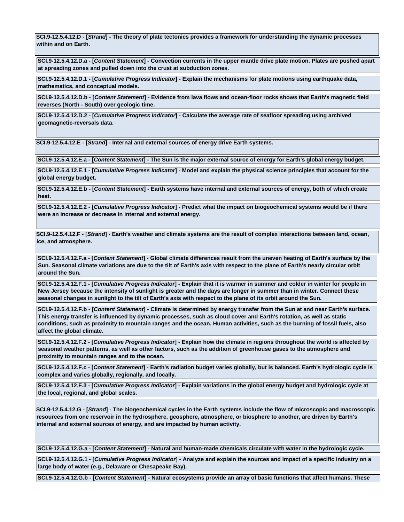**SCI.9-12.5.4.12.D - [***Strand***] - The theory of plate tectonics provides a framework for understanding the dynamic processes within and on Earth.**

**SCI.9-12.5.4.12.D.a - [***Content Statement***] - Convection currents in the upper mantle drive plate motion. Plates are pushed apart at spreading zones and pulled down into the crust at subduction zones.**

**SCI.9-12.5.4.12.D.1 - [***Cumulative Progress Indicator***] - Explain the mechanisms for plate motions using earthquake data, mathematics, and conceptual models.**

**SCI.9-12.5.4.12.D.b - [***Content Statement***] - Evidence from lava flows and ocean-floor rocks shows that Earth's magnetic field reverses (North - South) over geologic time.**

**SCI.9-12.5.4.12.D.2 - [***Cumulative Progress Indicator***] - Calculate the average rate of seafloor spreading using archived geomagnetic-reversals data.**

**SCI.9-12.5.4.12.E - [***Strand***] - Internal and external sources of energy drive Earth systems.**

**SCI.9-12.5.4.12.E.a - [***Content Statement***] - The Sun is the major external source of energy for Earth's global energy budget.**

**SCI.9-12.5.4.12.E.1 - [***Cumulative Progress Indicator***] - Model and explain the physical science principles that account for the global energy budget.**

**SCI.9-12.5.4.12.E.b - [***Content Statement***] - Earth systems have internal and external sources of energy, both of which create heat.**

**SCI.9-12.5.4.12.E.2 - [***Cumulative Progress Indicator***] - Predict what the impact on biogeochemical systems would be if there were an increase or decrease in internal and external energy.**

**SCI.9-12.5.4.12.F - [***Strand***] - Earth's weather and climate systems are the result of complex interactions between land, ocean, ice, and atmosphere.**

**SCI.9-12.5.4.12.F.a - [***Content Statement***] - Global climate differences result from the uneven heating of Earth's surface by the Sun. Seasonal climate variations are due to the tilt of Earth's axis with respect to the plane of Earth's nearly circular orbit around the Sun.**

**SCI.9-12.5.4.12.F.1 - [***Cumulative Progress Indicator***] - Explain that it is warmer in summer and colder in winter for people in New Jersey because the intensity of sunlight is greater and the days are longer in summer than in winter. Connect these seasonal changes in sunlight to the tilt of Earth's axis with respect to the plane of its orbit around the Sun.**

**SCI.9-12.5.4.12.F.b - [***Content Statement***] - Climate is determined by energy transfer from the Sun at and near Earth's surface. This energy transfer is influenced by dynamic processes, such as cloud cover and Earth's rotation, as well as static conditions, such as proximity to mountain ranges and the ocean. Human activities, such as the burning of fossil fuels, also affect the global climate.**

**SCI.9-12.5.4.12.F.2 - [***Cumulative Progress Indicator***] - Explain how the climate in regions throughout the world is affected by seasonal weather patterns, as well as other factors, such as the addition of greenhouse gases to the atmosphere and proximity to mountain ranges and to the ocean.**

**SCI.9-12.5.4.12.F.c - [***Content Statement***] - Earth's radiation budget varies globally, but is balanced. Earth's hydrologic cycle is complex and varies globally, regionally, and locally.**

**SCI.9-12.5.4.12.F.3 - [***Cumulative Progress Indicator***] - Explain variations in the global energy budget and hydrologic cycle at the local, regional, and global scales.**

**SCI.9-12.5.4.12.G - [***Strand***] - The biogeochemical cycles in the Earth systems include the flow of microscopic and macroscopic resources from one reservoir in the hydrosphere, geosphere, atmosphere, or biosphere to another, are driven by Earth's internal and external sources of energy, and are impacted by human activity.**

**SCI.9-12.5.4.12.G.a - [***Content Statement***] - Natural and human-made chemicals circulate with water in the hydrologic cycle.**

**SCI.9-12.5.4.12.G.1 - [***Cumulative Progress Indicator***] - Analyze and explain the sources and impact of a specific industry on a large body of water (e.g., Delaware or Chesapeake Bay).**

**SCI.9-12.5.4.12.G.b - [***Content Statement***] - Natural ecosystems provide an array of basic functions that affect humans. These**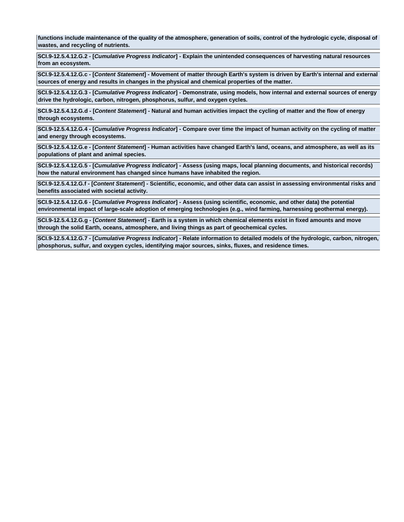**functions include maintenance of the quality of the atmosphere, generation of soils, control of the hydrologic cycle, disposal of wastes, and recycling of nutrients.**

**SCI.9-12.5.4.12.G.2 - [***Cumulative Progress Indicator***] - Explain the unintended consequences of harvesting natural resources from an ecosystem.**

**SCI.9-12.5.4.12.G.c - [***Content Statement***] - Movement of matter through Earth's system is driven by Earth's internal and external sources of energy and results in changes in the physical and chemical properties of the matter.**

**SCI.9-12.5.4.12.G.3 - [***Cumulative Progress Indicator***] - Demonstrate, using models, how internal and external sources of energy drive the hydrologic, carbon, nitrogen, phosphorus, sulfur, and oxygen cycles.**

**SCI.9-12.5.4.12.G.d - [***Content Statement***] - Natural and human activities impact the cycling of matter and the flow of energy through ecosystems.**

**SCI.9-12.5.4.12.G.4 - [***Cumulative Progress Indicator***] - Compare over time the impact of human activity on the cycling of matter and energy through ecosystems.**

**SCI.9-12.5.4.12.G.e - [***Content Statement***] - Human activities have changed Earth's land, oceans, and atmosphere, as well as its populations of plant and animal species.**

**SCI.9-12.5.4.12.G.5 - [***Cumulative Progress Indicator***] - Assess (using maps, local planning documents, and historical records) how the natural environment has changed since humans have inhabited the region.**

**SCI.9-12.5.4.12.G.f - [***Content Statement***] - Scientific, economic, and other data can assist in assessing environmental risks and benefits associated with societal activity.**

**SCI.9-12.5.4.12.G.6 - [***Cumulative Progress Indicator***] - Assess (using scientific, economic, and other data) the potential environmental impact of large-scale adoption of emerging technologies (e.g., wind farming, harnessing geothermal energy).**

**SCI.9-12.5.4.12.G.g - [***Content Statement***] - Earth is a system in which chemical elements exist in fixed amounts and move through the solid Earth, oceans, atmosphere, and living things as part of geochemical cycles.**

**SCI.9-12.5.4.12.G.7 - [***Cumulative Progress Indicator***] - Relate information to detailed models of the hydrologic, carbon, nitrogen, phosphorus, sulfur, and oxygen cycles, identifying major sources, sinks, fluxes, and residence times.**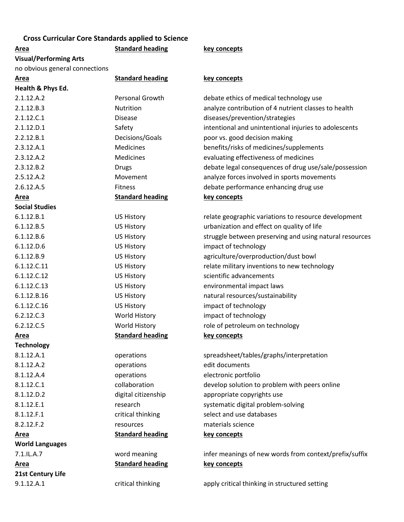## **Cross Curricular Core Standards applied to Science**

# **Visual/Performing Arts**

no obvious general connections

## **Area Standard heading key concepts**

#### **Area Standard heading key concepts**

| Health & Phys Ed.      |                         |                                                         |
|------------------------|-------------------------|---------------------------------------------------------|
| 2.1.12.A.2             | Personal Growth         | debate ethics of medical technology use                 |
| 2.1.12.B.3             | Nutrition               | analyze contribution of 4 nutrient classes to health    |
| 2.1.12.C.1             | <b>Disease</b>          | diseases/prevention/strategies                          |
| 2.1.12.D.1             | Safety                  | intentional and unintentional injuries to adolescents   |
| 2.2.12.B.1             | Decisions/Goals         | poor vs. good decision making                           |
| 2.3.12.A.1             | Medicines               | benefits/risks of medicines/supplements                 |
| 2.3.12.A.2             | Medicines               | evaluating effectiveness of medicines                   |
| 2.3.12.B.2             | <b>Drugs</b>            | debate legal consequences of drug use/sale/possession   |
| 2.5.12.A.2             | Movement                | analyze forces involved in sports movements             |
| 2.6.12.A.5             | <b>Fitness</b>          | debate performance enhancing drug use                   |
| Area                   | <b>Standard heading</b> | key concepts                                            |
| <b>Social Studies</b>  |                         |                                                         |
| 6.1.12.B.1             | <b>US History</b>       | relate geographic variations to resource development    |
| 6.1.12.B.5             | <b>US History</b>       | urbanization and effect on quality of life              |
| 6.1.12.B.6             | <b>US History</b>       | struggle between preserving and using natural resources |
| 6.1.12.D.6             | <b>US History</b>       | impact of technology                                    |
| 6.1.12.B.9             | <b>US History</b>       | agriculture/overproduction/dust bowl                    |
| 6.1.12.C.11            | <b>US History</b>       | relate military inventions to new technology            |
| 6.1.12.C.12            | <b>US History</b>       | scientific advancements                                 |
| 6.1.12.C.13            | <b>US History</b>       | environmental impact laws                               |
| 6.1.12.B.16            | <b>US History</b>       | natural resources/sustainability                        |
| 6.1.12.C.16            | <b>US History</b>       | impact of technology                                    |
| 6.2.12.C.3             | World History           | impact of technology                                    |
| 6.2.12.C.5             | World History           | role of petroleum on technology                         |
| <b>Area</b>            | <b>Standard heading</b> | key concepts                                            |
| <b>Technology</b>      |                         |                                                         |
| 8.1.12.A.1             | operations              | spreadsheet/tables/graphs/interpretation                |
| 8.1.12.A.2             | operations              | edit documents                                          |
| 8.1.12.A.4             | operations              | electronic portfolio                                    |
| 8.1.12.C.1             | collaboration           | develop solution to problem with peers online           |
| 8.1.12.D.2             | digital citizenship     | appropriate copyrights use                              |
| 8.1.12.E.1             | research                | systematic digital problem-solving                      |
| 8.1.12.F.1             | critical thinking       | select and use databases                                |
| 8.2.12.F.2             | resources               | materials science                                       |
| Area                   | <b>Standard heading</b> | key concepts                                            |
| <b>World Languages</b> |                         |                                                         |
| 7.1.IL.A.7             | word meaning            | infer meanings of new words from context/prefix/suffix  |
| Area                   | <b>Standard heading</b> | key concepts                                            |
| 21st Century Life      |                         |                                                         |
| 9.1.12.A.1             | critical thinking       | apply critical thinking in structured setting           |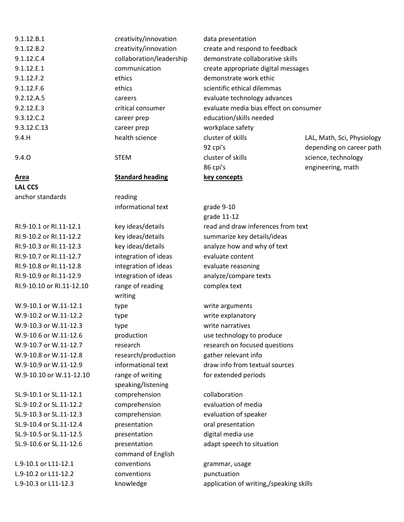| 9.1.12.B.1  | creativity/innovation    | data presentation                      |                            |
|-------------|--------------------------|----------------------------------------|----------------------------|
| 9.1.12.B.2  | creativity/innovation    | create and respond to feedback         |                            |
| 9.1.12.C.4  | collaboration/leadership | demonstrate collaborative skills       |                            |
| 9.1.12.E.1  | communication            | create appropriate digital messages    |                            |
| 9.1.12.F.2  | ethics                   | demonstrate work ethic                 |                            |
| 9.1.12.F.6  | ethics                   | scientific ethical dilemmas            |                            |
| 9.2.12.A.5  | careers                  | evaluate technology advances           |                            |
| 9.2.12.E.3  | critical consumer        | evaluate media bias effect on consumer |                            |
| 9.3.12.C.2  | career prep              | education/skills needed                |                            |
| 9.3.12.C.13 | career prep              | workplace safety                       |                            |
| 9.4.H       | health science           | cluster of skills                      | LAL, Math, Sci, Physiology |
|             |                          | 92 cpi's                               | depending on career path   |
| 9.4.0       | <b>STEM</b>              | cluster of skills                      | science, technology        |

## **Area Standard heading key concepts**

**LAL CCS** anchor standards reading

RI.9-10.7 or RI.11-12.7 integration of ideas evaluate content RI.9-10.8 or RI.11-12.8 integration of ideas evaluate reasoning RI.9-10.9 or RI.11-12.9 integration of ideas analyze/compare texts RI.9-10.10 or RI.11-12.10 range of reading complex text

W.9-10.1 or W.11-12.1 type write arguments W.9-10.2 or W.11-12.2 type write explanatory W.9-10.3 or W.11-12.3 type write narratives W.9-10.8 or W.11-12.8 research/production gather relevant info W.9-10.10 or W.11-12.10 range of writing for extended periods

informational text grade 9-10 writing speaking/listening SL.9-10.1 or SL.11-12.1 comprehension collaboration SL.9-10.2 or SL.11-12.2 comprehension evaluation of media SL.9-10.3 or SL.11-12.3 comprehension evaluation of speaker SL.9-10.4 or SL.11-12.4 **presentation** oral presentation SL.9-10.5 or SL.11-12.5 presentation digital media use command of English L.9-10.1 or L11-12.1 conventions example a grammar, usage L.9-10.2 or L11-12.2 conventions punctuation

grade 11-12 RI.9-10.1 or RI.11-12.1 key ideas/details read and draw inferences from text RI.9-10.2 or RI.11-12.2 key ideas/details summarize key details/ideas RI.9-10.3 or RI.11-12.3 key ideas/details analyze how and why of text

86 cpi's engineering, math

W.9-10.6 or W.11-12.6 **production** use technology to produce W.9-10.7 or W.11-12.7 research research research on focused questions W.9-10.9 or W.11-12.9 informational text draw info from textual sources

SL.9-10.6 or SL.11-12.6 presentation adapt speech to situation

L.9-10.3 or L11-12.3 knowledge application of writing,/speaking skills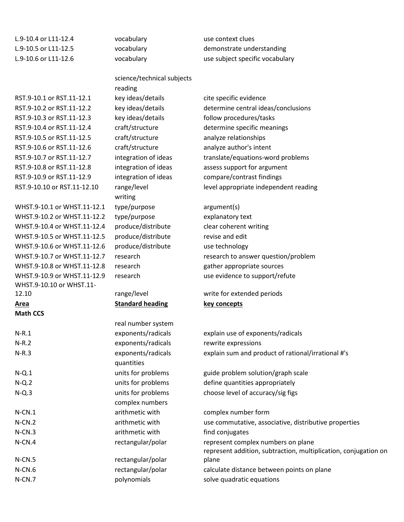L.9-10.4 or L11-12.4 vocabulary use context clues

RST.9-10.1 or RST.11-12.1 key ideas/details cite specific evidence RST.9-10.3 or RST.11-12.3 key ideas/details follow procedures/tasks RST.9-10.5 or RST.11-12.5 craft/structure analyze relationships RST.9-10.6 or RST.11-12.6 craft/structure analyze author's intent RST.9-10.8 or RST.11-12.8 integration of ideas assess support for argument RST.9-10.9 or RST.11-12.9 integration of ideas compare/contrast findings WHST.9-10.1 or WHST.11-12.1 type/purpose argument(s) WHST.9-10.2 or WHST.11-12.2 type/purpose explanatory text WHST.9-10.4 or WHST.11-12.4 produce/distribute clear coherent writing WHST.9-10.5 or WHST.11-12.5 produce/distribute revise and edit WHST.9-10.6 or WHST.11-12.6 produce/distribute use technology

WHST.9-10.10 or WHST.11-

**Math CCS**

science/technical subjects reading writing

## **Area Standard heading key concepts**

real number system N-R.1 exponents/radicals explain use of exponents/radicals N-R.2 exponents/radicals rewrite expressions quantities N-Q.1 **N-Q.1** units for problems guide problem solution/graph scale N-Q.2 units for problems define quantities appropriately N-Q.3 units for problems choose level of accuracy/sig figs complex numbers N-CN.1 **arithmetic with complex number form** N-CN.3 **arithmetic with find conjugates high-**N-CN.4 **rectangular/polar** represent complex numbers on plane N-CN.5 rectangular/polar N-CN.6 rectangular/polar calculate distance between points on plane N-CN.7 **provide a contract of polynomials** solve quadratic equations

L.9-10.5 or L11-12.5 vocabulary demonstrate understanding L.9-10.6 or L11-12.6 vocabulary vocabulary use subject specific vocabulary

RST.9-10.2 or RST.11-12.2 key ideas/details determine central ideas/conclusions RST.9-10.4 or RST.11-12.4 craft/structure determine specific meanings RST.9-10.7 or RST.11-12.7 integration of ideas translate/equations-word problems RST.9-10.10 or RST.11-12.10 range/level level appropriate independent reading

WHST.9-10.7 or WHST.11-12.7 research metal research to answer question/problem WHST.9-10.8 or WHST.11-12.8 research gather appropriate sources WHST.9-10.9 or WHST.11-12.9 research use evidence to support/refute

12.10 range/level write for extended periods

N-R.3 exponents/radicals explain sum and product of rational/irrational #'s

N-CN.2 arithmetic with use commutative, associative, distributive properties represent addition, subtraction, multiplication, conjugation on plane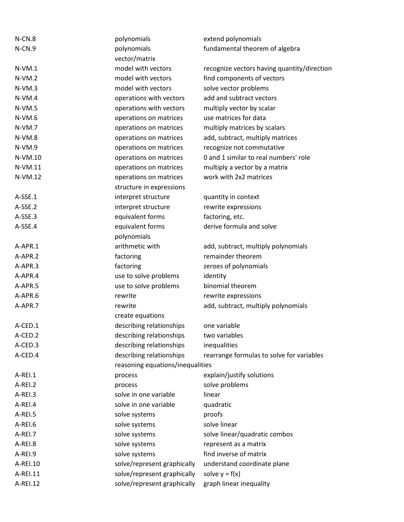| $N$ -CN.8 | polynomials                      | extend polynomials                          |
|-----------|----------------------------------|---------------------------------------------|
| N-CN.9    | polynomials                      | fundamental theorem of algebra              |
|           | vector/matrix                    |                                             |
| $N-VM.1$  | model with vectors               | recognize vectors having quantity/direction |
| $N-VM.2$  | model with vectors               | find components of vectors                  |
| $N-VM.3$  | model with vectors               | solve vector problems                       |
| $N-VM.4$  | operations with vectors          | add and subtract vectors                    |
| $N-VM.5$  | operations with vectors          | multiply vector by scalar                   |
| $N-VM.6$  | operations on matrices           | use matrices for data                       |
| $N-VM.7$  | operations on matrices           | multiply matrices by scalars                |
| $N-VM.8$  | operations on matrices           | add, subtract, multiply matrices            |
| $N-VM.9$  | operations on matrices           | recognize not commutative                   |
| $N-VM.10$ | operations on matrices           | 0 and 1 similar to real numbers' role       |
| N-VM.11   | operations on matrices           | multiply a vector by a matrix               |
| N-VM.12   | operations on matrices           | work with 2x2 matrices                      |
|           | structure in expressions         |                                             |
| A-SSE.1   | interpret structure              | quantity in context                         |
| A-SSE.2   | interpret structure              | rewrite expressions                         |
| A-SSE.3   | equivalent forms                 | factoring, etc.                             |
| A-SSE.4   | equivalent forms                 | derive formula and solve                    |
|           | polynomials                      |                                             |
| A-APR.1   | arithmetic with                  | add, subtract, multiply polynomials         |
| A-APR.2   | factoring                        | remainder theorem                           |
| A-APR.3   | factoring                        | zeroes of polynomials                       |
| A-APR.4   | use to solve problems            | identity                                    |
| A-APR.5   | use to solve problems            | binomial theorem                            |
| A-APR.6   | rewrite                          | rewrite expressions                         |
| A-APR.7   | rewrite                          | add, subtract, multiply polynomials         |
|           | create equations                 |                                             |
| A-CED.1   | describing relationships         | one variable                                |
| A-CED.2   | describing relationships         | two variables                               |
| A-CED.3   | describing relationships         | inequalities                                |
| A-CED.4   | describing relationships         | rearrange formulas to solve for variables   |
|           | reasoning equations/inequalities |                                             |
| A-REI.1   | process                          | explain/justify solutions                   |
| A-REI.2   | process                          | solve problems                              |
| A-REI.3   | solve in one variable            | linear                                      |
| A-REI.4   | solve in one variable            | quadratic                                   |
| A-REI.5   | solve systems                    | proofs                                      |
| A-REI.6   | solve systems                    | solve linear                                |
| A-REI.7   | solve systems                    | solve linear/quadratic combos               |
| A-REI.8   | solve systems                    | represent as a matrix                       |
| A-REI.9   | solve systems                    | find inverse of matrix                      |
|           |                                  |                                             |
| A-REI.10  | solve/represent graphically      | understand coordinate plane                 |
| A-REI.11  | solve/represent graphically      | solve $y = f(x)$                            |
| A-REI.12  | solve/represent graphically      | graph linear inequality                     |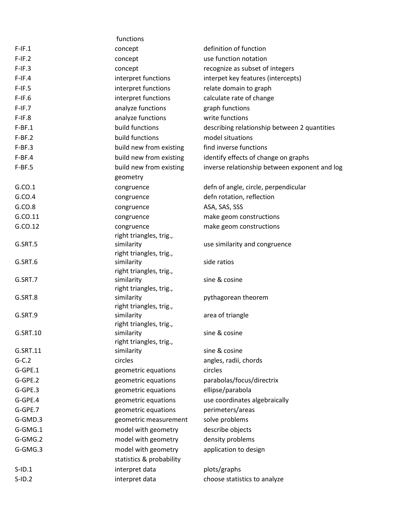|           | functions                                  |                                               |
|-----------|--------------------------------------------|-----------------------------------------------|
| $F-IF.1$  | concept                                    | definition of function                        |
| $F-IF.2$  | concept                                    | use function notation                         |
| $F-IF.3$  | concept                                    | recognize as subset of integers               |
| $F-IF.4$  | interpret functions                        | interpet key features (intercepts)            |
| $F-IF.5$  | interpret functions                        | relate domain to graph                        |
| $F-IF.6$  | interpret functions                        | calculate rate of change                      |
| $F-IF.7$  | analyze functions                          | graph functions                               |
| $F-IF.8$  | analyze functions                          | write functions                               |
| $F-BF.1$  | build functions                            | describing relationship between 2 quantities  |
| $F-BF.2$  | build functions                            | model situations                              |
| $F-BF.3$  | build new from existing                    | find inverse functions                        |
| $F-BF.4$  | build new from existing                    | identify effects of change on graphs          |
| $F-BF.5$  | build new from existing                    | inverse relationship between exponent and log |
|           | geometry                                   |                                               |
| G.CO.1    | congruence                                 | defn of angle, circle, perpendicular          |
| G.CO.4    | congruence                                 | defn rotation, reflection                     |
| G.CO.8    | congruence                                 | ASA, SAS, SSS                                 |
| G.CO.11   | congruence                                 | make geom constructions                       |
| G.CO.12   | congruence                                 | make geom constructions                       |
|           | right triangles, trig.,                    |                                               |
| G.SRT.5   | similarity                                 | use similarity and congruence                 |
|           | right triangles, trig.,                    |                                               |
| G.SRT.6   | similarity<br>right triangles, trig.,      | side ratios                                   |
| G.SRT.7   | similarity                                 | sine & cosine                                 |
|           | right triangles, trig.,                    |                                               |
| G.SRT.8   | similarity                                 | pythagorean theorem                           |
|           | right triangles, trig.,                    |                                               |
| G.SRT.9   | similarity                                 | area of triangle                              |
|           | right triangles, trig.,                    |                                               |
| G.SRT.10  | similarity                                 | sine & cosine                                 |
| G.SRT.11  | right triangles, trig.,                    | sine & cosine                                 |
| $G-C.2$   | similarity<br>circles                      | angles, radii, chords                         |
| G-GPE.1   |                                            | circles                                       |
| G-GPE.2   | geometric equations<br>geometric equations | parabolas/focus/directrix                     |
| G-GPE.3   | geometric equations                        | ellipse/parabola                              |
| G-GPE.4   | geometric equations                        | use coordinates algebraically                 |
| G-GPE.7   | geometric equations                        | perimeters/areas                              |
| G-GMD.3   | geometric measurement                      | solve problems                                |
| G-GMG.1   | model with geometry                        | describe objects                              |
| G-GMG.2   | model with geometry                        | density problems                              |
| G-GMG.3   | model with geometry                        | application to design                         |
|           | statistics & probability                   |                                               |
| $S$ -ID.1 | interpret data                             | plots/graphs                                  |
| $S$ -ID.2 | interpret data                             | choose statistics to analyze                  |
|           |                                            |                                               |